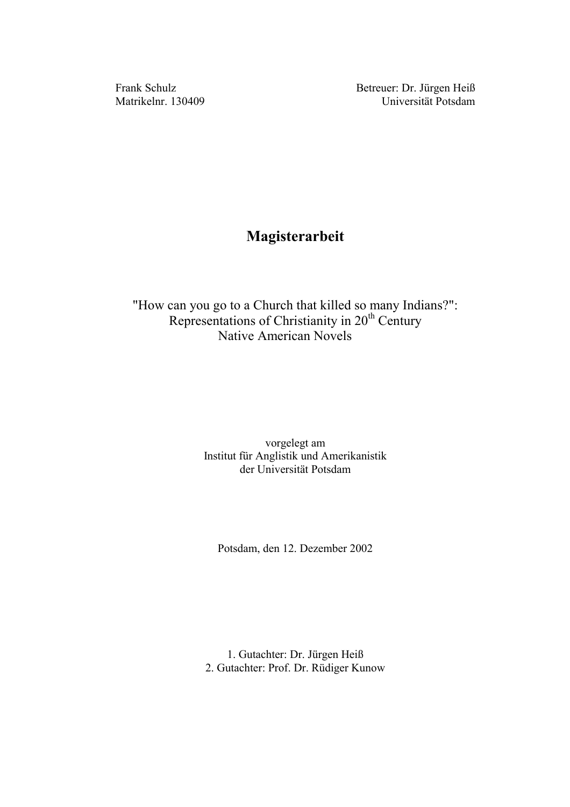Frank Schulz<br>Matrikelnr 130409 Betreuer: Dr. Jürgen Heiß<br>Matrikelnr 130409 Universität Potsdam Universität Potsdam

# **Magisterarbeit**

"How can you go to a Church that killed so many Indians?": Representations of Christianity in  $20<sup>th</sup>$  Century Native American Novels

> vorgelegt am Institut für Anglistik und Amerikanistik der Universität Potsdam

Potsdam, den 12. Dezember 2002

1. Gutachter: Dr. Jürgen Heiß 2. Gutachter: Prof. Dr. Rüdiger Kunow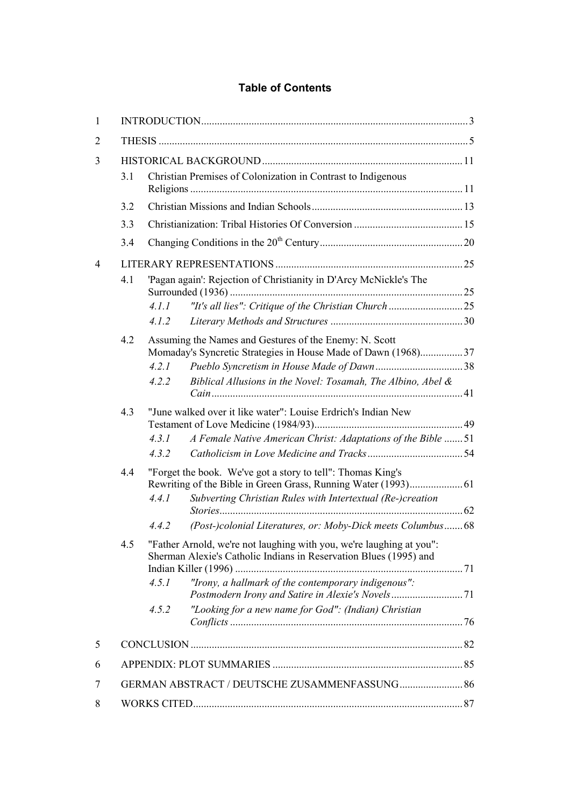# **Table of Contents**

| $\mathbf{1}$   |     |                                                                                                                                             |                                                                                                                                                                                         |  |  |
|----------------|-----|---------------------------------------------------------------------------------------------------------------------------------------------|-----------------------------------------------------------------------------------------------------------------------------------------------------------------------------------------|--|--|
| $\overline{2}$ |     |                                                                                                                                             |                                                                                                                                                                                         |  |  |
| 3              |     |                                                                                                                                             |                                                                                                                                                                                         |  |  |
|                | 3.1 | Christian Premises of Colonization in Contrast to Indigenous                                                                                |                                                                                                                                                                                         |  |  |
|                | 3.2 |                                                                                                                                             |                                                                                                                                                                                         |  |  |
|                | 3.3 |                                                                                                                                             |                                                                                                                                                                                         |  |  |
|                | 3.4 |                                                                                                                                             |                                                                                                                                                                                         |  |  |
| $\overline{4}$ |     |                                                                                                                                             |                                                                                                                                                                                         |  |  |
|                | 4.1 | 'Pagan again': Rejection of Christianity in D'Arcy McNickle's The                                                                           |                                                                                                                                                                                         |  |  |
|                |     | 4.1.1                                                                                                                                       |                                                                                                                                                                                         |  |  |
|                |     | 4.1.2                                                                                                                                       |                                                                                                                                                                                         |  |  |
|                | 4.2 | 4.2.1<br>4.2.2                                                                                                                              | Assuming the Names and Gestures of the Enemy: N. Scott<br>Momaday's Syncretic Strategies in House Made of Dawn (1968)37<br>Biblical Allusions in the Novel: Tosamah, The Albino, Abel & |  |  |
|                | 4.3 | 4.3.1                                                                                                                                       | "June walked over it like water": Louise Erdrich's Indian New<br>A Female Native American Christ: Adaptations of the Bible 51                                                           |  |  |
|                | 4.4 | 4.3.2<br>"Forget the book. We've got a story to tell": Thomas King's<br>Subverting Christian Rules with Intertextual (Re-)creation<br>4.4.1 |                                                                                                                                                                                         |  |  |
|                |     |                                                                                                                                             |                                                                                                                                                                                         |  |  |
|                |     | 4.4.2                                                                                                                                       | (Post-)colonial Literatures, or: Moby-Dick meets Columbus 68                                                                                                                            |  |  |
|                | 4.5 | "Father Arnold, we're not laughing with you, we're laughing at you":<br>Sherman Alexie's Catholic Indians in Reservation Blues (1995) and   |                                                                                                                                                                                         |  |  |
|                |     | 4.5.1                                                                                                                                       | "Irony, a hallmark of the contemporary indigenous":                                                                                                                                     |  |  |
|                |     | 4.5.2                                                                                                                                       | "Looking for a new name for God": (Indian) Christian                                                                                                                                    |  |  |
| 5              |     |                                                                                                                                             |                                                                                                                                                                                         |  |  |
| 6              |     |                                                                                                                                             |                                                                                                                                                                                         |  |  |
| 7              |     | GERMAN ABSTRACT / DEUTSCHE ZUSAMMENFASSUNG 86                                                                                               |                                                                                                                                                                                         |  |  |
| 8              |     |                                                                                                                                             |                                                                                                                                                                                         |  |  |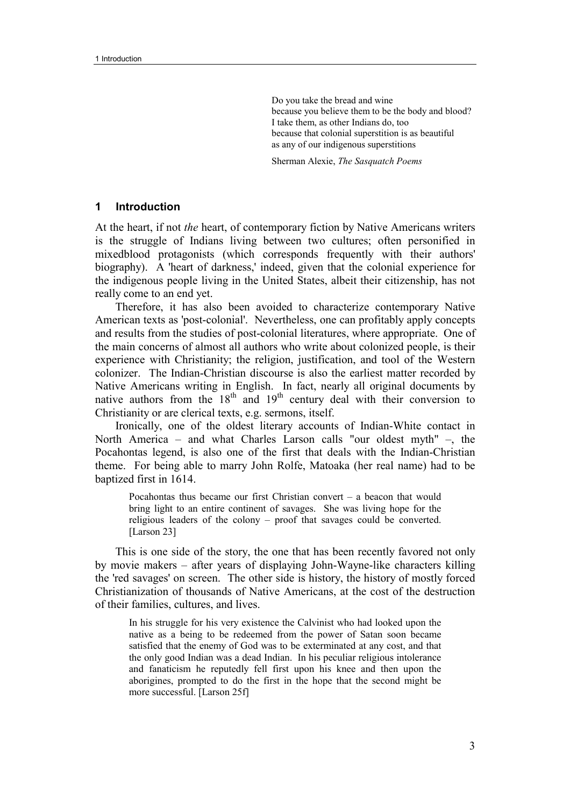Do you take the bread and wine because you believe them to be the body and blood? I take them, as other Indians do, too because that colonial superstition is as beautiful as any of our indigenous superstitions

Sherman Alexie, *The Sasquatch Poems* 

#### <span id="page-2-0"></span>**1 Introduction**

At the heart, if not *the* heart, of contemporary fiction by Native Americans writers is the struggle of Indians living between two cultures; often personified in mixedblood protagonists (which corresponds frequently with their authors' biography). A 'heart of darkness,' indeed, given that the colonial experience for the indigenous people living in the United States, albeit their citizenship, has not really come to an end yet.

Therefore, it has also been avoided to characterize contemporary Native American texts as 'post-colonial'. Nevertheless, one can profitably apply concepts and results from the studies of post-colonial literatures, where appropriate. One of the main concerns of almost all authors who write about colonized people, is their experience with Christianity; the religion, justification, and tool of the Western colonizer. The Indian-Christian discourse is also the earliest matter recorded by Native Americans writing in English. In fact, nearly all original documents by native authors from the  $18<sup>th</sup>$  and  $19<sup>th</sup>$  century deal with their conversion to Christianity or are clerical texts, e.g. sermons, itself.

Ironically, one of the oldest literary accounts of Indian-White contact in North America – and what Charles Larson calls "our oldest myth"  $-$ , the Pocahontas legend, is also one of the first that deals with the Indian-Christian theme. For being able to marry John Rolfe, Matoaka (her real name) had to be baptized first in 1614.

Pocahontas thus became our first Christian convert  $-$  a beacon that would bring light to an entire continent of savages. She was living hope for the religious leaders of the colony  $-$  proof that savages could be converted. [Larson 23]

This is one side of the story, the one that has been recently favored not only by movie makers – after years of displaying John-Wayne-like characters killing the 'red savages' on screen. The other side is history, the history of mostly forced Christianization of thousands of Native Americans, at the cost of the destruction of their families, cultures, and lives.

In his struggle for his very existence the Calvinist who had looked upon the native as a being to be redeemed from the power of Satan soon became satisfied that the enemy of God was to be exterminated at any cost, and that the only good Indian was a dead Indian. In his peculiar religious intolerance and fanaticism he reputedly fell first upon his knee and then upon the aborigines, prompted to do the first in the hope that the second might be more successful. [Larson 25f]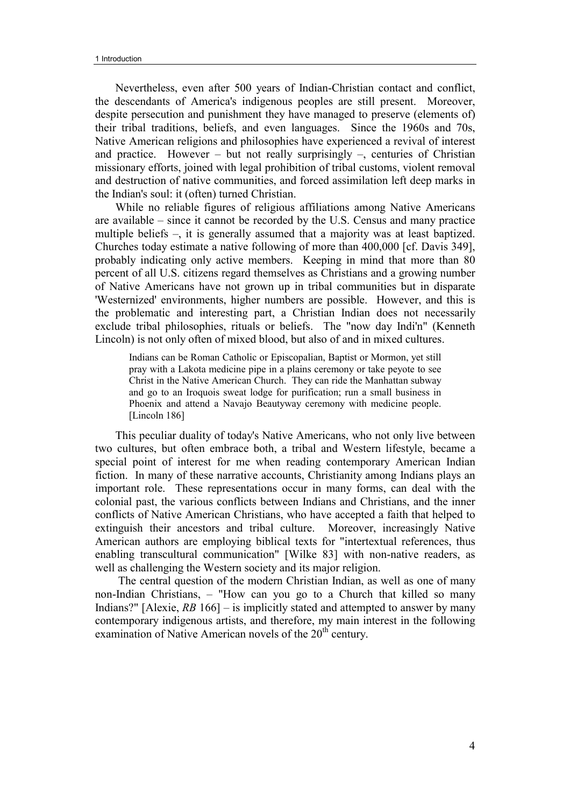Nevertheless, even after 500 years of Indian-Christian contact and conflict, the descendants of America's indigenous peoples are still present. Moreover, despite persecution and punishment they have managed to preserve (elements of) their tribal traditions, beliefs, and even languages. Since the 1960s and 70s, Native American religions and philosophies have experienced a revival of interest and practice. However  $-$  but not really surprisingly  $-$ , centuries of Christian missionary efforts, joined with legal prohibition of tribal customs, violent removal and destruction of native communities, and forced assimilation left deep marks in the Indian's soul: it (often) turned Christian.

While no reliable figures of religious affiliations among Native Americans are available  $-$  since it cannot be recorded by the U.S. Census and many practice multiple beliefs  $\overline{-}$ , it is generally assumed that a majority was at least baptized. Churches today estimate a native following of more than 400,000 [cf. Davis 349], probably indicating only active members. Keeping in mind that more than 80 percent of all U.S. citizens regard themselves as Christians and a growing number of Native Americans have not grown up in tribal communities but in disparate 'Westernized' environments, higher numbers are possible. However, and this is the problematic and interesting part, a Christian Indian does not necessarily exclude tribal philosophies, rituals or beliefs. The "now day Indi'n" (Kenneth Lincoln) is not only often of mixed blood, but also of and in mixed cultures.

Indians can be Roman Catholic or Episcopalian, Baptist or Mormon, yet still pray with a Lakota medicine pipe in a plains ceremony or take peyote to see Christ in the Native American Church. They can ride the Manhattan subway and go to an Iroquois sweat lodge for purification; run a small business in Phoenix and attend a Navajo Beautyway ceremony with medicine people. [Lincoln 186]

This peculiar duality of today's Native Americans, who not only live between two cultures, but often embrace both, a tribal and Western lifestyle, became a special point of interest for me when reading contemporary American Indian fiction. In many of these narrative accounts, Christianity among Indians plays an important role. These representations occur in many forms, can deal with the colonial past, the various conflicts between Indians and Christians, and the inner conflicts of Native American Christians, who have accepted a faith that helped to extinguish their ancestors and tribal culture. Moreover, increasingly Native American authors are employing biblical texts for "intertextual references, thus enabling transcultural communication" [Wilke 83] with non-native readers, as well as challenging the Western society and its major religion.

 The central question of the modern Christian Indian, as well as one of many non-Indian Christians,  $-$  "How can you go to a Church that killed so many Indians?" [Alexie,  $RB$  166] – is implicitly stated and attempted to answer by many contemporary indigenous artists, and therefore, my main interest in the following examination of Native American novels of the  $20<sup>th</sup>$  century.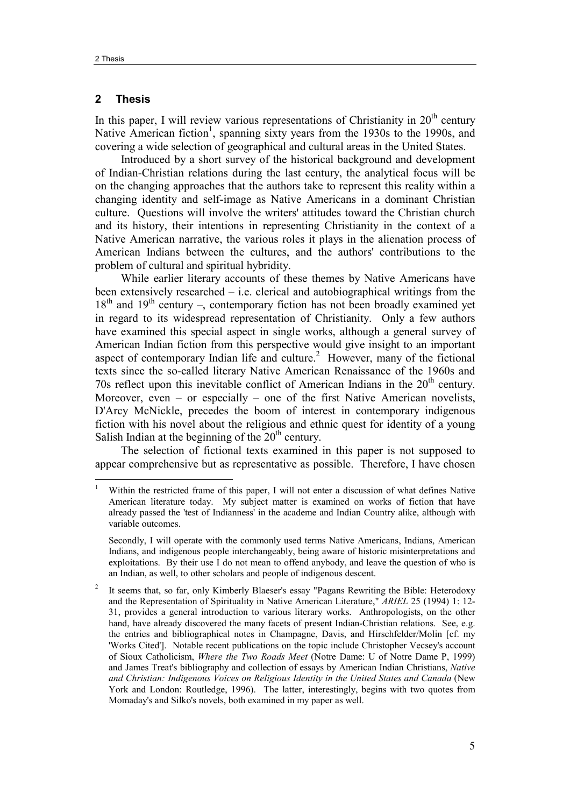#### <span id="page-4-0"></span>**2 Thesis**

In this paper, I will review various representations of Christianity in 20<sup>th</sup> century Native American fiction<sup>1</sup>, spanning sixty years from the 1930s to the 1990s, and covering a wide selection of geographical and cultural areas in the United States.

Introduced by a short survey of the historical background and development of Indian-Christian relations during the last century, the analytical focus will be on the changing approaches that the authors take to represent this reality within a changing identity and self-image as Native Americans in a dominant Christian culture. Questions will involve the writers' attitudes toward the Christian church and its history, their intentions in representing Christianity in the context of a Native American narrative, the various roles it plays in the alienation process of American Indians between the cultures, and the authors' contributions to the problem of cultural and spiritual hybridity.

While earlier literary accounts of these themes by Native Americans have been extensively researched  $-$  i.e. clerical and autobiographical writings from the  $18<sup>th</sup>$  and  $19<sup>th</sup>$  century –, contemporary fiction has not been broadly examined yet in regard to its widespread representation of Christianity. Only a few authors have examined this special aspect in single works, although a general survey of American Indian fiction from this perspective would give insight to an important aspect of contemporary Indian life and culture.<sup>2</sup> However, many of the fictional texts since the so-called literary Native American Renaissance of the 1960s and 70s reflect upon this inevitable conflict of American Indians in the  $20<sup>th</sup>$  century. Moreover, even  $-$  or especially  $-$  one of the first Native American novelists, D'Arcy McNickle, precedes the boom of interest in contemporary indigenous fiction with his novel about the religious and ethnic quest for identity of a young Salish Indian at the beginning of the  $20<sup>th</sup>$  century.

The selection of fictional texts examined in this paper is not supposed to appear comprehensive but as representative as possible. Therefore, I have chosen

<sup>1</sup> Within the restricted frame of this paper, I will not enter a discussion of what defines Native American literature today. My subject matter is examined on works of fiction that have already passed the 'test of Indianness' in the academe and Indian Country alike, although with variable outcomes.

Secondly, I will operate with the commonly used terms Native Americans, Indians, American Indians, and indigenous people interchangeably, being aware of historic misinterpretations and exploitations. By their use I do not mean to offend anybody, and leave the question of who is an Indian, as well, to other scholars and people of indigenous descent.

<sup>2</sup> It seems that, so far, only Kimberly Blaeser's essay "Pagans Rewriting the Bible: Heterodoxy and the Representation of Spirituality in Native American Literature," *ARIEL* 25 (1994) 1: 12- 31, provides a general introduction to various literary works. Anthropologists, on the other hand, have already discovered the many facets of present Indian-Christian relations. See, e.g. the entries and bibliographical notes in Champagne, Davis, and Hirschfelder/Molin [cf. my 'Works Cited']. Notable recent publications on the topic include Christopher Vecsey's account of Sioux Catholicism, *Where the Two Roads Meet* (Notre Dame: U of Notre Dame P, 1999) and James Treat's bibliography and collection of essays by American Indian Christians, *Native and Christian: Indigenous Voices on Religious Identity in the United States and Canada* (New York and London: Routledge, 1996). The latter, interestingly, begins with two quotes from Momaday's and Silko's novels, both examined in my paper as well.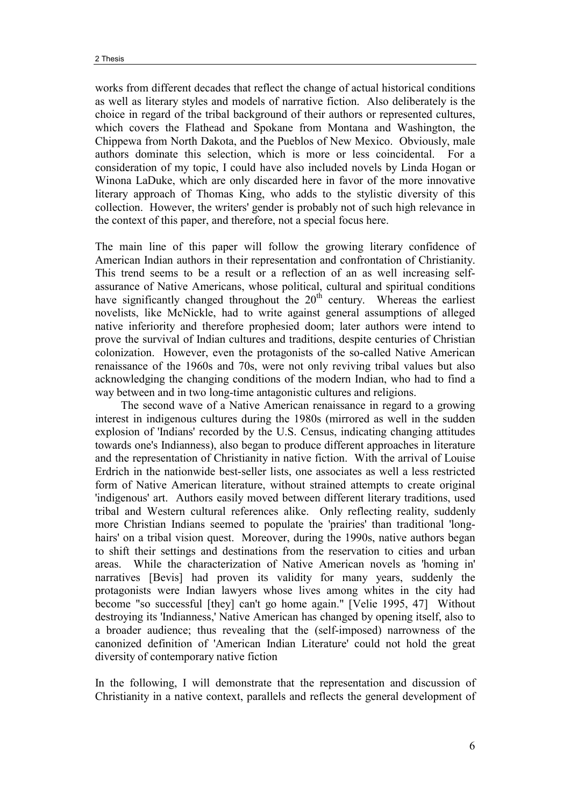works from different decades that reflect the change of actual historical conditions as well as literary styles and models of narrative fiction. Also deliberately is the choice in regard of the tribal background of their authors or represented cultures, which covers the Flathead and Spokane from Montana and Washington, the Chippewa from North Dakota, and the Pueblos of New Mexico. Obviously, male authors dominate this selection, which is more or less coincidental. For a consideration of my topic, I could have also included novels by Linda Hogan or Winona LaDuke, which are only discarded here in favor of the more innovative literary approach of Thomas King, who adds to the stylistic diversity of this collection. However, the writers' gender is probably not of such high relevance in the context of this paper, and therefore, not a special focus here.

The main line of this paper will follow the growing literary confidence of American Indian authors in their representation and confrontation of Christianity. This trend seems to be a result or a reflection of an as well increasing selfassurance of Native Americans, whose political, cultural and spiritual conditions have significantly changed throughout the  $20<sup>th</sup>$  century. Whereas the earliest novelists, like McNickle, had to write against general assumptions of alleged native inferiority and therefore prophesied doom; later authors were intend to prove the survival of Indian cultures and traditions, despite centuries of Christian colonization. However, even the protagonists of the so-called Native American renaissance of the 1960s and 70s, were not only reviving tribal values but also acknowledging the changing conditions of the modern Indian, who had to find a way between and in two long-time antagonistic cultures and religions.

The second wave of a Native American renaissance in regard to a growing interest in indigenous cultures during the 1980s (mirrored as well in the sudden explosion of 'Indians' recorded by the U.S. Census, indicating changing attitudes towards one's Indianness), also began to produce different approaches in literature and the representation of Christianity in native fiction. With the arrival of Louise Erdrich in the nationwide best-seller lists, one associates as well a less restricted form of Native American literature, without strained attempts to create original 'indigenous' art. Authors easily moved between different literary traditions, used tribal and Western cultural references alike. Only reflecting reality, suddenly more Christian Indians seemed to populate the 'prairies' than traditional 'longhairs' on a tribal vision quest. Moreover, during the 1990s, native authors began to shift their settings and destinations from the reservation to cities and urban areas. While the characterization of Native American novels as 'homing in' narratives [Bevis] had proven its validity for many years, suddenly the protagonists were Indian lawyers whose lives among whites in the city had become "so successful [they] can't go home again." [Velie 1995, 47] Without destroying its 'Indianness,' Native American has changed by opening itself, also to a broader audience; thus revealing that the (self-imposed) narrowness of the canonized definition of 'American Indian Literature' could not hold the great diversity of contemporary native fiction

In the following, I will demonstrate that the representation and discussion of Christianity in a native context, parallels and reflects the general development of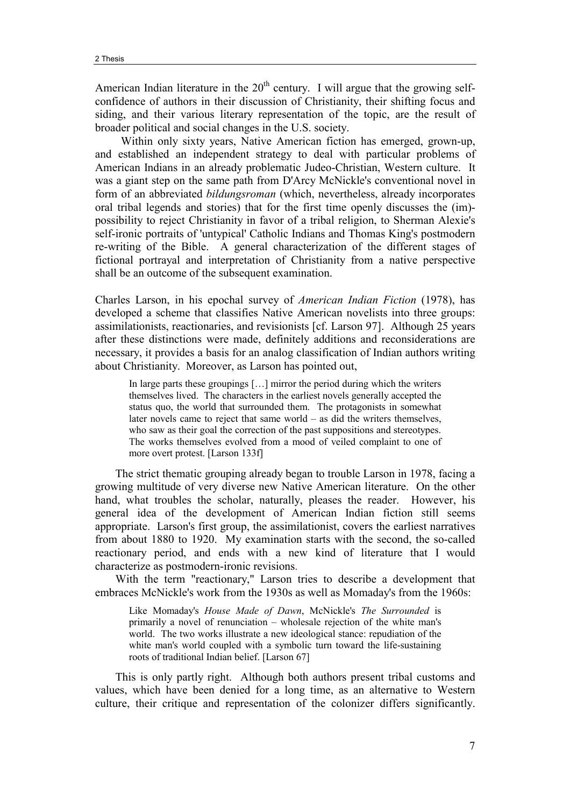American Indian literature in the  $20<sup>th</sup>$  century. I will argue that the growing selfconfidence of authors in their discussion of Christianity, their shifting focus and siding, and their various literary representation of the topic, are the result of broader political and social changes in the U.S. society.

Within only sixty years, Native American fiction has emerged, grown-up, and established an independent strategy to deal with particular problems of American Indians in an already problematic Judeo-Christian, Western culture. It was a giant step on the same path from D'Arcy McNickle's conventional novel in form of an abbreviated *bildungsroman* (which, nevertheless, already incorporates oral tribal legends and stories) that for the first time openly discusses the (im) possibility to reject Christianity in favor of a tribal religion, to Sherman Alexie's self-ironic portraits of 'untypical' Catholic Indians and Thomas King's postmodern re-writing of the Bible. A general characterization of the different stages of fictional portrayal and interpretation of Christianity from a native perspective shall be an outcome of the subsequent examination.

Charles Larson, in his epochal survey of *American Indian Fiction* (1978), has developed a scheme that classifies Native American novelists into three groups: assimilationists, reactionaries, and revisionists [cf. Larson 97]. Although 25 years after these distinctions were made, definitely additions and reconsiderations are necessary, it provides a basis for an analog classification of Indian authors writing about Christianity. Moreover, as Larson has pointed out,

In large parts these groupings  $[\dots]$  mirror the period during which the writers themselves lived. The characters in the earliest novels generally accepted the status quo, the world that surrounded them. The protagonists in somewhat later novels came to reject that same world  $-$  as did the writers themselves, who saw as their goal the correction of the past suppositions and stereotypes. The works themselves evolved from a mood of veiled complaint to one of more overt protest. [Larson 133f]

The strict thematic grouping already began to trouble Larson in 1978, facing a growing multitude of very diverse new Native American literature. On the other hand, what troubles the scholar, naturally, pleases the reader. However, his general idea of the development of American Indian fiction still seems appropriate. Larson's first group, the assimilationist, covers the earliest narratives from about 1880 to 1920. My examination starts with the second, the so-called reactionary period, and ends with a new kind of literature that I would characterize as postmodern-ironic revisions.

With the term "reactionary," Larson tries to describe a development that embraces McNickle's work from the 1930s as well as Momaday's from the 1960s:

Like Momaday's *House Made of Dawn*, McNickle's *The Surrounded* is primarily a novel of renunciation – wholesale rejection of the white man's world. The two works illustrate a new ideological stance: repudiation of the white man's world coupled with a symbolic turn toward the life-sustaining roots of traditional Indian belief. [Larson 67]

This is only partly right. Although both authors present tribal customs and values, which have been denied for a long time, as an alternative to Western culture, their critique and representation of the colonizer differs significantly.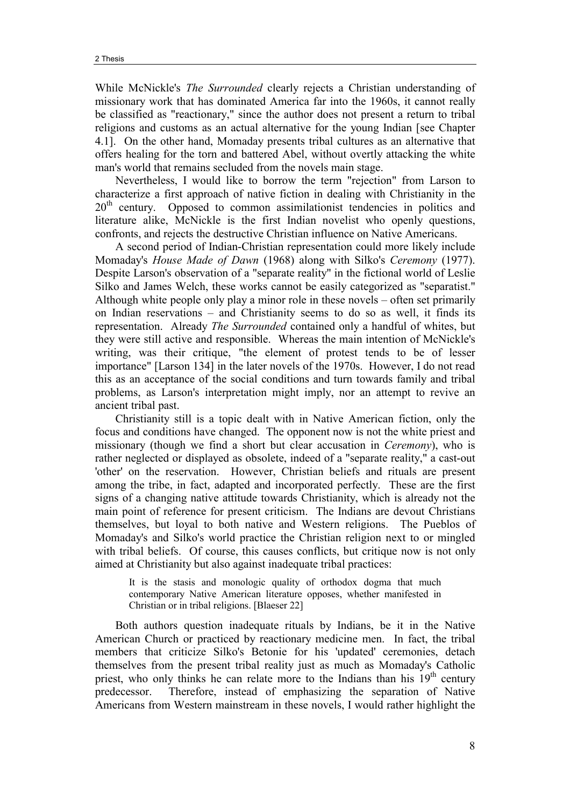While McNickle's *The Surrounded* clearly rejects a Christian understanding of missionary work that has dominated America far into the 1960s, it cannot really be classified as "reactionary," since the author does not present a return to tribal religions and customs as an actual alternative for the young Indian [see Chapter 4.1]. On the other hand, Momaday presents tribal cultures as an alternative that offers healing for the torn and battered Abel, without overtly attacking the white man's world that remains secluded from the novels main stage.

Nevertheless, I would like to borrow the term "rejection" from Larson to characterize a first approach of native fiction in dealing with Christianity in the  $20<sup>th</sup>$  century. Opposed to common assimilationist tendencies in politics and literature alike, McNickle is the first Indian novelist who openly questions, confronts, and rejects the destructive Christian influence on Native Americans.

A second period of Indian-Christian representation could more likely include Momaday's *House Made of Dawn* (1968) along with Silko's *Ceremony* (1977). Despite Larson's observation of a "separate reality" in the fictional world of Leslie Silko and James Welch, these works cannot be easily categorized as "separatist." Although white people only play a minor role in these novels  $-$  often set primarily on Indian reservations  $-$  and Christianity seems to do so as well, it finds its representation. Already *The Surrounded* contained only a handful of whites, but they were still active and responsible. Whereas the main intention of McNickle's writing, was their critique, "the element of protest tends to be of lesser importance" [Larson 134] in the later novels of the 1970s. However, I do not read this as an acceptance of the social conditions and turn towards family and tribal problems, as Larson's interpretation might imply, nor an attempt to revive an ancient tribal past.

Christianity still is a topic dealt with in Native American fiction, only the focus and conditions have changed. The opponent now is not the white priest and missionary (though we find a short but clear accusation in *Ceremony*), who is rather neglected or displayed as obsolete, indeed of a "separate reality," a cast-out 'other' on the reservation. However, Christian beliefs and rituals are present among the tribe, in fact, adapted and incorporated perfectly. These are the first signs of a changing native attitude towards Christianity, which is already not the main point of reference for present criticism. The Indians are devout Christians themselves, but loyal to both native and Western religions. The Pueblos of Momaday's and Silko's world practice the Christian religion next to or mingled with tribal beliefs. Of course, this causes conflicts, but critique now is not only aimed at Christianity but also against inadequate tribal practices:

It is the stasis and monologic quality of orthodox dogma that much contemporary Native American literature opposes, whether manifested in Christian or in tribal religions. [Blaeser 22]

Both authors question inadequate rituals by Indians, be it in the Native American Church or practiced by reactionary medicine men. In fact, the tribal members that criticize Silko's Betonie for his 'updated' ceremonies, detach themselves from the present tribal reality just as much as Momaday's Catholic priest, who only thinks he can relate more to the Indians than his  $19<sup>th</sup>$  century predecessor. Therefore, instead of emphasizing the separation of Native Americans from Western mainstream in these novels, I would rather highlight the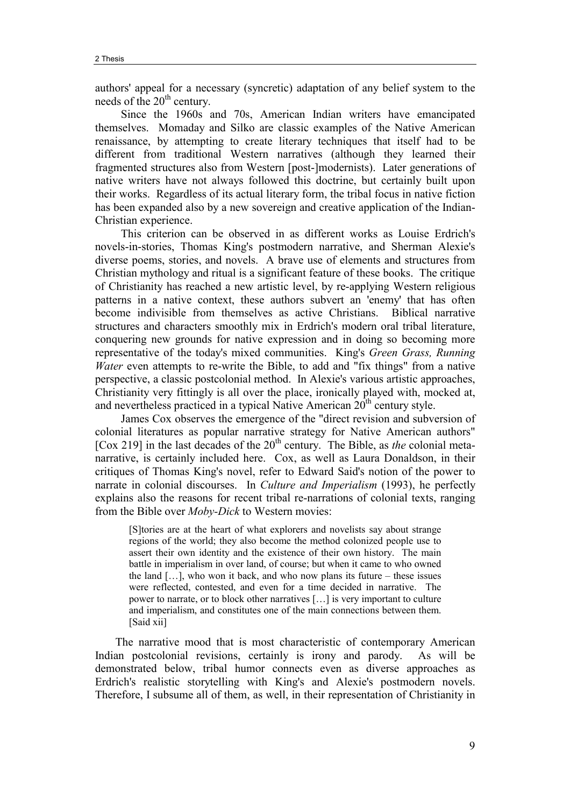authors' appeal for a necessary (syncretic) adaptation of any belief system to the needs of the  $20<sup>th</sup>$  century.

Since the 1960s and 70s, American Indian writers have emancipated themselves. Momaday and Silko are classic examples of the Native American renaissance, by attempting to create literary techniques that itself had to be different from traditional Western narratives (although they learned their fragmented structures also from Western [post-]modernists). Later generations of native writers have not always followed this doctrine, but certainly built upon their works. Regardless of its actual literary form, the tribal focus in native fiction has been expanded also by a new sovereign and creative application of the Indian-Christian experience.

This criterion can be observed in as different works as Louise Erdrich's novels-in-stories, Thomas King's postmodern narrative, and Sherman Alexie's diverse poems, stories, and novels. A brave use of elements and structures from Christian mythology and ritual is a significant feature of these books. The critique of Christianity has reached a new artistic level, by re-applying Western religious patterns in a native context, these authors subvert an 'enemy' that has often become indivisible from themselves as active Christians. Biblical narrative structures and characters smoothly mix in Erdrich's modern oral tribal literature, conquering new grounds for native expression and in doing so becoming more representative of the today's mixed communities. King's *Green Grass, Running Water* even attempts to re-write the Bible, to add and "fix things" from a native perspective, a classic postcolonial method. In Alexie's various artistic approaches, Christianity very fittingly is all over the place, ironically played with, mocked at, and nevertheless practiced in a typical Native American  $20<sup>th</sup>$  century style.

James Cox observes the emergence of the "direct revision and subversion of colonial literatures as popular narrative strategy for Native American authors" [Cox 219] in the last decades of the  $20<sup>th</sup>$  century. The Bible, as *the* colonial metanarrative, is certainly included here. Cox, as well as Laura Donaldson, in their critiques of Thomas King's novel, refer to Edward Said's notion of the power to narrate in colonial discourses. In *Culture and Imperialism* (1993), he perfectly explains also the reasons for recent tribal re-narrations of colonial texts, ranging from the Bible over *Moby-Dick* to Western movies:

[S]tories are at the heart of what explorers and novelists say about strange regions of the world; they also become the method colonized people use to assert their own identity and the existence of their own history. The main battle in imperialism in over land, of course; but when it came to who owned the land  $[\dots]$ , who won it back, and who now plans its future – these issues were reflected, contested, and even for a time decided in narrative. The power to narrate, or to block other narratives  $[\dots]$  is very important to culture and imperialism, and constitutes one of the main connections between them. [Said xii]

The narrative mood that is most characteristic of contemporary American Indian postcolonial revisions, certainly is irony and parody. As will be demonstrated below, tribal humor connects even as diverse approaches as Erdrich's realistic storytelling with King's and Alexie's postmodern novels. Therefore, I subsume all of them, as well, in their representation of Christianity in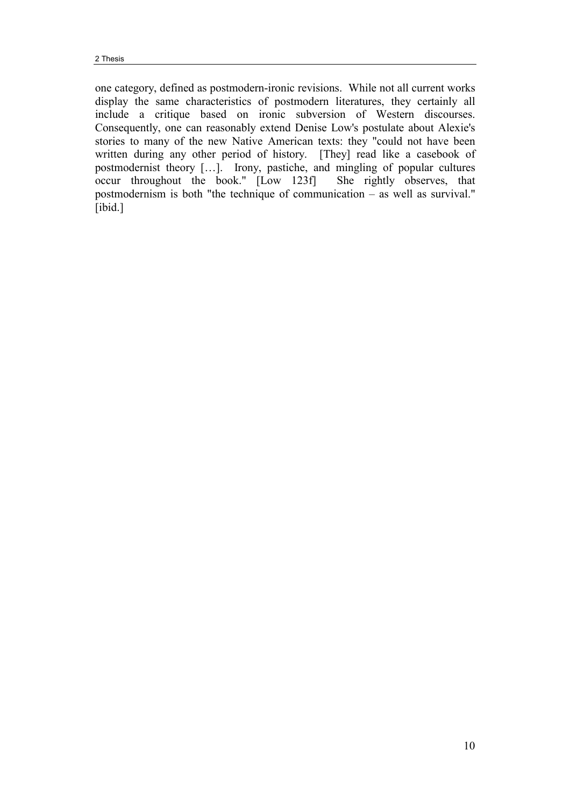one category, defined as postmodern-ironic revisions. While not all current works display the same characteristics of postmodern literatures, they certainly all include a critique based on ironic subversion of Western discourses. Consequently, one can reasonably extend Denise Low's postulate about Alexie's stories to many of the new Native American texts: they "could not have been written during any other period of history. [They] read like a casebook of postmodernist theory [...]. Irony, pastiche, and mingling of popular cultures occur throughout the book." [Low 123f] She rightly observes, that postmodernism is both "the technique of communication  $-$  as well as survival." [ibid.]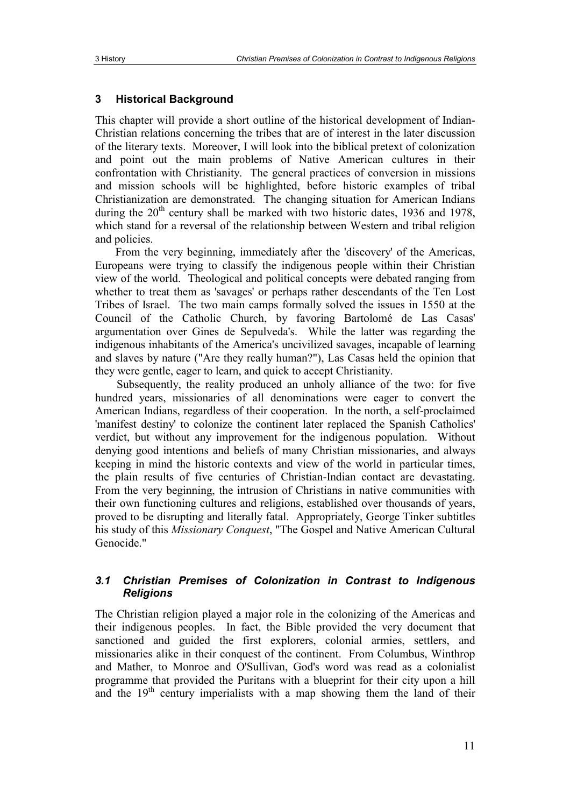# <span id="page-10-0"></span>**3 Historical Background**

This chapter will provide a short outline of the historical development of Indian-Christian relations concerning the tribes that are of interest in the later discussion of the literary texts. Moreover, I will look into the biblical pretext of colonization and point out the main problems of Native American cultures in their confrontation with Christianity. The general practices of conversion in missions and mission schools will be highlighted, before historic examples of tribal Christianization are demonstrated. The changing situation for American Indians during the  $20<sup>th</sup>$  century shall be marked with two historic dates, 1936 and 1978, which stand for a reversal of the relationship between Western and tribal religion and policies.

From the very beginning, immediately after the 'discovery' of the Americas, Europeans were trying to classify the indigenous people within their Christian view of the world. Theological and political concepts were debated ranging from whether to treat them as 'savages' or perhaps rather descendants of the Ten Lost Tribes of Israel. The two main camps formally solved the issues in 1550 at the Council of the Catholic Church, by favoring Bartolomé de Las Casas' argumentation over Gines de Sepulveda's. While the latter was regarding the indigenous inhabitants of the America's uncivilized savages, incapable of learning and slaves by nature ("Are they really human?"), Las Casas held the opinion that they were gentle, eager to learn, and quick to accept Christianity.

Subsequently, the reality produced an unholy alliance of the two: for five hundred years, missionaries of all denominations were eager to convert the American Indians, regardless of their cooperation. In the north, a self-proclaimed 'manifest destiny' to colonize the continent later replaced the Spanish Catholics' verdict, but without any improvement for the indigenous population. Without denying good intentions and beliefs of many Christian missionaries, and always keeping in mind the historic contexts and view of the world in particular times, the plain results of five centuries of Christian-Indian contact are devastating. From the very beginning, the intrusion of Christians in native communities with their own functioning cultures and religions, established over thousands of years, proved to be disrupting and literally fatal. Appropriately, George Tinker subtitles his study of this *Missionary Conquest*, "The Gospel and Native American Cultural Genocide."

# *3.1 Christian Premises of Colonization in Contrast to Indigenous Religions*

The Christian religion played a major role in the colonizing of the Americas and their indigenous peoples. In fact, the Bible provided the very document that sanctioned and guided the first explorers, colonial armies, settlers, and missionaries alike in their conquest of the continent. From Columbus, Winthrop and Mather, to Monroe and O'Sullivan, God's word was read as a colonialist programme that provided the Puritans with a blueprint for their city upon a hill and the 19<sup>th</sup> century imperialists with a map showing them the land of their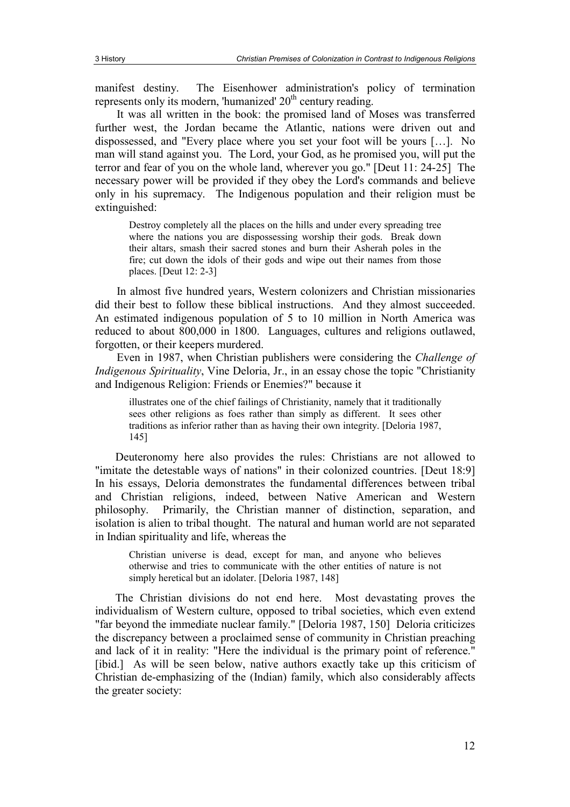manifest destiny. The Eisenhower administration's policy of termination represents only its modern, 'humanized'  $20<sup>th</sup>$  century reading.

It was all written in the book: the promised land of Moses was transferred further west, the Jordan became the Atlantic, nations were driven out and dispossessed, and "Every place where you set your foot will be yours  $[\dots]$ . No man will stand against you. The Lord, your God, as he promised you, will put the terror and fear of you on the whole land, wherever you go." [Deut 11: 24-25] The necessary power will be provided if they obey the Lord's commands and believe only in his supremacy. The Indigenous population and their religion must be extinguished:

Destroy completely all the places on the hills and under every spreading tree where the nations you are dispossessing worship their gods. Break down their altars, smash their sacred stones and burn their Asherah poles in the fire; cut down the idols of their gods and wipe out their names from those places. [Deut 12: 2-3]

In almost five hundred years, Western colonizers and Christian missionaries did their best to follow these biblical instructions. And they almost succeeded. An estimated indigenous population of 5 to 10 million in North America was reduced to about 800,000 in 1800. Languages, cultures and religions outlawed, forgotten, or their keepers murdered.

Even in 1987, when Christian publishers were considering the *Challenge of Indigenous Spirituality*, Vine Deloria, Jr., in an essay chose the topic "Christianity and Indigenous Religion: Friends or Enemies?" because it

illustrates one of the chief failings of Christianity, namely that it traditionally sees other religions as foes rather than simply as different. It sees other traditions as inferior rather than as having their own integrity. [Deloria 1987, 145]

Deuteronomy here also provides the rules: Christians are not allowed to "imitate the detestable ways of nations" in their colonized countries. [Deut 18:9] In his essays, Deloria demonstrates the fundamental differences between tribal and Christian religions, indeed, between Native American and Western philosophy. Primarily, the Christian manner of distinction, separation, and isolation is alien to tribal thought. The natural and human world are not separated in Indian spirituality and life, whereas the

Christian universe is dead, except for man, and anyone who believes otherwise and tries to communicate with the other entities of nature is not simply heretical but an idolater. [Deloria 1987, 148]

The Christian divisions do not end here. Most devastating proves the individualism of Western culture, opposed to tribal societies, which even extend "far beyond the immediate nuclear family." [Deloria 1987, 150] Deloria criticizes the discrepancy between a proclaimed sense of community in Christian preaching and lack of it in reality: "Here the individual is the primary point of reference." [ibid.] As will be seen below, native authors exactly take up this criticism of Christian de-emphasizing of the (Indian) family, which also considerably affects the greater society: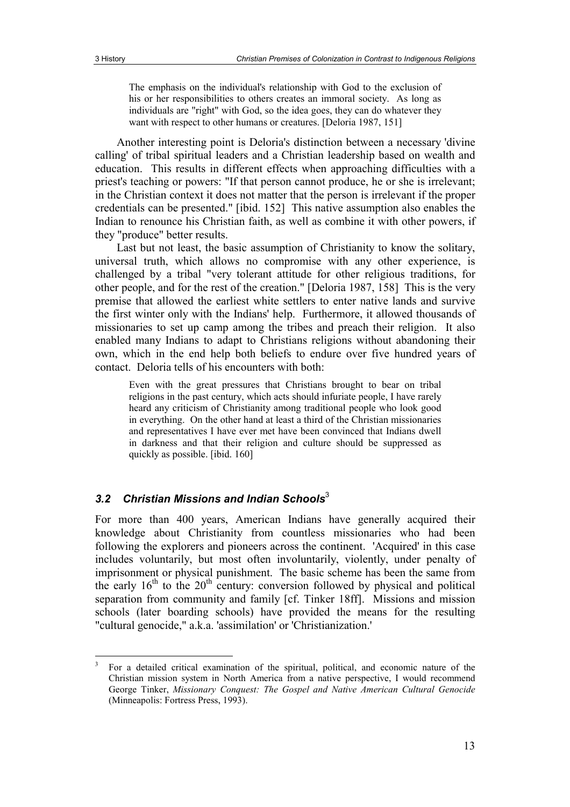<span id="page-12-0"></span>The emphasis on the individual's relationship with God to the exclusion of his or her responsibilities to others creates an immoral society. As long as individuals are "right" with God, so the idea goes, they can do whatever they want with respect to other humans or creatures. [Deloria 1987, 151]

Another interesting point is Deloria's distinction between a necessary 'divine calling' of tribal spiritual leaders and a Christian leadership based on wealth and education. This results in different effects when approaching difficulties with a priest's teaching or powers: "If that person cannot produce, he or she is irrelevant; in the Christian context it does not matter that the person is irrelevant if the proper credentials can be presented." [ibid. 152] This native assumption also enables the Indian to renounce his Christian faith, as well as combine it with other powers, if they "produce" better results.

Last but not least, the basic assumption of Christianity to know the solitary, universal truth, which allows no compromise with any other experience, is challenged by a tribal "very tolerant attitude for other religious traditions, for other people, and for the rest of the creation." [Deloria 1987, 158] This is the very premise that allowed the earliest white settlers to enter native lands and survive the first winter only with the Indians' help. Furthermore, it allowed thousands of missionaries to set up camp among the tribes and preach their religion. It also enabled many Indians to adapt to Christians religions without abandoning their own, which in the end help both beliefs to endure over five hundred years of contact. Deloria tells of his encounters with both:

Even with the great pressures that Christians brought to bear on tribal religions in the past century, which acts should infuriate people, I have rarely heard any criticism of Christianity among traditional people who look good in everything. On the other hand at least a third of the Christian missionaries and representatives I have ever met have been convinced that Indians dwell in darkness and that their religion and culture should be suppressed as quickly as possible. [ibid. 160]

# *3.2 Christian Missions and Indian Schools*<sup>3</sup>

For more than 400 years, American Indians have generally acquired their knowledge about Christianity from countless missionaries who had been following the explorers and pioneers across the continent. 'Acquired' in this case includes voluntarily, but most often involuntarily, violently, under penalty of imprisonment or physical punishment. The basic scheme has been the same from the early  $16<sup>th</sup>$  to the  $20<sup>th</sup>$  century: conversion followed by physical and political separation from community and family [cf. Tinker 18ff]. Missions and mission schools (later boarding schools) have provided the means for the resulting "cultural genocide," a.k.a. 'assimilation' or 'Christianization.'

<sup>3</sup> For a detailed critical examination of the spiritual, political, and economic nature of the Christian mission system in North America from a native perspective, I would recommend George Tinker, *Missionary Conquest: The Gospel and Native American Cultural Genocide* (Minneapolis: Fortress Press, 1993).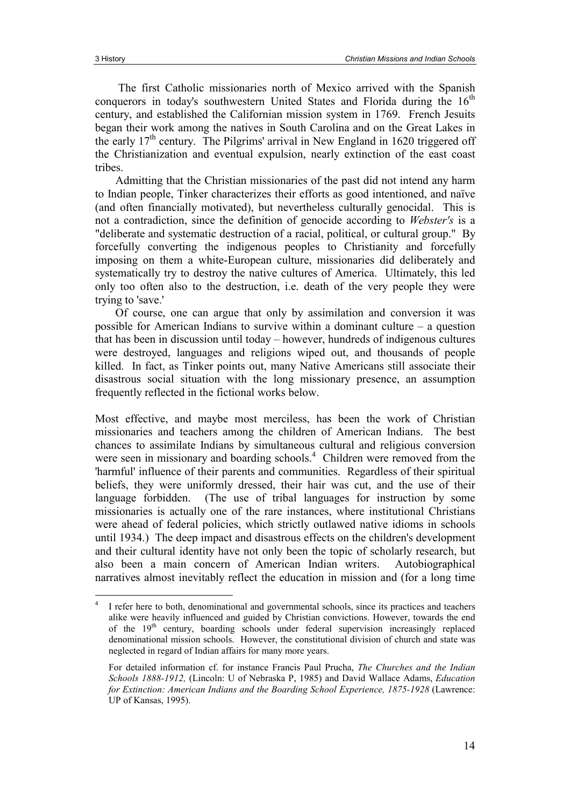The first Catholic missionaries north of Mexico arrived with the Spanish conquerors in today's southwestern United States and Florida during the  $16<sup>th</sup>$ century, and established the Californian mission system in 1769. French Jesuits began their work among the natives in South Carolina and on the Great Lakes in the early  $17<sup>th</sup>$  century. The Pilgrims' arrival in New England in 1620 triggered off the Christianization and eventual expulsion, nearly extinction of the east coast tribes.

Admitting that the Christian missionaries of the past did not intend any harm to Indian people, Tinker characterizes their efforts as good intentioned, and naïve (and often financially motivated), but nevertheless culturally genocidal. This is not a contradiction, since the definition of genocide according to *Webster's* is a "deliberate and systematic destruction of a racial, political, or cultural group." By forcefully converting the indigenous peoples to Christianity and forcefully imposing on them a white-European culture, missionaries did deliberately and systematically try to destroy the native cultures of America. Ultimately, this led only too often also to the destruction, i.e. death of the very people they were trying to 'save.'

Of course, one can argue that only by assimilation and conversion it was possible for American Indians to survive within a dominant culture  $-$  a question that has been in discussion until today  $-$  however, hundreds of indigenous cultures were destroyed, languages and religions wiped out, and thousands of people killed. In fact, as Tinker points out, many Native Americans still associate their disastrous social situation with the long missionary presence, an assumption frequently reflected in the fictional works below.

Most effective, and maybe most merciless, has been the work of Christian missionaries and teachers among the children of American Indians. The best chances to assimilate Indians by simultaneous cultural and religious conversion were seen in missionary and boarding schools.<sup>4</sup> Children were removed from the 'harmful' influence of their parents and communities. Regardless of their spiritual beliefs, they were uniformly dressed, their hair was cut, and the use of their language forbidden. (The use of tribal languages for instruction by some missionaries is actually one of the rare instances, where institutional Christians were ahead of federal policies, which strictly outlawed native idioms in schools until 1934.) The deep impact and disastrous effects on the children's development and their cultural identity have not only been the topic of scholarly research, but also been a main concern of American Indian writers. Autobiographical narratives almost inevitably reflect the education in mission and (for a long time

<sup>4</sup> I refer here to both, denominational and governmental schools, since its practices and teachers alike were heavily influenced and guided by Christian convictions. However, towards the end of the 19<sup>th</sup> century, boarding schools under federal supervision increasingly replaced denominational mission schools. However, the constitutional division of church and state was neglected in regard of Indian affairs for many more years.

For detailed information cf. for instance Francis Paul Prucha, *The Churches and the Indian Schools 1888-1912,* (Lincoln: U of Nebraska P, 1985) and David Wallace Adams, *Education for Extinction: American Indians and the Boarding School Experience, 1875-1928* (Lawrence: UP of Kansas, 1995).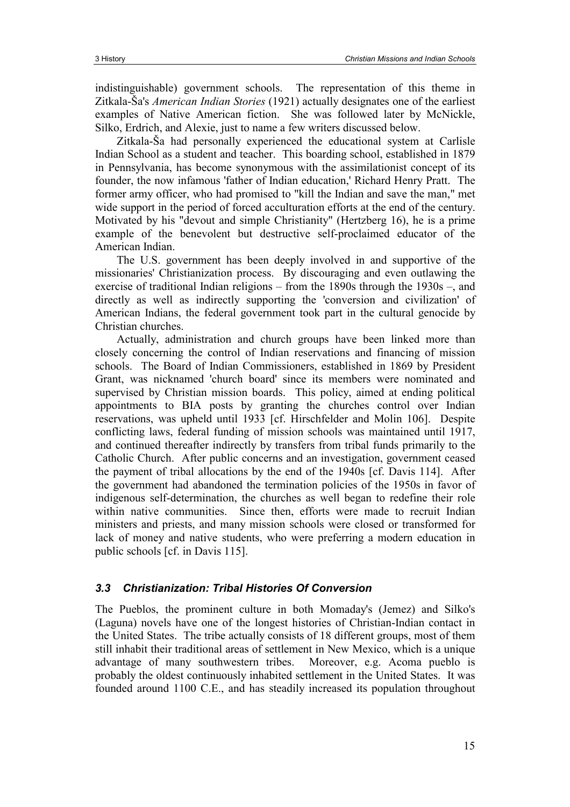<span id="page-14-0"></span>indistinguishable) government schools. The representation of this theme in Zitkala-äa's *American Indian Stories* (1921) actually designates one of the earliest examples of Native American fiction. She was followed later by McNickle, Silko, Erdrich, and Alexie, just to name a few writers discussed below.

Zitkala-äa had personally experienced the educational system at Carlisle Indian School as a student and teacher. This boarding school, established in 1879 in Pennsylvania, has become synonymous with the assimilationist concept of its founder, the now infamous 'father of Indian education,' Richard Henry Pratt. The former army officer, who had promised to "kill the Indian and save the man," met wide support in the period of forced acculturation efforts at the end of the century. Motivated by his "devout and simple Christianity" (Hertzberg 16), he is a prime example of the benevolent but destructive self-proclaimed educator of the American Indian.

The U.S. government has been deeply involved in and supportive of the missionaries' Christianization process. By discouraging and even outlawing the exercise of traditional Indian religions – from the 1890s through the  $1930s$  –, and directly as well as indirectly supporting the 'conversion and civilization' of American Indians, the federal government took part in the cultural genocide by Christian churches.

Actually, administration and church groups have been linked more than closely concerning the control of Indian reservations and financing of mission schools. The Board of Indian Commissioners, established in 1869 by President Grant, was nicknamed 'church board' since its members were nominated and supervised by Christian mission boards. This policy, aimed at ending political appointments to BIA posts by granting the churches control over Indian reservations, was upheld until 1933 [cf. Hirschfelder and Molin 106]. Despite conflicting laws, federal funding of mission schools was maintained until 1917, and continued thereafter indirectly by transfers from tribal funds primarily to the Catholic Church. After public concerns and an investigation, government ceased the payment of tribal allocations by the end of the 1940s [cf. Davis 114]. After the government had abandoned the termination policies of the 1950s in favor of indigenous self-determination, the churches as well began to redefine their role within native communities. Since then, efforts were made to recruit Indian ministers and priests, and many mission schools were closed or transformed for lack of money and native students, who were preferring a modern education in public schools [cf. in Davis 115].

#### *3.3 Christianization: Tribal Histories Of Conversion*

The Pueblos, the prominent culture in both Momaday's (Jemez) and Silko's (Laguna) novels have one of the longest histories of Christian-Indian contact in the United States. The tribe actually consists of 18 different groups, most of them still inhabit their traditional areas of settlement in New Mexico, which is a unique advantage of many southwestern tribes. Moreover, e.g. Acoma pueblo is probably the oldest continuously inhabited settlement in the United States. It was founded around 1100 C.E., and has steadily increased its population throughout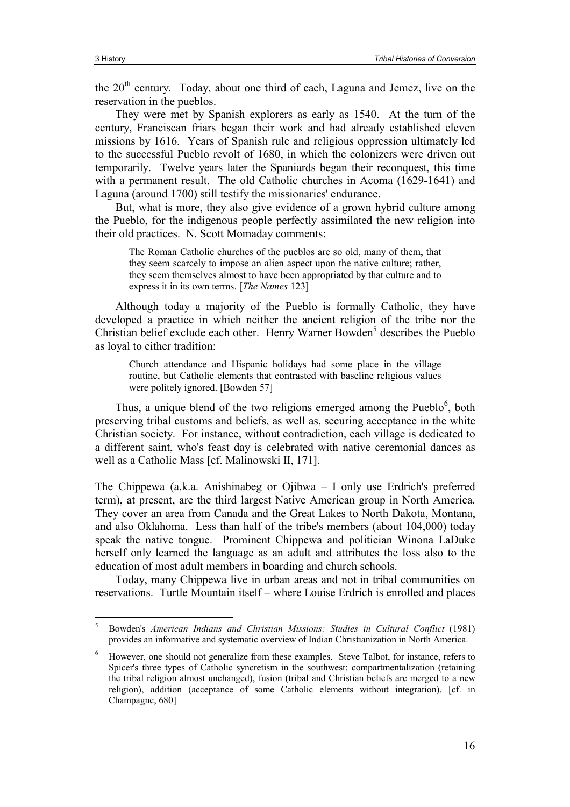the  $20<sup>th</sup>$  century. Today, about one third of each, Laguna and Jemez, live on the reservation in the pueblos.

They were met by Spanish explorers as early as 1540. At the turn of the century, Franciscan friars began their work and had already established eleven missions by 1616. Years of Spanish rule and religious oppression ultimately led to the successful Pueblo revolt of 1680, in which the colonizers were driven out temporarily. Twelve years later the Spaniards began their reconquest, this time with a permanent result. The old Catholic churches in Acoma (1629-1641) and Laguna (around 1700) still testify the missionaries' endurance.

But, what is more, they also give evidence of a grown hybrid culture among the Pueblo, for the indigenous people perfectly assimilated the new religion into their old practices. N. Scott Momaday comments:

The Roman Catholic churches of the pueblos are so old, many of them, that they seem scarcely to impose an alien aspect upon the native culture; rather, they seem themselves almost to have been appropriated by that culture and to express it in its own terms. [*The Names* 123]

Although today a majority of the Pueblo is formally Catholic, they have developed a practice in which neither the ancient religion of the tribe nor the Christian belief exclude each other. Henry Warner Bowden<sup>5</sup> describes the Pueblo as loyal to either tradition:

Church attendance and Hispanic holidays had some place in the village routine, but Catholic elements that contrasted with baseline religious values were politely ignored. [Bowden 57]

Thus, a unique blend of the two religions emerged among the Pueblo $\delta$ , both preserving tribal customs and beliefs, as well as, securing acceptance in the white Christian society. For instance, without contradiction, each village is dedicated to a different saint, who's feast day is celebrated with native ceremonial dances as well as a Catholic Mass [cf. Malinowski II, 171].

The Chippewa (a.k.a. Anishinabeg or Ojibwa  $-$  I only use Erdrich's preferred term), at present, are the third largest Native American group in North America. They cover an area from Canada and the Great Lakes to North Dakota, Montana, and also Oklahoma. Less than half of the tribe's members (about 104,000) today speak the native tongue. Prominent Chippewa and politician Winona LaDuke herself only learned the language as an adult and attributes the loss also to the education of most adult members in boarding and church schools.

Today, many Chippewa live in urban areas and not in tribal communities on reservations. Turtle Mountain itself – where Louise Erdrich is enrolled and places

<sup>5</sup> Bowden's *American Indians and Christian Missions: Studies in Cultural Conflict* (1981) provides an informative and systematic overview of Indian Christianization in North America.

<sup>6</sup> However, one should not generalize from these examples. Steve Talbot, for instance, refers to Spicer's three types of Catholic syncretism in the southwest: compartmentalization (retaining the tribal religion almost unchanged), fusion (tribal and Christian beliefs are merged to a new religion), addition (acceptance of some Catholic elements without integration). [cf. in Champagne, 680]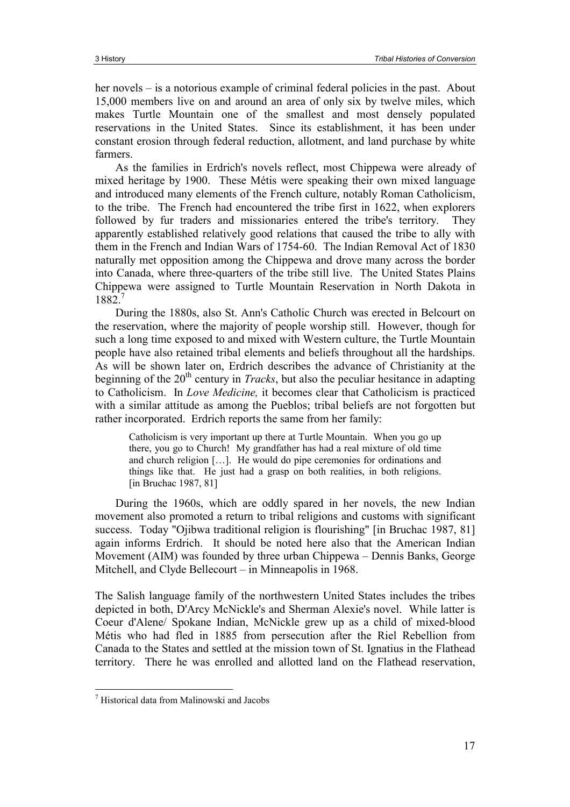her novels – is a notorious example of criminal federal policies in the past. About 15,000 members live on and around an area of only six by twelve miles, which makes Turtle Mountain one of the smallest and most densely populated reservations in the United States. Since its establishment, it has been under constant erosion through federal reduction, allotment, and land purchase by white farmers.

As the families in Erdrich's novels reflect, most Chippewa were already of mixed heritage by 1900. These Métis were speaking their own mixed language and introduced many elements of the French culture, notably Roman Catholicism, to the tribe. The French had encountered the tribe first in 1622, when explorers followed by fur traders and missionaries entered the tribe's territory. They apparently established relatively good relations that caused the tribe to ally with them in the French and Indian Wars of 1754-60. The Indian Removal Act of 1830 naturally met opposition among the Chippewa and drove many across the border into Canada, where three-quarters of the tribe still live. The United States Plains Chippewa were assigned to Turtle Mountain Reservation in North Dakota in 1882<sup>7</sup>

During the 1880s, also St. Ann's Catholic Church was erected in Belcourt on the reservation, where the majority of people worship still. However, though for such a long time exposed to and mixed with Western culture, the Turtle Mountain people have also retained tribal elements and beliefs throughout all the hardships. As will be shown later on, Erdrich describes the advance of Christianity at the beginning of the  $20<sup>th</sup>$  century in *Tracks*, but also the peculiar hesitance in adapting to Catholicism. In *Love Medicine,* it becomes clear that Catholicism is practiced with a similar attitude as among the Pueblos; tribal beliefs are not forgotten but rather incorporated. Erdrich reports the same from her family:

Catholicism is very important up there at Turtle Mountain. When you go up there, you go to Church! My grandfather has had a real mixture of old time and church religion [...]. He would do pipe ceremonies for ordinations and things like that. He just had a grasp on both realities, in both religions. [in Bruchac 1987, 81]

During the 1960s, which are oddly spared in her novels, the new Indian movement also promoted a return to tribal religions and customs with significant success. Today "Ojibwa traditional religion is flourishing" [in Bruchac 1987, 81] again informs Erdrich. It should be noted here also that the American Indian Movement (AIM) was founded by three urban Chippewa – Dennis Banks, George Mitchell, and Clyde Bellecourt – in Minneapolis in 1968.

The Salish language family of the northwestern United States includes the tribes depicted in both, D'Arcy McNickle's and Sherman Alexie's novel. While latter is Coeur d'Alene/ Spokane Indian, McNickle grew up as a child of mixed-blood MÈtis who had fled in 1885 from persecution after the Riel Rebellion from Canada to the States and settled at the mission town of St. Ignatius in the Flathead territory. There he was enrolled and allotted land on the Flathead reservation,

 $\overline{a}$ 

<sup>7</sup> Historical data from Malinowski and Jacobs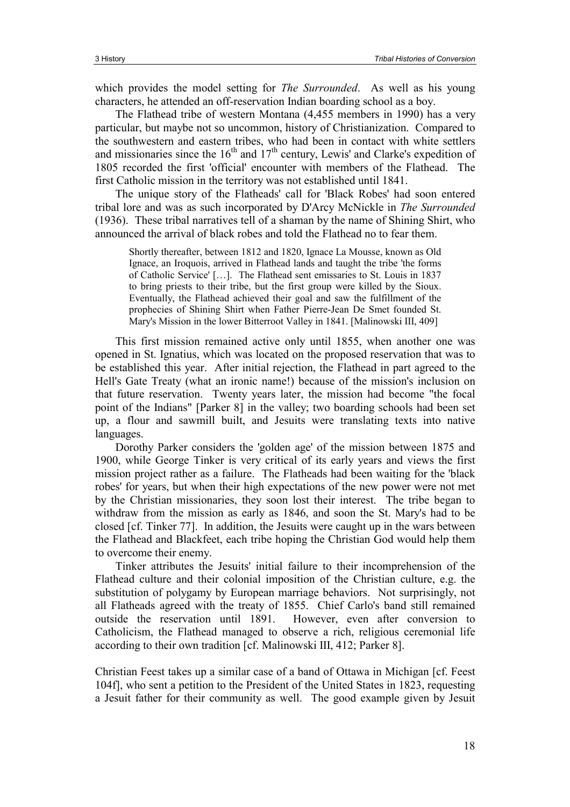which provides the model setting for *The Surrounded*. As well as his young characters, he attended an off-reservation Indian boarding school as a boy.

The Flathead tribe of western Montana (4,455 members in 1990) has a very particular, but maybe not so uncommon, history of Christianization. Compared to the southwestern and eastern tribes, who had been in contact with white settlers and missionaries since the  $16<sup>th</sup>$  and  $17<sup>th</sup>$  century, Lewis' and Clarke's expedition of 1805 recorded the first 'official' encounter with members of the Flathead. The first Catholic mission in the territory was not established until 1841.

The unique story of the Flatheads' call for 'Black Robes' had soon entered tribal lore and was as such incorporated by D'Arcy McNickle in *The Surrounded* (1936). These tribal narratives tell of a shaman by the name of Shining Shirt, who announced the arrival of black robes and told the Flathead no to fear them.

Shortly thereafter, between 1812 and 1820, Ignace La Mousse, known as Old Ignace, an Iroquois, arrived in Flathead lands and taught the tribe 'the forms of Catholic Service' [...]. The Flathead sent emissaries to St. Louis in 1837 to bring priests to their tribe, but the first group were killed by the Sioux. Eventually, the Flathead achieved their goal and saw the fulfillment of the prophecies of Shining Shirt when Father Pierre-Jean De Smet founded St. Mary's Mission in the lower Bitterroot Valley in 1841. [Malinowski III, 409]

This first mission remained active only until 1855, when another one was opened in St. Ignatius, which was located on the proposed reservation that was to be established this year. After initial rejection, the Flathead in part agreed to the Hell's Gate Treaty (what an ironic name!) because of the mission's inclusion on that future reservation. Twenty years later, the mission had become "the focal point of the Indians" [Parker 8] in the valley; two boarding schools had been set up, a flour and sawmill built, and Jesuits were translating texts into native languages.

Dorothy Parker considers the 'golden age' of the mission between 1875 and 1900, while George Tinker is very critical of its early years and views the first mission project rather as a failure. The Flatheads had been waiting for the 'black robes' for years, but when their high expectations of the new power were not met by the Christian missionaries, they soon lost their interest. The tribe began to withdraw from the mission as early as 1846, and soon the St. Mary's had to be closed [cf. Tinker 77]. In addition, the Jesuits were caught up in the wars between the Flathead and Blackfeet, each tribe hoping the Christian God would help them to overcome their enemy.

Tinker attributes the Jesuits' initial failure to their incomprehension of the Flathead culture and their colonial imposition of the Christian culture, e.g. the substitution of polygamy by European marriage behaviors. Not surprisingly, not all Flatheads agreed with the treaty of 1855. Chief Carlo's band still remained outside the reservation until 1891. However, even after conversion to Catholicism, the Flathead managed to observe a rich, religious ceremonial life according to their own tradition [cf. Malinowski III, 412; Parker 8].

Christian Feest takes up a similar case of a band of Ottawa in Michigan [cf. Feest 104f], who sent a petition to the President of the United States in 1823, requesting a Jesuit father for their community as well. The good example given by Jesuit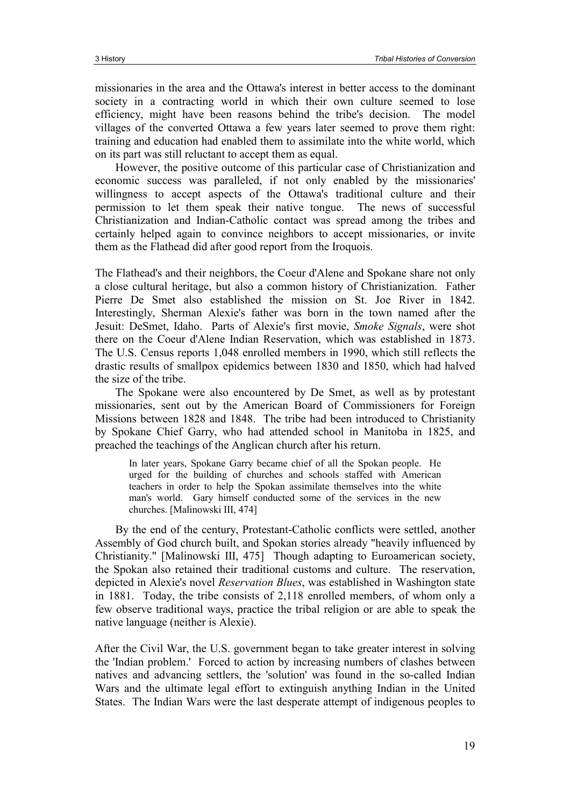missionaries in the area and the Ottawa's interest in better access to the dominant society in a contracting world in which their own culture seemed to lose efficiency, might have been reasons behind the tribe's decision. The model villages of the converted Ottawa a few years later seemed to prove them right: training and education had enabled them to assimilate into the white world, which on its part was still reluctant to accept them as equal.

However, the positive outcome of this particular case of Christianization and economic success was paralleled, if not only enabled by the missionaries' willingness to accept aspects of the Ottawa's traditional culture and their permission to let them speak their native tongue. The news of successful Christianization and Indian-Catholic contact was spread among the tribes and certainly helped again to convince neighbors to accept missionaries, or invite them as the Flathead did after good report from the Iroquois.

The Flathead's and their neighbors, the Coeur d'Alene and Spokane share not only a close cultural heritage, but also a common history of Christianization. Father Pierre De Smet also established the mission on St. Joe River in 1842. Interestingly, Sherman Alexie's father was born in the town named after the Jesuit: DeSmet, Idaho. Parts of Alexie's first movie, *Smoke Signals*, were shot there on the Coeur d'Alene Indian Reservation, which was established in 1873. The U.S. Census reports 1,048 enrolled members in 1990, which still reflects the drastic results of smallpox epidemics between 1830 and 1850, which had halved the size of the tribe.

The Spokane were also encountered by De Smet, as well as by protestant missionaries, sent out by the American Board of Commissioners for Foreign Missions between 1828 and 1848. The tribe had been introduced to Christianity by Spokane Chief Garry, who had attended school in Manitoba in 1825, and preached the teachings of the Anglican church after his return.

In later years, Spokane Garry became chief of all the Spokan people. He urged for the building of churches and schools staffed with American teachers in order to help the Spokan assimilate themselves into the white man's world. Gary himself conducted some of the services in the new churches. [Malinowski III, 474]

By the end of the century, Protestant-Catholic conflicts were settled, another Assembly of God church built, and Spokan stories already "heavily influenced by Christianity." [Malinowski III, 475] Though adapting to Euroamerican society, the Spokan also retained their traditional customs and culture. The reservation, depicted in Alexie's novel *Reservation Blues*, was established in Washington state in 1881. Today, the tribe consists of 2,118 enrolled members, of whom only a few observe traditional ways, practice the tribal religion or are able to speak the native language (neither is Alexie).

After the Civil War, the U.S. government began to take greater interest in solving the 'Indian problem.' Forced to action by increasing numbers of clashes between natives and advancing settlers, the 'solution' was found in the so-called Indian Wars and the ultimate legal effort to extinguish anything Indian in the United States. The Indian Wars were the last desperate attempt of indigenous peoples to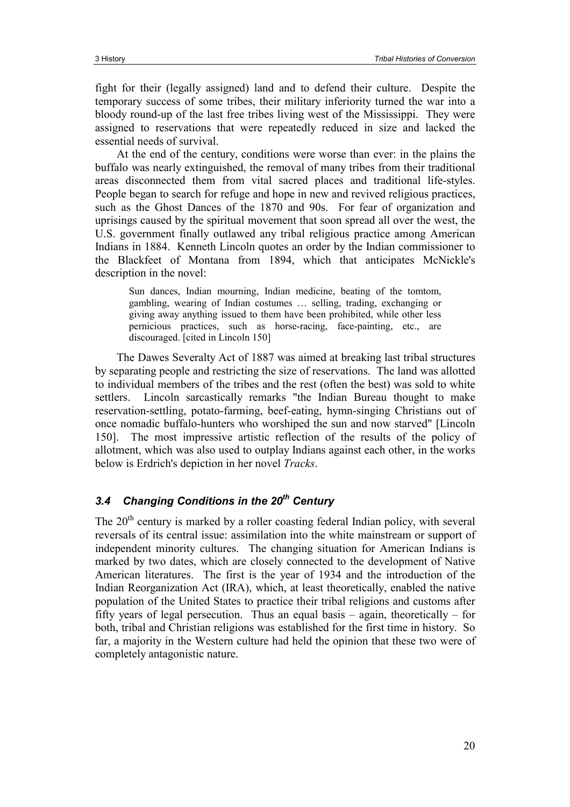<span id="page-19-0"></span>fight for their (legally assigned) land and to defend their culture. Despite the temporary success of some tribes, their military inferiority turned the war into a bloody round-up of the last free tribes living west of the Mississippi. They were assigned to reservations that were repeatedly reduced in size and lacked the essential needs of survival.

At the end of the century, conditions were worse than ever: in the plains the buffalo was nearly extinguished, the removal of many tribes from their traditional areas disconnected them from vital sacred places and traditional life-styles. People began to search for refuge and hope in new and revived religious practices, such as the Ghost Dances of the 1870 and 90s. For fear of organization and uprisings caused by the spiritual movement that soon spread all over the west, the U.S. government finally outlawed any tribal religious practice among American Indians in 1884. Kenneth Lincoln quotes an order by the Indian commissioner to the Blackfeet of Montana from 1894, which that anticipates McNickle's description in the novel:

Sun dances, Indian mourning, Indian medicine, beating of the tomtom, gambling, wearing of Indian costumes ... selling, trading, exchanging or giving away anything issued to them have been prohibited, while other less pernicious practices, such as horse-racing, face-painting, etc., are discouraged. [cited in Lincoln 150]

The Dawes Severalty Act of 1887 was aimed at breaking last tribal structures by separating people and restricting the size of reservations. The land was allotted to individual members of the tribes and the rest (often the best) was sold to white settlers. Lincoln sarcastically remarks "the Indian Bureau thought to make reservation-settling, potato-farming, beef-eating, hymn-singing Christians out of once nomadic buffalo-hunters who worshiped the sun and now starved" [Lincoln 150]. The most impressive artistic reflection of the results of the policy of allotment, which was also used to outplay Indians against each other, in the works below is Erdrich's depiction in her novel *Tracks*.

# 3.4 Changing Conditions in the 20<sup>th</sup> Century

The 20<sup>th</sup> century is marked by a roller coasting federal Indian policy, with several reversals of its central issue: assimilation into the white mainstream or support of independent minority cultures. The changing situation for American Indians is marked by two dates, which are closely connected to the development of Native American literatures. The first is the year of 1934 and the introduction of the Indian Reorganization Act (IRA), which, at least theoretically, enabled the native population of the United States to practice their tribal religions and customs after fifty years of legal persecution. Thus an equal basis  $-$  again, theoretically  $-$  for both, tribal and Christian religions was established for the first time in history. So far, a majority in the Western culture had held the opinion that these two were of completely antagonistic nature.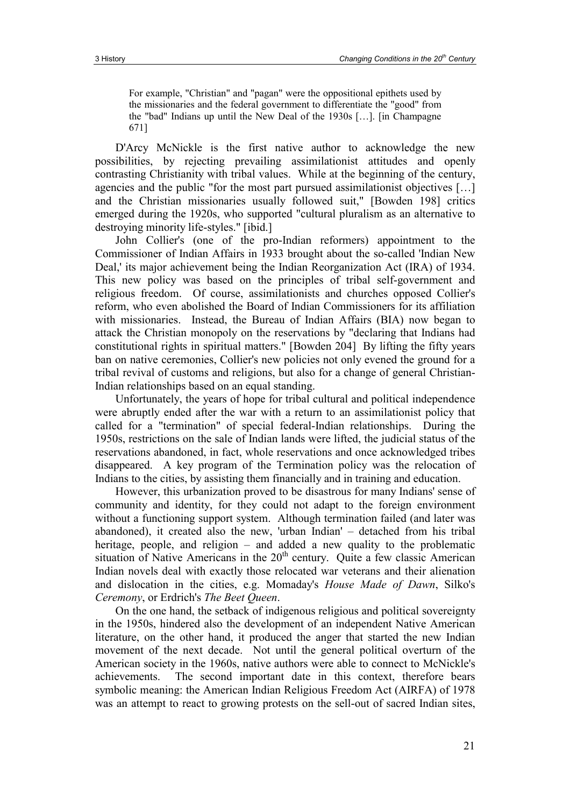For example, "Christian" and "pagan" were the oppositional epithets used by the missionaries and the federal government to differentiate the "good" from the "bad" Indians up until the New Deal of the  $1930s$  [...]. [in Champagne 671]

D'Arcy McNickle is the first native author to acknowledge the new possibilities, by rejecting prevailing assimilationist attitudes and openly contrasting Christianity with tribal values. While at the beginning of the century, agencies and the public "for the most part pursued assimilationist objectives  $[\dots]$ and the Christian missionaries usually followed suit," [Bowden 198] critics emerged during the 1920s, who supported "cultural pluralism as an alternative to destroying minority life-styles." [ibid.]

John Collier's (one of the pro-Indian reformers) appointment to the Commissioner of Indian Affairs in 1933 brought about the so-called 'Indian New Deal,' its major achievement being the Indian Reorganization Act (IRA) of 1934. This new policy was based on the principles of tribal self-government and religious freedom. Of course, assimilationists and churches opposed Collier's reform, who even abolished the Board of Indian Commissioners for its affiliation with missionaries. Instead, the Bureau of Indian Affairs (BIA) now began to attack the Christian monopoly on the reservations by "declaring that Indians had constitutional rights in spiritual matters." [Bowden 204] By lifting the fifty years ban on native ceremonies, Collier's new policies not only evened the ground for a tribal revival of customs and religions, but also for a change of general Christian-Indian relationships based on an equal standing.

Unfortunately, the years of hope for tribal cultural and political independence were abruptly ended after the war with a return to an assimilationist policy that called for a "termination" of special federal-Indian relationships. During the 1950s, restrictions on the sale of Indian lands were lifted, the judicial status of the reservations abandoned, in fact, whole reservations and once acknowledged tribes disappeared. A key program of the Termination policy was the relocation of Indians to the cities, by assisting them financially and in training and education.

However, this urbanization proved to be disastrous for many Indians' sense of community and identity, for they could not adapt to the foreign environment without a functioning support system. Although termination failed (and later was abandoned), it created also the new, 'urban Indian'  $-$  detached from his tribal heritage, people, and religion  $-$  and added a new quality to the problematic situation of Native Americans in the  $20<sup>th</sup>$  century. Quite a few classic American Indian novels deal with exactly those relocated war veterans and their alienation and dislocation in the cities, e.g. Momaday's *House Made of Dawn*, Silko's *Ceremony*, or Erdrich's *The Beet Queen*.

On the one hand, the setback of indigenous religious and political sovereignty in the 1950s, hindered also the development of an independent Native American literature, on the other hand, it produced the anger that started the new Indian movement of the next decade. Not until the general political overturn of the American society in the 1960s, native authors were able to connect to McNickle's achievements. The second important date in this context, therefore bears symbolic meaning: the American Indian Religious Freedom Act (AIRFA) of 1978 was an attempt to react to growing protests on the sell-out of sacred Indian sites,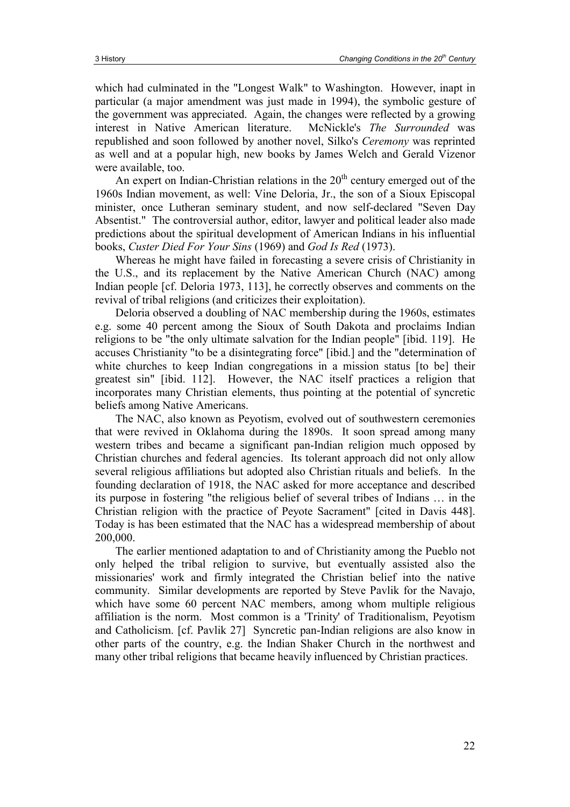which had culminated in the "Longest Walk" to Washington. However, inapt in particular (a major amendment was just made in 1994), the symbolic gesture of the government was appreciated. Again, the changes were reflected by a growing interest in Native American literature. McNickle's *The Surrounded* was republished and soon followed by another novel, Silko's *Ceremony* was reprinted as well and at a popular high, new books by James Welch and Gerald Vizenor were available, too.

An expert on Indian-Christian relations in the  $20<sup>th</sup>$  century emerged out of the 1960s Indian movement, as well: Vine Deloria, Jr., the son of a Sioux Episcopal minister, once Lutheran seminary student, and now self-declared "Seven Day Absentist." The controversial author, editor, lawyer and political leader also made predictions about the spiritual development of American Indians in his influential books, *Custer Died For Your Sins* (1969) and *God Is Red* (1973).

Whereas he might have failed in forecasting a severe crisis of Christianity in the U.S., and its replacement by the Native American Church (NAC) among Indian people [cf. Deloria 1973, 113], he correctly observes and comments on the revival of tribal religions (and criticizes their exploitation).

Deloria observed a doubling of NAC membership during the 1960s, estimates e.g. some 40 percent among the Sioux of South Dakota and proclaims Indian religions to be "the only ultimate salvation for the Indian people" [ibid. 119]. He accuses Christianity "to be a disintegrating force" [ibid.] and the "determination of white churches to keep Indian congregations in a mission status [to be] their greatest sin" [ibid. 112]. However, the NAC itself practices a religion that incorporates many Christian elements, thus pointing at the potential of syncretic beliefs among Native Americans.

The NAC, also known as Peyotism, evolved out of southwestern ceremonies that were revived in Oklahoma during the 1890s. It soon spread among many western tribes and became a significant pan-Indian religion much opposed by Christian churches and federal agencies. Its tolerant approach did not only allow several religious affiliations but adopted also Christian rituals and beliefs. In the founding declaration of 1918, the NAC asked for more acceptance and described its purpose in fostering "the religious belief of several tribes of Indians ... in the Christian religion with the practice of Peyote Sacrament" [cited in Davis 448]. Today is has been estimated that the NAC has a widespread membership of about 200,000.

The earlier mentioned adaptation to and of Christianity among the Pueblo not only helped the tribal religion to survive, but eventually assisted also the missionaries' work and firmly integrated the Christian belief into the native community. Similar developments are reported by Steve Pavlik for the Navajo, which have some 60 percent NAC members, among whom multiple religious affiliation is the norm. Most common is a 'Trinity' of Traditionalism, Peyotism and Catholicism. [cf. Pavlik 27] Syncretic pan-Indian religions are also know in other parts of the country, e.g. the Indian Shaker Church in the northwest and many other tribal religions that became heavily influenced by Christian practices.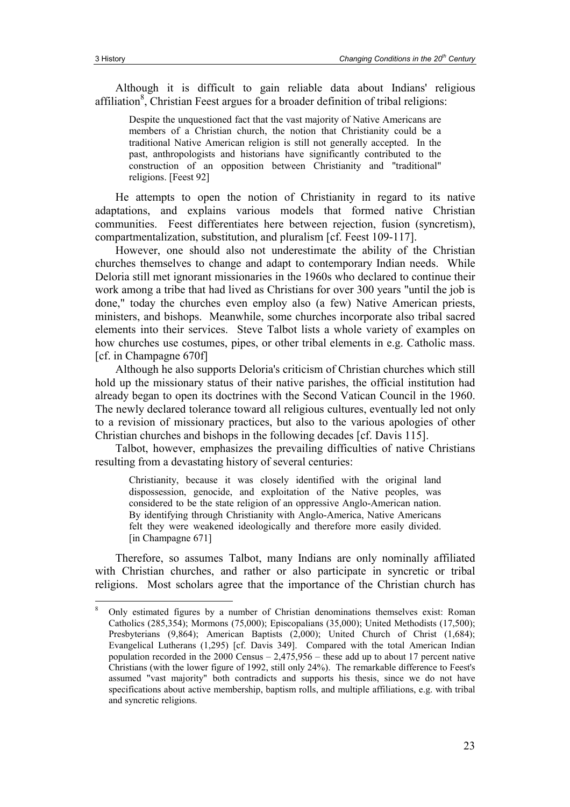Although it is difficult to gain reliable data about Indians' religious affiliation<sup>8</sup>, Christian Feest argues for a broader definition of tribal religions:

Despite the unquestioned fact that the vast majority of Native Americans are members of a Christian church, the notion that Christianity could be a traditional Native American religion is still not generally accepted. In the past, anthropologists and historians have significantly contributed to the construction of an opposition between Christianity and "traditional" religions. [Feest 92]

He attempts to open the notion of Christianity in regard to its native adaptations, and explains various models that formed native Christian communities. Feest differentiates here between rejection, fusion (syncretism), compartmentalization, substitution, and pluralism [cf. Feest 109-117].

However, one should also not underestimate the ability of the Christian churches themselves to change and adapt to contemporary Indian needs. While Deloria still met ignorant missionaries in the 1960s who declared to continue their work among a tribe that had lived as Christians for over 300 years "until the job is done," today the churches even employ also (a few) Native American priests, ministers, and bishops. Meanwhile, some churches incorporate also tribal sacred elements into their services. Steve Talbot lists a whole variety of examples on how churches use costumes, pipes, or other tribal elements in e.g. Catholic mass. [cf. in Champagne 670f]

Although he also supports Deloria's criticism of Christian churches which still hold up the missionary status of their native parishes, the official institution had already began to open its doctrines with the Second Vatican Council in the 1960. The newly declared tolerance toward all religious cultures, eventually led not only to a revision of missionary practices, but also to the various apologies of other Christian churches and bishops in the following decades [cf. Davis 115].

Talbot, however, emphasizes the prevailing difficulties of native Christians resulting from a devastating history of several centuries:

Christianity, because it was closely identified with the original land dispossession, genocide, and exploitation of the Native peoples, was considered to be the state religion of an oppressive Anglo-American nation. By identifying through Christianity with Anglo-America, Native Americans felt they were weakened ideologically and therefore more easily divided. [in Champagne 671]

Therefore, so assumes Talbot, many Indians are only nominally affiliated with Christian churches, and rather or also participate in syncretic or tribal religions. Most scholars agree that the importance of the Christian church has

<sup>8</sup> Only estimated figures by a number of Christian denominations themselves exist: Roman Catholics (285,354); Mormons (75,000); Episcopalians (35,000); United Methodists (17,500); Presbyterians (9,864); American Baptists (2,000); United Church of Christ (1,684); Evangelical Lutherans (1,295) [cf. Davis 349]. Compared with the total American Indian population recorded in the 2000 Census  $-2.475.956$  – these add up to about 17 percent native Christians (with the lower figure of 1992, still only 24%). The remarkable difference to Feest's assumed "vast majority" both contradicts and supports his thesis, since we do not have specifications about active membership, baptism rolls, and multiple affiliations, e.g. with tribal and syncretic religions.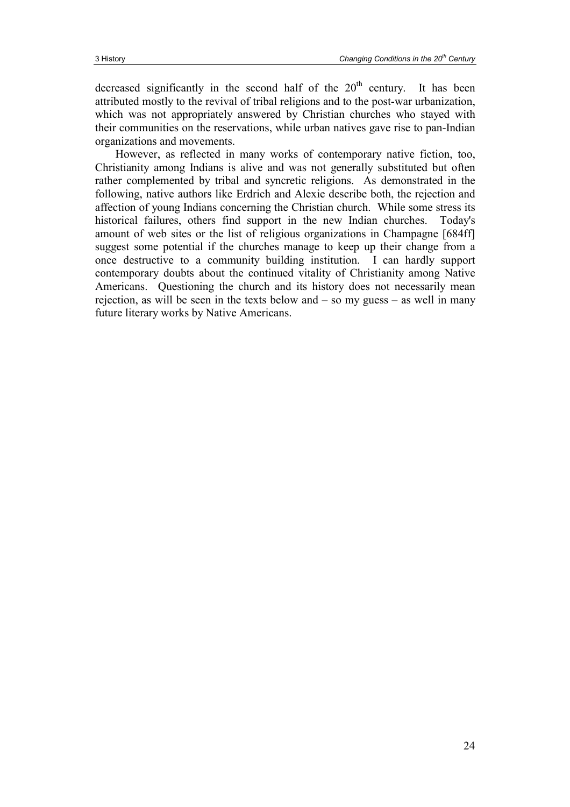decreased significantly in the second half of the  $20<sup>th</sup>$  century. It has been attributed mostly to the revival of tribal religions and to the post-war urbanization, which was not appropriately answered by Christian churches who stayed with their communities on the reservations, while urban natives gave rise to pan-Indian organizations and movements.

However, as reflected in many works of contemporary native fiction, too, Christianity among Indians is alive and was not generally substituted but often rather complemented by tribal and syncretic religions. As demonstrated in the following, native authors like Erdrich and Alexie describe both, the rejection and affection of young Indians concerning the Christian church. While some stress its historical failures, others find support in the new Indian churches. Today's amount of web sites or the list of religious organizations in Champagne [684ff] suggest some potential if the churches manage to keep up their change from a once destructive to a community building institution. I can hardly support contemporary doubts about the continued vitality of Christianity among Native Americans. Questioning the church and its history does not necessarily mean rejection, as will be seen in the texts below and  $-$  so my guess  $-$  as well in many future literary works by Native Americans.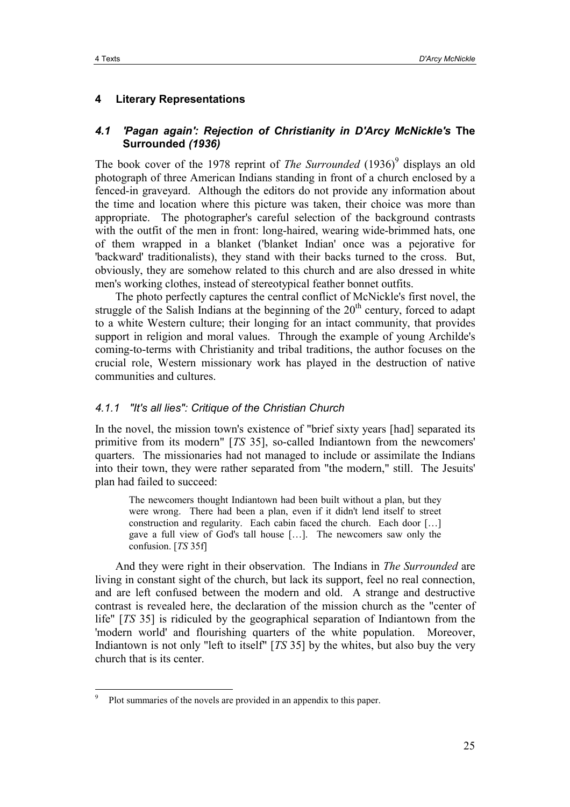#### <span id="page-24-0"></span>**4 Literary Representations**

#### *4.1 'Pagan again': Rejection of Christianity in D'Arcy McNickle's* **The Surrounded** *(1936)*

The book cover of the 1978 reprint of *The Surrounded* (1936)<sup>9</sup> displays an old photograph of three American Indians standing in front of a church enclosed by a fenced-in graveyard. Although the editors do not provide any information about the time and location where this picture was taken, their choice was more than appropriate. The photographer's careful selection of the background contrasts with the outfit of the men in front: long-haired, wearing wide-brimmed hats, one of them wrapped in a blanket ('blanket Indian' once was a pejorative for 'backward' traditionalists), they stand with their backs turned to the cross. But, obviously, they are somehow related to this church and are also dressed in white men's working clothes, instead of stereotypical feather bonnet outfits.

The photo perfectly captures the central conflict of McNickle's first novel, the struggle of the Salish Indians at the beginning of the  $20<sup>th</sup>$  century, forced to adapt to a white Western culture; their longing for an intact community, that provides support in religion and moral values. Through the example of young Archilde's coming-to-terms with Christianity and tribal traditions, the author focuses on the crucial role, Western missionary work has played in the destruction of native communities and cultures.

#### *4.1.1 "It's all lies": Critique of the Christian Church*

In the novel, the mission town's existence of "brief sixty years [had] separated its primitive from its modern" [*TS* 35], so-called Indiantown from the newcomers' quarters. The missionaries had not managed to include or assimilate the Indians into their town, they were rather separated from "the modern," still. The Jesuits' plan had failed to succeed:

The newcomers thought Indiantown had been built without a plan, but they were wrong. There had been a plan, even if it didn't lend itself to street construction and regularity. Each cabin faced the church. Each door  $[...]$ gave a full view of God's tall house  $[...]$ . The newcomers saw only the confusion. [*TS* 35f]

And they were right in their observation. The Indians in *The Surrounded* are living in constant sight of the church, but lack its support, feel no real connection, and are left confused between the modern and old. A strange and destructive contrast is revealed here, the declaration of the mission church as the "center of life" [*TS* 35] is ridiculed by the geographical separation of Indiantown from the 'modern world' and flourishing quarters of the white population. Moreover, Indiantown is not only "left to itself" [*TS* 35] by the whites, but also buy the very church that is its center.

<sup>9</sup> Plot summaries of the novels are provided in an appendix to this paper.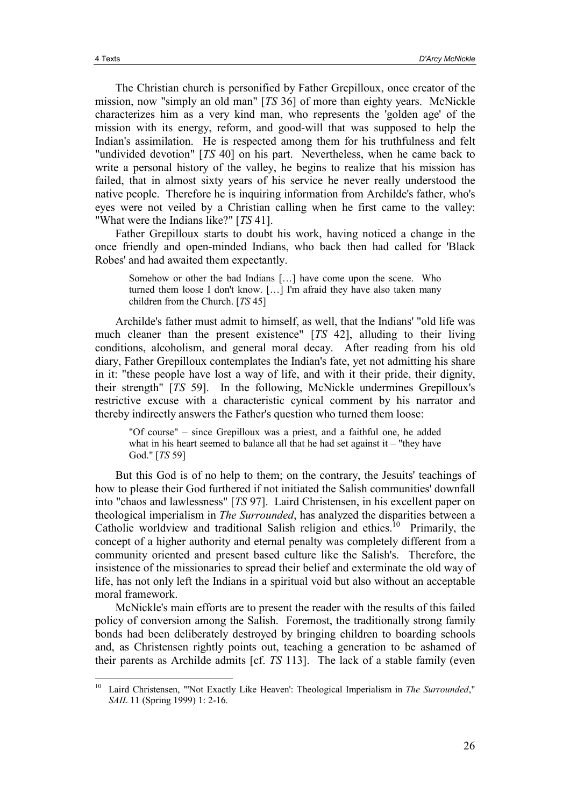The Christian church is personified by Father Grepilloux, once creator of the mission, now "simply an old man" [*TS* 36] of more than eighty years. McNickle characterizes him as a very kind man, who represents the 'golden age' of the mission with its energy, reform, and good-will that was supposed to help the Indian's assimilation. He is respected among them for his truthfulness and felt "undivided devotion" [*TS* 40] on his part. Nevertheless, when he came back to write a personal history of the valley, he begins to realize that his mission has failed, that in almost sixty years of his service he never really understood the native people. Therefore he is inquiring information from Archilde's father, who's eyes were not veiled by a Christian calling when he first came to the valley: "What were the Indians like?" [*TS* 41].

Father Grepilloux starts to doubt his work, having noticed a change in the once friendly and open-minded Indians, who back then had called for 'Black Robes' and had awaited them expectantly.

Somehow or other the bad Indians [...] have come upon the scene. Who turned them loose I don't know.  $[\dots]$  I'm afraid they have also taken many children from the Church. [*TS* 45]

Archilde's father must admit to himself, as well, that the Indians' "old life was much cleaner than the present existence" [*TS* 42], alluding to their living conditions, alcoholism, and general moral decay. After reading from his old diary, Father Grepilloux contemplates the Indian's fate, yet not admitting his share in it: "these people have lost a way of life, and with it their pride, their dignity, their strength" [*TS* 59]. In the following, McNickle undermines Grepilloux's restrictive excuse with a characteristic cynical comment by his narrator and thereby indirectly answers the Father's question who turned them loose:

"Of course" – since Grepilloux was a priest, and a faithful one, he added what in his heart seemed to balance all that he had set against it  $-$  "they have God." [*TS* 59]

But this God is of no help to them; on the contrary, the Jesuits' teachings of how to please their God furthered if not initiated the Salish communities' downfall into "chaos and lawlessness" [*TS* 97]. Laird Christensen, in his excellent paper on theological imperialism in *The Surrounded*, has analyzed the disparities between a Catholic worldview and traditional Salish religion and ethics.<sup>10</sup> Primarily, the concept of a higher authority and eternal penalty was completely different from a community oriented and present based culture like the Salish's. Therefore, the insistence of the missionaries to spread their belief and exterminate the old way of life, has not only left the Indians in a spiritual void but also without an acceptable moral framework.

McNickle's main efforts are to present the reader with the results of this failed policy of conversion among the Salish. Foremost, the traditionally strong family bonds had been deliberately destroyed by bringing children to boarding schools and, as Christensen rightly points out, teaching a generation to be ashamed of their parents as Archilde admits [cf. *TS* 113]. The lack of a stable family (even

 $10\,$ 10 Laird Christensen, "'Not Exactly Like Heaven': Theological Imperialism in *The Surrounded*," *SAIL* 11 (Spring 1999) 1: 2-16.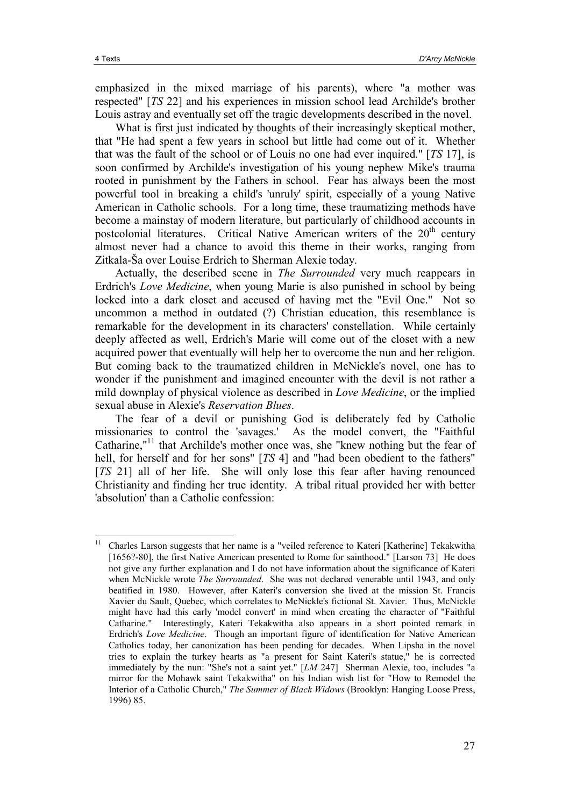emphasized in the mixed marriage of his parents), where "a mother was respected" [*TS* 22] and his experiences in mission school lead Archilde's brother Louis astray and eventually set off the tragic developments described in the novel.

What is first just indicated by thoughts of their increasingly skeptical mother, that "He had spent a few years in school but little had come out of it. Whether that was the fault of the school or of Louis no one had ever inquired." [*TS* 17], is soon confirmed by Archilde's investigation of his young nephew Mike's trauma rooted in punishment by the Fathers in school. Fear has always been the most powerful tool in breaking a child's 'unruly' spirit, especially of a young Native American in Catholic schools. For a long time, these traumatizing methods have become a mainstay of modern literature, but particularly of childhood accounts in postcolonial literatures. Critical Native American writers of the  $20<sup>th</sup>$  century almost never had a chance to avoid this theme in their works, ranging from Zitkala-äa over Louise Erdrich to Sherman Alexie today.

Actually, the described scene in *The Surrounded* very much reappears in Erdrich's *Love Medicine*, when young Marie is also punished in school by being locked into a dark closet and accused of having met the "Evil One." Not so uncommon a method in outdated (?) Christian education, this resemblance is remarkable for the development in its characters' constellation. While certainly deeply affected as well, Erdrich's Marie will come out of the closet with a new acquired power that eventually will help her to overcome the nun and her religion. But coming back to the traumatized children in McNickle's novel, one has to wonder if the punishment and imagined encounter with the devil is not rather a mild downplay of physical violence as described in *Love Medicine*, or the implied sexual abuse in Alexie's *Reservation Blues*.

The fear of a devil or punishing God is deliberately fed by Catholic missionaries to control the 'savages.' As the model convert, the "Faithful Catharine, $"^{11}$  that Archilde's mother once was, she "knew nothing but the fear of hell, for herself and for her sons" [*TS* 4] and "had been obedient to the fathers" [*TS* 21] all of her life. She will only lose this fear after having renounced Christianity and finding her true identity. A tribal ritual provided her with better 'absolution' than a Catholic confession:

 $11$ 11 Charles Larson suggests that her name is a "veiled reference to Kateri [Katherine] Tekakwitha [1656?-80], the first Native American presented to Rome for sainthood." [Larson 73] He does not give any further explanation and I do not have information about the significance of Kateri when McNickle wrote *The Surrounded*. She was not declared venerable until 1943, and only beatified in 1980. However, after Kateri's conversion she lived at the mission St. Francis Xavier du Sault, Quebec, which correlates to McNickle's fictional St. Xavier. Thus, McNickle might have had this early 'model convert' in mind when creating the character of "Faithful Catharine." Interestingly, Kateri Tekakwitha also appears in a short pointed remark in Erdrich's *Love Medicine*. Though an important figure of identification for Native American Catholics today, her canonization has been pending for decades. When Lipsha in the novel tries to explain the turkey hearts as "a present for Saint Kateri's statue," he is corrected immediately by the nun: "She's not a saint yet." [*LM* 247] Sherman Alexie, too, includes "a mirror for the Mohawk saint Tekakwitha" on his Indian wish list for "How to Remodel the Interior of a Catholic Church," *The Summer of Black Widows* (Brooklyn: Hanging Loose Press, 1996) 85.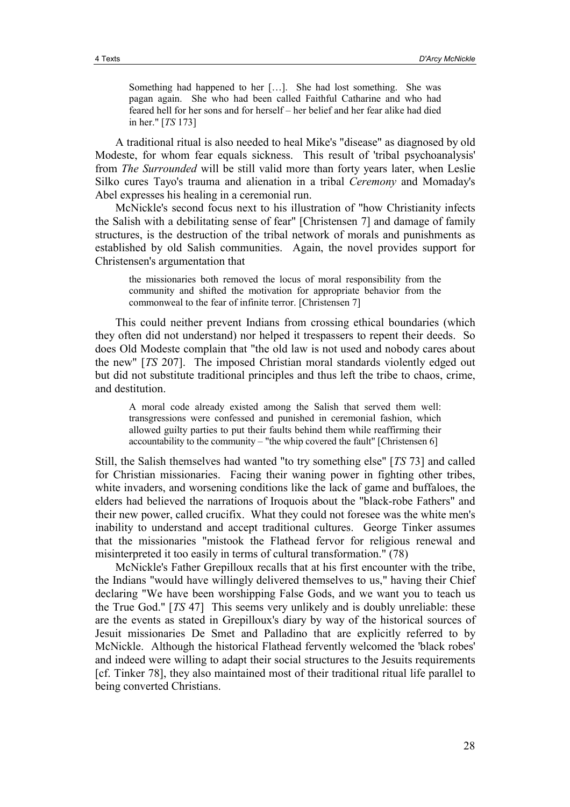Something had happened to her [...]. She had lost something. She was pagan again. She who had been called Faithful Catharine and who had feared hell for her sons and for herself – her belief and her fear alike had died in her." [*TS* 173]

A traditional ritual is also needed to heal Mike's "disease" as diagnosed by old Modeste, for whom fear equals sickness. This result of 'tribal psychoanalysis' from *The Surrounded* will be still valid more than forty years later, when Leslie Silko cures Tayo's trauma and alienation in a tribal *Ceremony* and Momaday's Abel expresses his healing in a ceremonial run.

McNickle's second focus next to his illustration of "how Christianity infects the Salish with a debilitating sense of fear" [Christensen 7] and damage of family structures, is the destruction of the tribal network of morals and punishments as established by old Salish communities. Again, the novel provides support for Christensen's argumentation that

the missionaries both removed the locus of moral responsibility from the community and shifted the motivation for appropriate behavior from the commonweal to the fear of infinite terror. [Christensen 7]

This could neither prevent Indians from crossing ethical boundaries (which they often did not understand) nor helped it trespassers to repent their deeds. So does Old Modeste complain that "the old law is not used and nobody cares about the new" [*TS* 207]. The imposed Christian moral standards violently edged out but did not substitute traditional principles and thus left the tribe to chaos, crime, and destitution.

A moral code already existed among the Salish that served them well: transgressions were confessed and punished in ceremonial fashion, which allowed guilty parties to put their faults behind them while reaffirming their accountability to the community  $-$  "the whip covered the fault" [Christensen 6]

Still, the Salish themselves had wanted "to try something else" [*TS* 73] and called for Christian missionaries. Facing their waning power in fighting other tribes, white invaders, and worsening conditions like the lack of game and buffaloes, the elders had believed the narrations of Iroquois about the "black-robe Fathers" and their new power, called crucifix. What they could not foresee was the white men's inability to understand and accept traditional cultures. George Tinker assumes that the missionaries "mistook the Flathead fervor for religious renewal and misinterpreted it too easily in terms of cultural transformation." (78)

McNickle's Father Grepilloux recalls that at his first encounter with the tribe, the Indians "would have willingly delivered themselves to us," having their Chief declaring "We have been worshipping False Gods, and we want you to teach us the True God." [*TS* 47] This seems very unlikely and is doubly unreliable: these are the events as stated in Grepilloux's diary by way of the historical sources of Jesuit missionaries De Smet and Palladino that are explicitly referred to by McNickle. Although the historical Flathead fervently welcomed the 'black robes' and indeed were willing to adapt their social structures to the Jesuits requirements [cf. Tinker 78], they also maintained most of their traditional ritual life parallel to being converted Christians.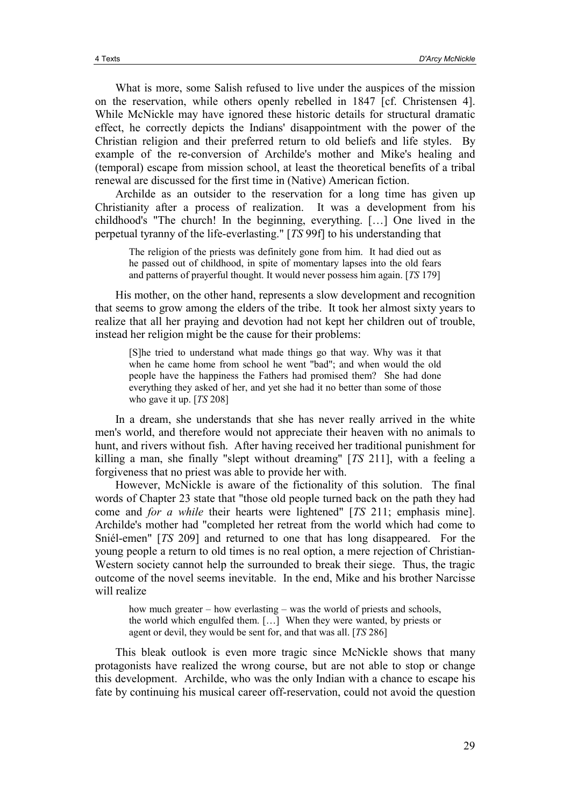What is more, some Salish refused to live under the auspices of the mission on the reservation, while others openly rebelled in 1847 [cf. Christensen 4]. While McNickle may have ignored these historic details for structural dramatic effect, he correctly depicts the Indians' disappointment with the power of the Christian religion and their preferred return to old beliefs and life styles. By example of the re-conversion of Archilde's mother and Mike's healing and (temporal) escape from mission school, at least the theoretical benefits of a tribal renewal are discussed for the first time in (Native) American fiction.

Archilde as an outsider to the reservation for a long time has given up Christianity after a process of realization. It was a development from his childhood's "The church! In the beginning, everything.  $[\dots]$  One lived in the perpetual tyranny of the life-everlasting." [*TS* 99f] to his understanding that

The religion of the priests was definitely gone from him. It had died out as he passed out of childhood, in spite of momentary lapses into the old fears and patterns of prayerful thought. It would never possess him again. [*TS* 179]

His mother, on the other hand, represents a slow development and recognition that seems to grow among the elders of the tribe. It took her almost sixty years to realize that all her praying and devotion had not kept her children out of trouble, instead her religion might be the cause for their problems:

[S]he tried to understand what made things go that way. Why was it that when he came home from school he went "bad"; and when would the old people have the happiness the Fathers had promised them? She had done everything they asked of her, and yet she had it no better than some of those who gave it up. [*TS* 208]

In a dream, she understands that she has never really arrived in the white men's world, and therefore would not appreciate their heaven with no animals to hunt, and rivers without fish. After having received her traditional punishment for killing a man, she finally "slept without dreaming" [*TS* 211], with a feeling a forgiveness that no priest was able to provide her with.

However, McNickle is aware of the fictionality of this solution. The final words of Chapter 23 state that "those old people turned back on the path they had come and *for a while* their hearts were lightened" [*TS* 211; emphasis mine]. Archilde's mother had "completed her retreat from the world which had come to SniÈl-emen" [*TS* 209] and returned to one that has long disappeared. For the young people a return to old times is no real option, a mere rejection of Christian-Western society cannot help the surrounded to break their siege. Thus, the tragic outcome of the novel seems inevitable. In the end, Mike and his brother Narcisse will realize

how much greater  $-$  how everlasting  $-$  was the world of priests and schools, the world which engulfed them.  $[\dots]$  When they were wanted, by priests or agent or devil, they would be sent for, and that was all. [*TS* 286]

This bleak outlook is even more tragic since McNickle shows that many protagonists have realized the wrong course, but are not able to stop or change this development. Archilde, who was the only Indian with a chance to escape his fate by continuing his musical career off-reservation, could not avoid the question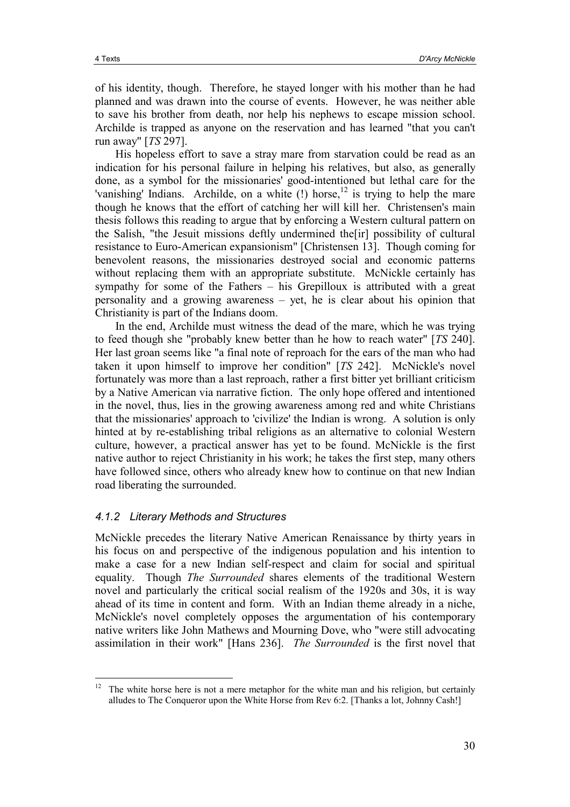<span id="page-29-0"></span>of his identity, though. Therefore, he stayed longer with his mother than he had planned and was drawn into the course of events. However, he was neither able to save his brother from death, nor help his nephews to escape mission school. Archilde is trapped as anyone on the reservation and has learned "that you can't run away" [*TS* 297].

His hopeless effort to save a stray mare from starvation could be read as an indication for his personal failure in helping his relatives, but also, as generally done, as a symbol for the missionaries' good-intentioned but lethal care for the 'vanishing' Indians. Archilde, on a white  $(!)$  horse,<sup>12</sup> is trying to help the mare though he knows that the effort of catching her will kill her. Christensen's main thesis follows this reading to argue that by enforcing a Western cultural pattern on the Salish, "the Jesuit missions deftly undermined the[ir] possibility of cultural resistance to Euro-American expansionism" [Christensen 13]. Though coming for benevolent reasons, the missionaries destroyed social and economic patterns without replacing them with an appropriate substitute. McNickle certainly has sympathy for some of the Fathers  $-$  his Grepilloux is attributed with a great personality and a growing awareness  $-$  yet, he is clear about his opinion that Christianity is part of the Indians doom.

In the end, Archilde must witness the dead of the mare, which he was trying to feed though she "probably knew better than he how to reach water" [*TS* 240]. Her last groan seems like "a final note of reproach for the ears of the man who had taken it upon himself to improve her condition" [*TS* 242]. McNickle's novel fortunately was more than a last reproach, rather a first bitter yet brilliant criticism by a Native American via narrative fiction. The only hope offered and intentioned in the novel, thus, lies in the growing awareness among red and white Christians that the missionaries' approach to 'civilize' the Indian is wrong. A solution is only hinted at by re-establishing tribal religions as an alternative to colonial Western culture, however, a practical answer has yet to be found. McNickle is the first native author to reject Christianity in his work; he takes the first step, many others have followed since, others who already knew how to continue on that new Indian road liberating the surrounded.

### *4.1.2 Literary Methods and Structures*

McNickle precedes the literary Native American Renaissance by thirty years in his focus on and perspective of the indigenous population and his intention to make a case for a new Indian self-respect and claim for social and spiritual equality. Though *The Surrounded* shares elements of the traditional Western novel and particularly the critical social realism of the 1920s and 30s, it is way ahead of its time in content and form. With an Indian theme already in a niche, McNickle's novel completely opposes the argumentation of his contemporary native writers like John Mathews and Mourning Dove, who "were still advocating assimilation in their work" [Hans 236]. *The Surrounded* is the first novel that

 $12$ 12 The white horse here is not a mere metaphor for the white man and his religion, but certainly alludes to The Conqueror upon the White Horse from Rev 6:2. [Thanks a lot, Johnny Cash!]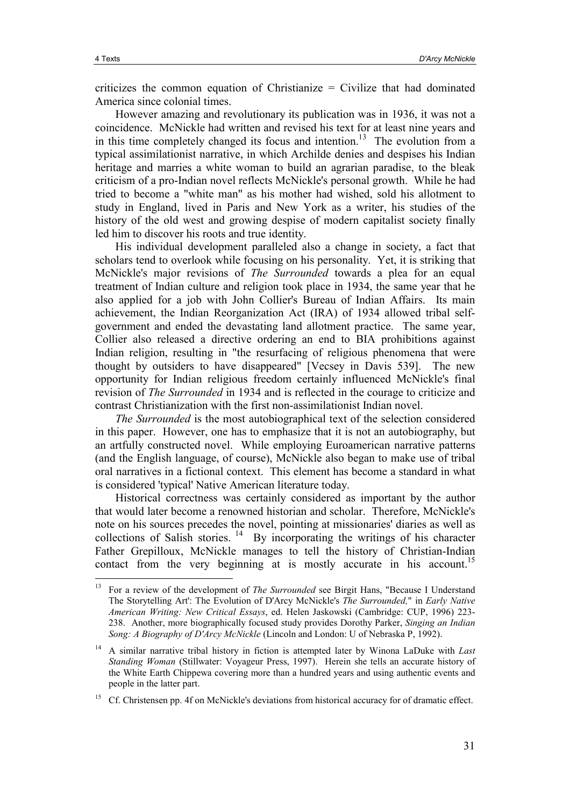criticizes the common equation of Christianize = Civilize that had dominated America since colonial times.

However amazing and revolutionary its publication was in 1936, it was not a coincidence. McNickle had written and revised his text for at least nine years and in this time completely changed its focus and intention.<sup>13</sup> The evolution from a typical assimilationist narrative, in which Archilde denies and despises his Indian heritage and marries a white woman to build an agrarian paradise, to the bleak criticism of a pro-Indian novel reflects McNickle's personal growth. While he had tried to become a "white man" as his mother had wished, sold his allotment to study in England, lived in Paris and New York as a writer, his studies of the history of the old west and growing despise of modern capitalist society finally led him to discover his roots and true identity.

His individual development paralleled also a change in society, a fact that scholars tend to overlook while focusing on his personality. Yet, it is striking that McNickle's major revisions of *The Surrounded* towards a plea for an equal treatment of Indian culture and religion took place in 1934, the same year that he also applied for a job with John Collier's Bureau of Indian Affairs. Its main achievement, the Indian Reorganization Act (IRA) of 1934 allowed tribal selfgovernment and ended the devastating land allotment practice. The same year, Collier also released a directive ordering an end to BIA prohibitions against Indian religion, resulting in "the resurfacing of religious phenomena that were thought by outsiders to have disappeared" [Vecsey in Davis 539]. The new opportunity for Indian religious freedom certainly influenced McNickle's final revision of *The Surrounded* in 1934 and is reflected in the courage to criticize and contrast Christianization with the first non-assimilationist Indian novel.

*The Surrounded* is the most autobiographical text of the selection considered in this paper. However, one has to emphasize that it is not an autobiography, but an artfully constructed novel. While employing Euroamerican narrative patterns (and the English language, of course), McNickle also began to make use of tribal oral narratives in a fictional context. This element has become a standard in what is considered 'typical' Native American literature today.

Historical correctness was certainly considered as important by the author that would later become a renowned historian and scholar. Therefore, McNickle's note on his sources precedes the novel, pointing at missionaries' diaries as well as collections of Salish stories.  $14$  By incorporating the writings of his character Father Grepilloux, McNickle manages to tell the history of Christian-Indian contact from the very beginning at is mostly accurate in his account.<sup>15</sup>

<sup>13</sup> 13 For a review of the development of *The Surrounded* see Birgit Hans, "Because I Understand The Storytelling Art': The Evolution of D'Arcy McNickle's *The Surrounded,*" in *Early Native American Writing: New Critical Essays*, ed. Helen Jaskowski (Cambridge: CUP, 1996) 223- 238. Another, more biographically focused study provides Dorothy Parker, *Singing an Indian Song: A Biography of D'Arcy McNickle* (Lincoln and London: U of Nebraska P, 1992).

<sup>14</sup> A similar narrative tribal history in fiction is attempted later by Winona LaDuke with *Last Standing Woman* (Stillwater: Voyageur Press, 1997). Herein she tells an accurate history of the White Earth Chippewa covering more than a hundred years and using authentic events and people in the latter part.

<sup>&</sup>lt;sup>15</sup> Cf. Christensen pp. 4f on McNickle's deviations from historical accuracy for of dramatic effect.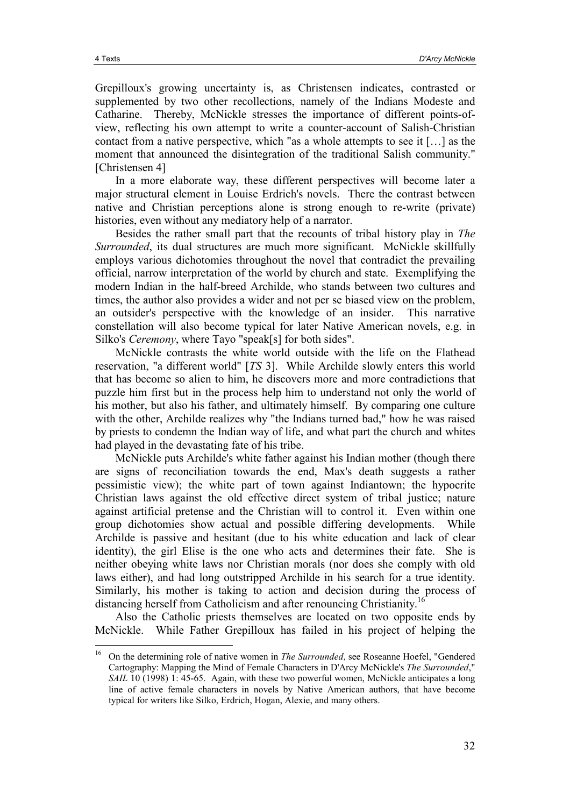Grepilloux's growing uncertainty is, as Christensen indicates, contrasted or supplemented by two other recollections, namely of the Indians Modeste and Catharine. Thereby, McNickle stresses the importance of different points-ofview, reflecting his own attempt to write a counter-account of Salish-Christian contact from a native perspective, which "as a whole attempts to see it  $[...]$  as the moment that announced the disintegration of the traditional Salish community." [Christensen 4]

In a more elaborate way, these different perspectives will become later a major structural element in Louise Erdrich's novels. There the contrast between native and Christian perceptions alone is strong enough to re-write (private) histories, even without any mediatory help of a narrator.

Besides the rather small part that the recounts of tribal history play in *The Surrounded*, its dual structures are much more significant. McNickle skillfully employs various dichotomies throughout the novel that contradict the prevailing official, narrow interpretation of the world by church and state. Exemplifying the modern Indian in the half-breed Archilde, who stands between two cultures and times, the author also provides a wider and not per se biased view on the problem, an outsider's perspective with the knowledge of an insider. This narrative constellation will also become typical for later Native American novels, e.g. in Silko's *Ceremony*, where Tayo "speak[s] for both sides".

McNickle contrasts the white world outside with the life on the Flathead reservation, "a different world" [*TS* 3]. While Archilde slowly enters this world that has become so alien to him, he discovers more and more contradictions that puzzle him first but in the process help him to understand not only the world of his mother, but also his father, and ultimately himself. By comparing one culture with the other, Archilde realizes why "the Indians turned bad," how he was raised by priests to condemn the Indian way of life, and what part the church and whites had played in the devastating fate of his tribe.

McNickle puts Archilde's white father against his Indian mother (though there are signs of reconciliation towards the end, Max's death suggests a rather pessimistic view); the white part of town against Indiantown; the hypocrite Christian laws against the old effective direct system of tribal justice; nature against artificial pretense and the Christian will to control it. Even within one group dichotomies show actual and possible differing developments. While Archilde is passive and hesitant (due to his white education and lack of clear identity), the girl Elise is the one who acts and determines their fate. She is neither obeying white laws nor Christian morals (nor does she comply with old laws either), and had long outstripped Archilde in his search for a true identity. Similarly, his mother is taking to action and decision during the process of distancing herself from Catholicism and after renouncing Christianity.<sup>16</sup>

Also the Catholic priests themselves are located on two opposite ends by McNickle. While Father Grepilloux has failed in his project of helping the

<sup>&</sup>lt;sup>16</sup> On the determining role of native women in *The Surrounded*, see Roseanne Hoefel, "Gendered Cartography: Mapping the Mind of Female Characters in D'Arcy McNickle's *The Surrounded*," *SAIL* 10 (1998) 1: 45-65. Again, with these two powerful women, McNickle anticipates a long line of active female characters in novels by Native American authors, that have become typical for writers like Silko, Erdrich, Hogan, Alexie, and many others.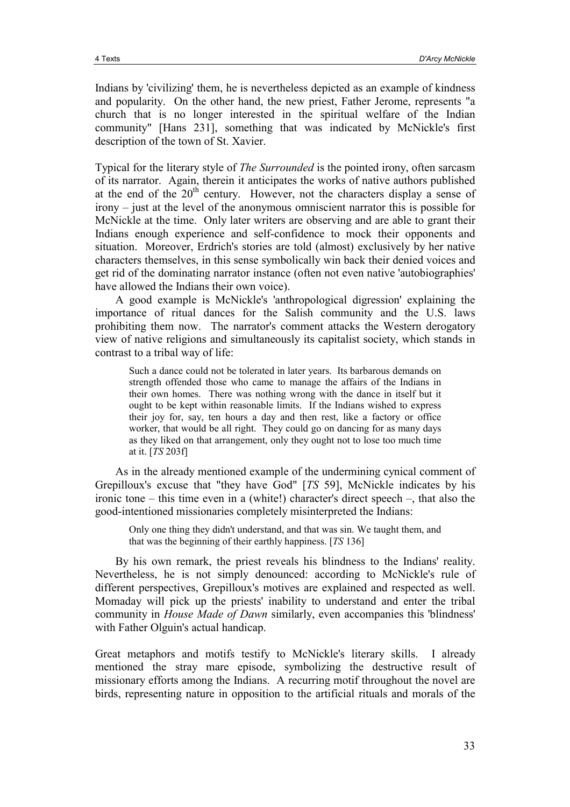Indians by 'civilizing' them, he is nevertheless depicted as an example of kindness and popularity. On the other hand, the new priest, Father Jerome, represents "a church that is no longer interested in the spiritual welfare of the Indian community" [Hans 231], something that was indicated by McNickle's first description of the town of St. Xavier.

Typical for the literary style of *The Surrounded* is the pointed irony, often sarcasm of its narrator. Again, therein it anticipates the works of native authors published at the end of the  $20<sup>th</sup>$  century. However, not the characters display a sense of  $i$ irony  $-$  just at the level of the anonymous omniscient narrator this is possible for McNickle at the time. Only later writers are observing and are able to grant their Indians enough experience and self-confidence to mock their opponents and situation. Moreover, Erdrich's stories are told (almost) exclusively by her native characters themselves, in this sense symbolically win back their denied voices and get rid of the dominating narrator instance (often not even native 'autobiographies' have allowed the Indians their own voice).

A good example is McNickle's 'anthropological digression' explaining the importance of ritual dances for the Salish community and the U.S. laws prohibiting them now. The narrator's comment attacks the Western derogatory view of native religions and simultaneously its capitalist society, which stands in contrast to a tribal way of life:

Such a dance could not be tolerated in later years. Its barbarous demands on strength offended those who came to manage the affairs of the Indians in their own homes. There was nothing wrong with the dance in itself but it ought to be kept within reasonable limits. If the Indians wished to express their joy for, say, ten hours a day and then rest, like a factory or office worker, that would be all right. They could go on dancing for as many days as they liked on that arrangement, only they ought not to lose too much time at it. [*TS* 203f]

As in the already mentioned example of the undermining cynical comment of Grepilloux's excuse that "they have God" [*TS* 59], McNickle indicates by his ironic tone  $-$  this time even in a (white!) character's direct speech  $-$ , that also the good-intentioned missionaries completely misinterpreted the Indians:

Only one thing they didn't understand, and that was sin. We taught them, and that was the beginning of their earthly happiness. [*TS* 136]

By his own remark, the priest reveals his blindness to the Indians' reality. Nevertheless, he is not simply denounced: according to McNickle's rule of different perspectives, Grepilloux's motives are explained and respected as well. Momaday will pick up the priests' inability to understand and enter the tribal community in *House Made of Dawn* similarly, even accompanies this 'blindness' with Father Olguin's actual handicap.

Great metaphors and motifs testify to McNickle's literary skills. I already mentioned the stray mare episode, symbolizing the destructive result of missionary efforts among the Indians. A recurring motif throughout the novel are birds, representing nature in opposition to the artificial rituals and morals of the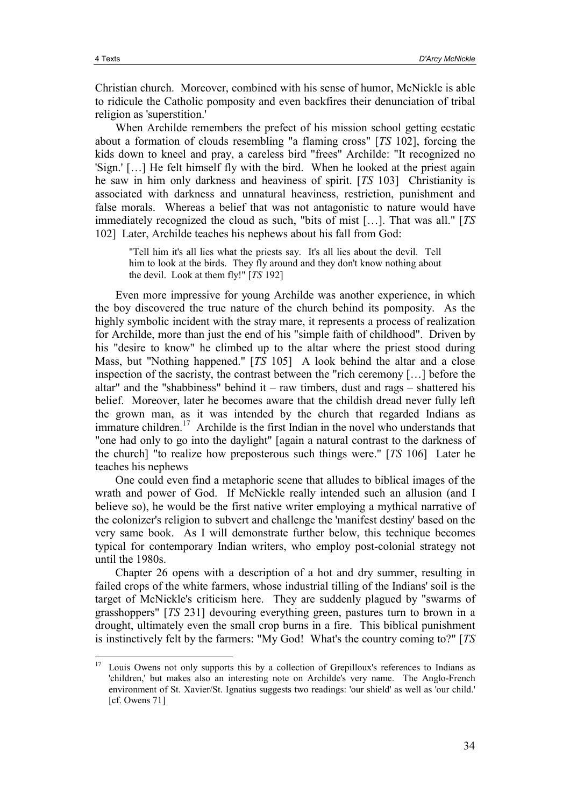Christian church. Moreover, combined with his sense of humor, McNickle is able to ridicule the Catholic pomposity and even backfires their denunciation of tribal religion as 'superstition.'

When Archilde remembers the prefect of his mission school getting ecstatic about a formation of clouds resembling "a flaming cross" [*TS* 102], forcing the kids down to kneel and pray, a careless bird "frees" Archilde: "It recognized no 'Sign.' [...] He felt himself fly with the bird. When he looked at the priest again he saw in him only darkness and heaviness of spirit. [*TS* 103] Christianity is associated with darkness and unnatural heaviness, restriction, punishment and false morals. Whereas a belief that was not antagonistic to nature would have immediately recognized the cloud as such, "bits of mist [...]. That was all." [*TS* 102] Later, Archilde teaches his nephews about his fall from God:

"Tell him it's all lies what the priests say. It's all lies about the devil. Tell him to look at the birds. They fly around and they don't know nothing about the devil. Look at them fly!" [*TS* 192]

Even more impressive for young Archilde was another experience, in which the boy discovered the true nature of the church behind its pomposity. As the highly symbolic incident with the stray mare, it represents a process of realization for Archilde, more than just the end of his "simple faith of childhood". Driven by his "desire to know" he climbed up to the altar where the priest stood during Mass, but "Nothing happened." [*TS* 105] A look behind the altar and a close inspection of the sacristy, the contrast between the "rich ceremony  $[\,\ldots]$  before the altar" and the "shabbiness" behind it  $-$  raw timbers, dust and rags  $-$  shattered his belief. Moreover, later he becomes aware that the childish dread never fully left the grown man, as it was intended by the church that regarded Indians as immature children.<sup>17</sup> Archilde is the first Indian in the novel who understands that "one had only to go into the daylight" [again a natural contrast to the darkness of the church] "to realize how preposterous such things were." [*TS* 106] Later he teaches his nephews

One could even find a metaphoric scene that alludes to biblical images of the wrath and power of God. If McNickle really intended such an allusion (and I believe so), he would be the first native writer employing a mythical narrative of the colonizer's religion to subvert and challenge the 'manifest destiny' based on the very same book. As I will demonstrate further below, this technique becomes typical for contemporary Indian writers, who employ post-colonial strategy not until the 1980s.

Chapter 26 opens with a description of a hot and dry summer, resulting in failed crops of the white farmers, whose industrial tilling of the Indians' soil is the target of McNickle's criticism here. They are suddenly plagued by "swarms of grasshoppers" [*TS* 231] devouring everything green, pastures turn to brown in a drought, ultimately even the small crop burns in a fire. This biblical punishment is instinctively felt by the farmers: "My God! What's the country coming to?" [*TS* 

Louis Owens not only supports this by a collection of Grepilloux's references to Indians as 'children,' but makes also an interesting note on Archilde's very name. The Anglo-French environment of St. Xavier/St. Ignatius suggests two readings: 'our shield' as well as 'our child.' [cf. Owens 71]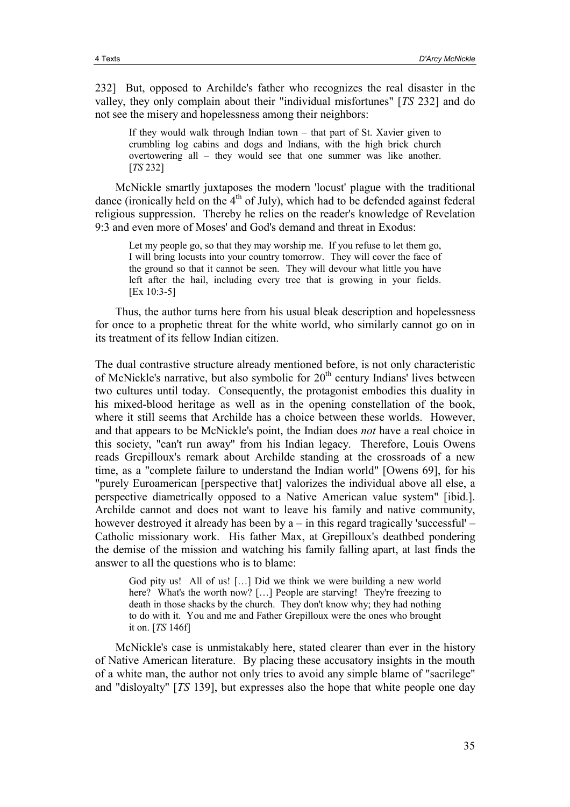232] But, opposed to Archilde's father who recognizes the real disaster in the valley, they only complain about their "individual misfortunes" [*TS* 232] and do not see the misery and hopelessness among their neighbors:

If they would walk through Indian town  $-$  that part of St. Xavier given to crumbling log cabins and dogs and Indians, with the high brick church overtowering all  $-$  they would see that one summer was like another. [*TS* 232]

McNickle smartly juxtaposes the modern 'locust' plague with the traditional dance (ironically held on the  $4<sup>th</sup>$  of July), which had to be defended against federal religious suppression. Thereby he relies on the reader's knowledge of Revelation 9:3 and even more of Moses' and God's demand and threat in Exodus:

Let my people go, so that they may worship me. If you refuse to let them go, I will bring locusts into your country tomorrow. They will cover the face of the ground so that it cannot be seen. They will devour what little you have left after the hail, including every tree that is growing in your fields. [Ex 10:3-5]

Thus, the author turns here from his usual bleak description and hopelessness for once to a prophetic threat for the white world, who similarly cannot go on in its treatment of its fellow Indian citizen.

The dual contrastive structure already mentioned before, is not only characteristic of McNickle's narrative, but also symbolic for  $20<sup>th</sup>$  century Indians' lives between two cultures until today. Consequently, the protagonist embodies this duality in his mixed-blood heritage as well as in the opening constellation of the book, where it still seems that Archilde has a choice between these worlds. However, and that appears to be McNickle's point, the Indian does *not* have a real choice in this society, "can't run away" from his Indian legacy. Therefore, Louis Owens reads Grepilloux's remark about Archilde standing at the crossroads of a new time, as a "complete failure to understand the Indian world" [Owens 69], for his "purely Euroamerican [perspective that] valorizes the individual above all else, a perspective diametrically opposed to a Native American value system" [ibid.]. Archilde cannot and does not want to leave his family and native community, however destroyed it already has been by  $a - in$  this regard tragically 'successful'  $-$ Catholic missionary work. His father Max, at Grepilloux's deathbed pondering the demise of the mission and watching his family falling apart, at last finds the answer to all the questions who is to blame:

God pity us! All of us! [...] Did we think we were building a new world here? What's the worth now? [...] People are starving! They're freezing to death in those shacks by the church. They don't know why; they had nothing to do with it. You and me and Father Grepilloux were the ones who brought it on. [*TS* 146f]

McNickle's case is unmistakably here, stated clearer than ever in the history of Native American literature. By placing these accusatory insights in the mouth of a white man, the author not only tries to avoid any simple blame of "sacrilege" and "disloyalty" [*TS* 139], but expresses also the hope that white people one day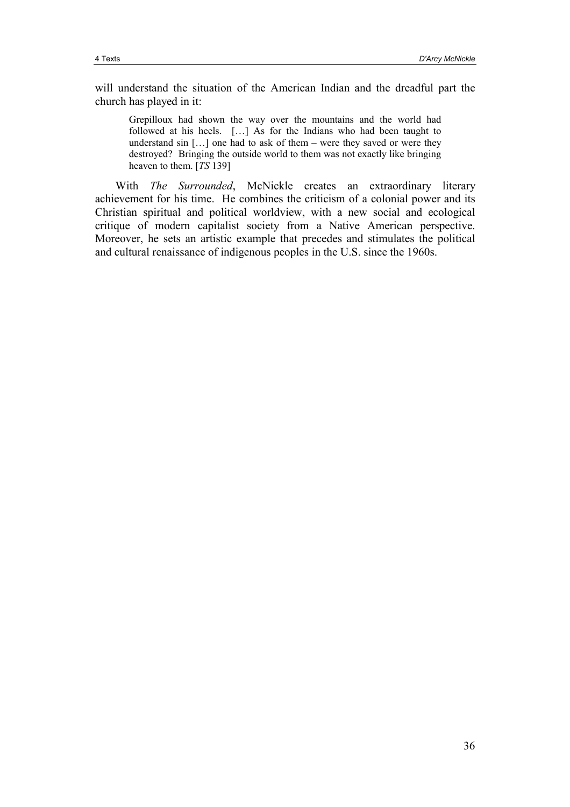will understand the situation of the American Indian and the dreadful part the church has played in it:

Grepilloux had shown the way over the mountains and the world had followed at his heels. [...] As for the Indians who had been taught to understand sin  $[...]$  one had to ask of them – were they saved or were they destroyed? Bringing the outside world to them was not exactly like bringing heaven to them. [*TS* 139]

With *The Surrounded*, McNickle creates an extraordinary literary achievement for his time. He combines the criticism of a colonial power and its Christian spiritual and political worldview, with a new social and ecological critique of modern capitalist society from a Native American perspective. Moreover, he sets an artistic example that precedes and stimulates the political and cultural renaissance of indigenous peoples in the U.S. since the 1960s.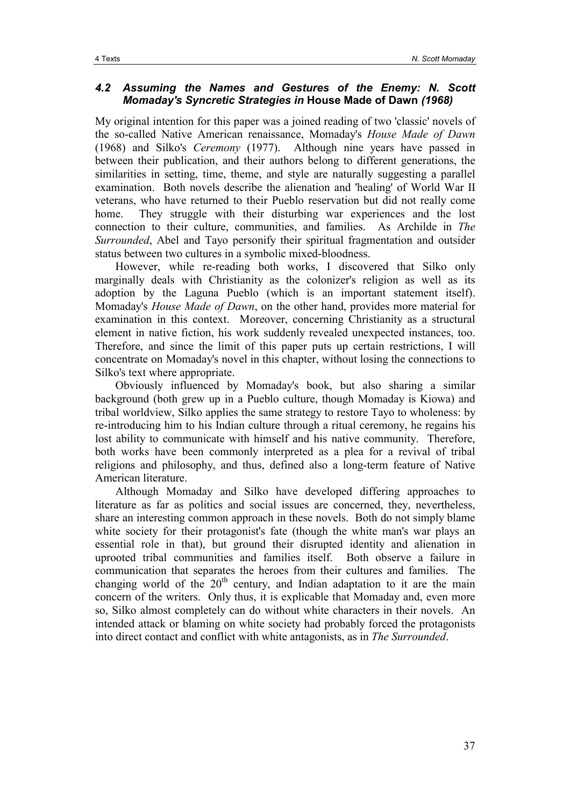### *4.2 Assuming the Names and Gestures of the Enemy: N. Scott Momaday's Syncretic Strategies in* **House Made of Dawn** *(1968)*

My original intention for this paper was a joined reading of two 'classic' novels of the so-called Native American renaissance, Momaday's *House Made of Dawn* (1968) and Silko's *Ceremony* (1977). Although nine years have passed in between their publication, and their authors belong to different generations, the similarities in setting, time, theme, and style are naturally suggesting a parallel examination. Both novels describe the alienation and 'healing' of World War II veterans, who have returned to their Pueblo reservation but did not really come home. They struggle with their disturbing war experiences and the lost connection to their culture, communities, and families. As Archilde in *The Surrounded*, Abel and Tayo personify their spiritual fragmentation and outsider status between two cultures in a symbolic mixed-bloodness.

However, while re-reading both works, I discovered that Silko only marginally deals with Christianity as the colonizer's religion as well as its adoption by the Laguna Pueblo (which is an important statement itself). Momaday's *House Made of Dawn*, on the other hand, provides more material for examination in this context. Moreover, concerning Christianity as a structural element in native fiction, his work suddenly revealed unexpected instances, too. Therefore, and since the limit of this paper puts up certain restrictions, I will concentrate on Momaday's novel in this chapter, without losing the connections to Silko's text where appropriate.

Obviously influenced by Momaday's book, but also sharing a similar background (both grew up in a Pueblo culture, though Momaday is Kiowa) and tribal worldview, Silko applies the same strategy to restore Tayo to wholeness: by re-introducing him to his Indian culture through a ritual ceremony, he regains his lost ability to communicate with himself and his native community. Therefore, both works have been commonly interpreted as a plea for a revival of tribal religions and philosophy, and thus, defined also a long-term feature of Native American literature.

Although Momaday and Silko have developed differing approaches to literature as far as politics and social issues are concerned, they, nevertheless, share an interesting common approach in these novels. Both do not simply blame white society for their protagonist's fate (though the white man's war plays an essential role in that), but ground their disrupted identity and alienation in uprooted tribal communities and families itself. Both observe a failure in communication that separates the heroes from their cultures and families. The changing world of the  $20<sup>th</sup>$  century, and Indian adaptation to it are the main concern of the writers. Only thus, it is explicable that Momaday and, even more so, Silko almost completely can do without white characters in their novels. An intended attack or blaming on white society had probably forced the protagonists into direct contact and conflict with white antagonists, as in *The Surrounded*.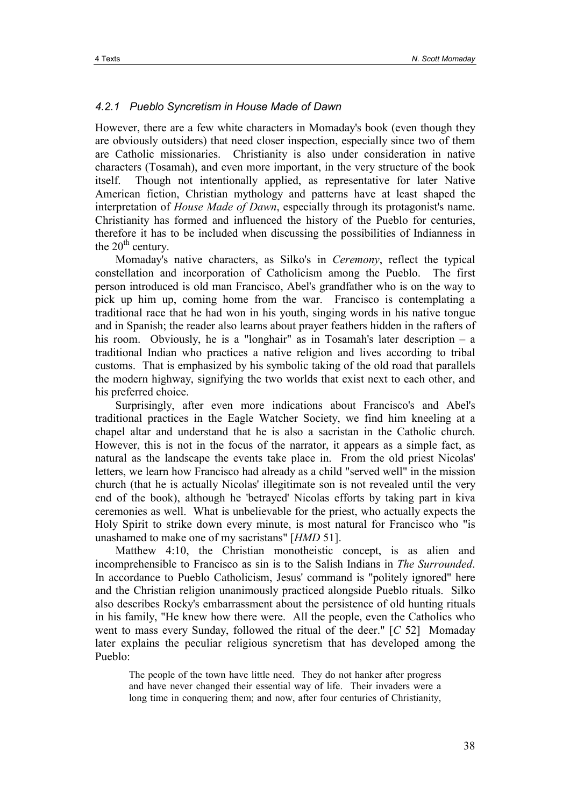### *4.2.1 Pueblo Syncretism in House Made of Dawn*

However, there are a few white characters in Momaday's book (even though they are obviously outsiders) that need closer inspection, especially since two of them are Catholic missionaries. Christianity is also under consideration in native characters (Tosamah), and even more important, in the very structure of the book itself. Though not intentionally applied, as representative for later Native American fiction, Christian mythology and patterns have at least shaped the interpretation of *House Made of Dawn*, especially through its protagonist's name. Christianity has formed and influenced the history of the Pueblo for centuries, therefore it has to be included when discussing the possibilities of Indianness in the  $20<sup>th</sup>$  century.

Momaday's native characters, as Silko's in *Ceremony*, reflect the typical constellation and incorporation of Catholicism among the Pueblo. The first person introduced is old man Francisco, Abel's grandfather who is on the way to pick up him up, coming home from the war. Francisco is contemplating a traditional race that he had won in his youth, singing words in his native tongue and in Spanish; the reader also learns about prayer feathers hidden in the rafters of his room. Obviously, he is a "longhair" as in Tosamah's later description  $-$  a traditional Indian who practices a native religion and lives according to tribal customs. That is emphasized by his symbolic taking of the old road that parallels the modern highway, signifying the two worlds that exist next to each other, and his preferred choice.

Surprisingly, after even more indications about Francisco's and Abel's traditional practices in the Eagle Watcher Society, we find him kneeling at a chapel altar and understand that he is also a sacristan in the Catholic church. However, this is not in the focus of the narrator, it appears as a simple fact, as natural as the landscape the events take place in. From the old priest Nicolas' letters, we learn how Francisco had already as a child "served well" in the mission church (that he is actually Nicolas' illegitimate son is not revealed until the very end of the book), although he 'betrayed' Nicolas efforts by taking part in kiva ceremonies as well. What is unbelievable for the priest, who actually expects the Holy Spirit to strike down every minute, is most natural for Francisco who "is unashamed to make one of my sacristans" [*HMD* 51].

Matthew 4:10, the Christian monotheistic concept, is as alien and incomprehensible to Francisco as sin is to the Salish Indians in *The Surrounded*. In accordance to Pueblo Catholicism, Jesus' command is "politely ignored" here and the Christian religion unanimously practiced alongside Pueblo rituals. Silko also describes Rocky's embarrassment about the persistence of old hunting rituals in his family, "He knew how there were. All the people, even the Catholics who went to mass every Sunday, followed the ritual of the deer." [*C* 52] Momaday later explains the peculiar religious syncretism that has developed among the Pueblo:

The people of the town have little need. They do not hanker after progress and have never changed their essential way of life. Their invaders were a long time in conquering them; and now, after four centuries of Christianity,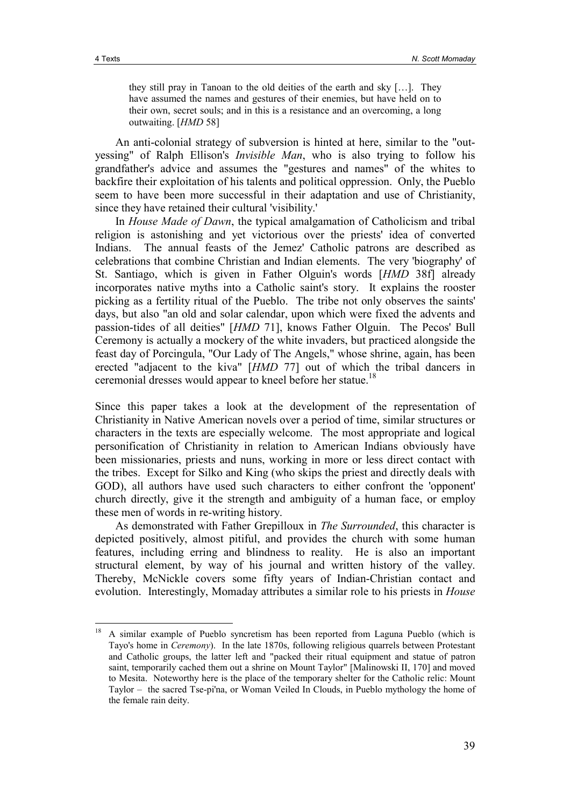they still pray in Tanoan to the old deities of the earth and sky  $[\dots]$ . They have assumed the names and gestures of their enemies, but have held on to their own, secret souls; and in this is a resistance and an overcoming, a long outwaiting. [*HMD* 58]

An anti-colonial strategy of subversion is hinted at here, similar to the "outyessing" of Ralph Ellison's *Invisible Man*, who is also trying to follow his grandfather's advice and assumes the "gestures and names" of the whites to backfire their exploitation of his talents and political oppression. Only, the Pueblo seem to have been more successful in their adaptation and use of Christianity, since they have retained their cultural 'visibility.'

In *House Made of Dawn*, the typical amalgamation of Catholicism and tribal religion is astonishing and yet victorious over the priests' idea of converted Indians. The annual feasts of the Jemez' Catholic patrons are described as celebrations that combine Christian and Indian elements. The very 'biography' of St. Santiago, which is given in Father Olguin's words [*HMD* 38f] already incorporates native myths into a Catholic saint's story. It explains the rooster picking as a fertility ritual of the Pueblo. The tribe not only observes the saints' days, but also "an old and solar calendar, upon which were fixed the advents and passion-tides of all deities" [*HMD* 71], knows Father Olguin. The Pecos' Bull Ceremony is actually a mockery of the white invaders, but practiced alongside the feast day of Porcingula, "Our Lady of The Angels," whose shrine, again, has been erected "adjacent to the kiva" [*HMD* 77] out of which the tribal dancers in ceremonial dresses would appear to kneel before her statue.<sup>18</sup>

Since this paper takes a look at the development of the representation of Christianity in Native American novels over a period of time, similar structures or characters in the texts are especially welcome. The most appropriate and logical personification of Christianity in relation to American Indians obviously have been missionaries, priests and nuns, working in more or less direct contact with the tribes. Except for Silko and King (who skips the priest and directly deals with GOD), all authors have used such characters to either confront the 'opponent' church directly, give it the strength and ambiguity of a human face, or employ these men of words in re-writing history.

As demonstrated with Father Grepilloux in *The Surrounded*, this character is depicted positively, almost pitiful, and provides the church with some human features, including erring and blindness to reality. He is also an important structural element, by way of his journal and written history of the valley. Thereby, McNickle covers some fifty years of Indian-Christian contact and evolution. Interestingly, Momaday attributes a similar role to his priests in *House* 

<sup>&</sup>lt;sup>18</sup> A similar example of Pueblo syncretism has been reported from Laguna Pueblo (which is Tayo's home in *Ceremony*). In the late 1870s, following religious quarrels between Protestant and Catholic groups, the latter left and "packed their ritual equipment and statue of patron saint, temporarily cached them out a shrine on Mount Taylor" [Malinowski II, 170] and moved to Mesita. Noteworthy here is the place of the temporary shelter for the Catholic relic: Mount Taylor – the sacred Tse-pi'na, or Woman Veiled In Clouds, in Pueblo mythology the home of the female rain deity.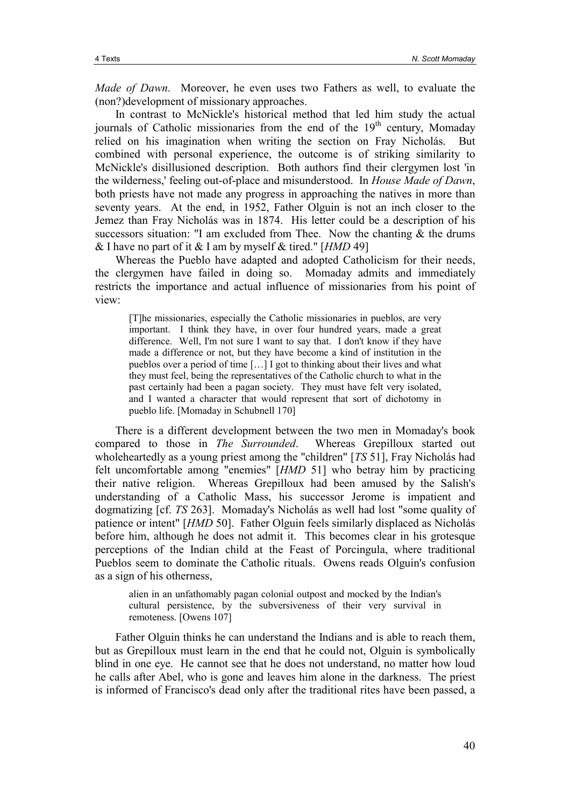*Made of Dawn*. Moreover, he even uses two Fathers as well, to evaluate the (non?)development of missionary approaches.

In contrast to McNickle's historical method that led him study the actual journals of Catholic missionaries from the end of the  $19<sup>th</sup>$  century, Momaday relied on his imagination when writing the section on Fray Nicholás. But combined with personal experience, the outcome is of striking similarity to McNickle's disillusioned description. Both authors find their clergymen lost 'in the wilderness,' feeling out-of-place and misunderstood. In *House Made of Dawn*, both priests have not made any progress in approaching the natives in more than seventy years. At the end, in 1952, Father Olguin is not an inch closer to the Jemez than Fray Nicholás was in 1874. His letter could be a description of his successors situation: "I am excluded from Thee. Now the chanting  $\&$  the drums & I have no part of it & I am by myself & tired." [*HMD* 49]

Whereas the Pueblo have adapted and adopted Catholicism for their needs, the clergymen have failed in doing so. Momaday admits and immediately restricts the importance and actual influence of missionaries from his point of view:

[T]he missionaries, especially the Catholic missionaries in pueblos, are very important. I think they have, in over four hundred years, made a great difference. Well, I'm not sure I want to say that. I don't know if they have made a difference or not, but they have become a kind of institution in the pueblos over a period of time  $[\dots]$  I got to thinking about their lives and what they must feel, being the representatives of the Catholic church to what in the past certainly had been a pagan society. They must have felt very isolated, and I wanted a character that would represent that sort of dichotomy in pueblo life. [Momaday in Schubnell 170]

There is a different development between the two men in Momaday's book compared to those in *The Surrounded*. Whereas Grepilloux started out wholeheartedly as a young priest among the "children" [*TS* 51], Fray Nicholás had felt uncomfortable among "enemies" [*HMD* 51] who betray him by practicing their native religion. Whereas Grepilloux had been amused by the Salish's understanding of a Catholic Mass, his successor Jerome is impatient and dogmatizing [cf. *TS* 263]. Momaday's Nicholás as well had lost "some quality of patience or intent" [*HMD* 50]. Father Olguin feels similarly displaced as Nicholás before him, although he does not admit it. This becomes clear in his grotesque perceptions of the Indian child at the Feast of Porcingula, where traditional Pueblos seem to dominate the Catholic rituals. Owens reads Olguin's confusion as a sign of his otherness,

alien in an unfathomably pagan colonial outpost and mocked by the Indian's cultural persistence, by the subversiveness of their very survival in remoteness. [Owens 107]

Father Olguin thinks he can understand the Indians and is able to reach them, but as Grepilloux must learn in the end that he could not, Olguin is symbolically blind in one eye. He cannot see that he does not understand, no matter how loud he calls after Abel, who is gone and leaves him alone in the darkness. The priest is informed of Francisco's dead only after the traditional rites have been passed, a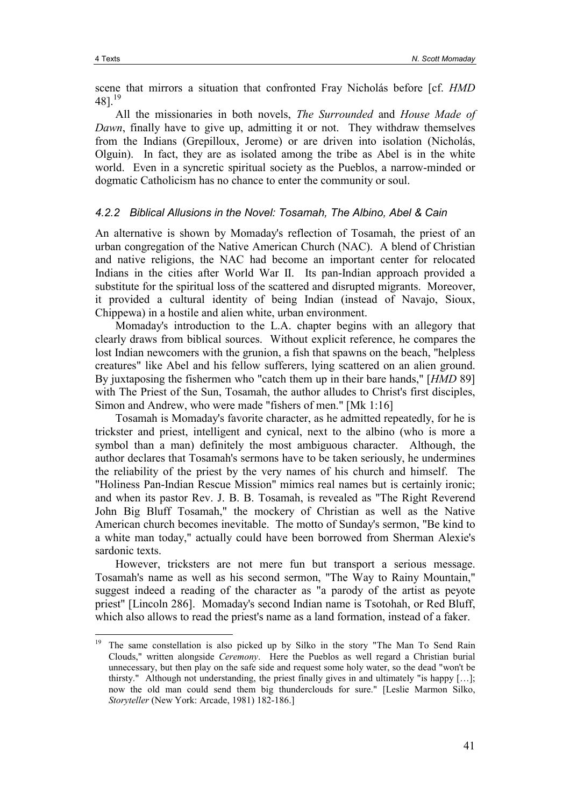scene that mirrors a situation that confronted Fray Nicholás before [cf. *HMD*  $481^{19}$ 

All the missionaries in both novels, *The Surrounded* and *House Made of Dawn*, finally have to give up, admitting it or not. They withdraw themselves from the Indians (Grepilloux, Jerome) or are driven into isolation (Nicholás, Olguin). In fact, they are as isolated among the tribe as Abel is in the white world. Even in a syncretic spiritual society as the Pueblos, a narrow-minded or dogmatic Catholicism has no chance to enter the community or soul.

## *4.2.2 Biblical Allusions in the Novel: Tosamah, The Albino, Abel & Cain*

An alternative is shown by Momaday's reflection of Tosamah, the priest of an urban congregation of the Native American Church (NAC). A blend of Christian and native religions, the NAC had become an important center for relocated Indians in the cities after World War II. Its pan-Indian approach provided a substitute for the spiritual loss of the scattered and disrupted migrants. Moreover, it provided a cultural identity of being Indian (instead of Navajo, Sioux, Chippewa) in a hostile and alien white, urban environment.

Momaday's introduction to the L.A. chapter begins with an allegory that clearly draws from biblical sources. Without explicit reference, he compares the lost Indian newcomers with the grunion, a fish that spawns on the beach, "helpless creatures" like Abel and his fellow sufferers, lying scattered on an alien ground. By juxtaposing the fishermen who "catch them up in their bare hands," [*HMD* 89] with The Priest of the Sun, Tosamah, the author alludes to Christ's first disciples, Simon and Andrew, who were made "fishers of men." [Mk 1:16]

Tosamah is Momaday's favorite character, as he admitted repeatedly, for he is trickster and priest, intelligent and cynical, next to the albino (who is more a symbol than a man) definitely the most ambiguous character. Although, the author declares that Tosamah's sermons have to be taken seriously, he undermines the reliability of the priest by the very names of his church and himself. The "Holiness Pan-Indian Rescue Mission" mimics real names but is certainly ironic; and when its pastor Rev. J. B. B. Tosamah, is revealed as "The Right Reverend John Big Bluff Tosamah," the mockery of Christian as well as the Native American church becomes inevitable. The motto of Sunday's sermon, "Be kind to a white man today," actually could have been borrowed from Sherman Alexie's sardonic texts.

However, tricksters are not mere fun but transport a serious message. Tosamah's name as well as his second sermon, "The Way to Rainy Mountain," suggest indeed a reading of the character as "a parody of the artist as peyote priest" [Lincoln 286]. Momaday's second Indian name is Tsotohah, or Red Bluff, which also allows to read the priest's name as a land formation, instead of a faker.

<sup>19</sup> The same constellation is also picked up by Silko in the story "The Man To Send Rain Clouds," written alongside *Ceremony*. Here the Pueblos as well regard a Christian burial unnecessary, but then play on the safe side and request some holy water, so the dead "won't be thirsty." Although not understanding, the priest finally gives in and ultimately "is happy  $[\ldots]$ ; now the old man could send them big thunderclouds for sure." [Leslie Marmon Silko, *Storyteller* (New York: Arcade, 1981) 182-186.]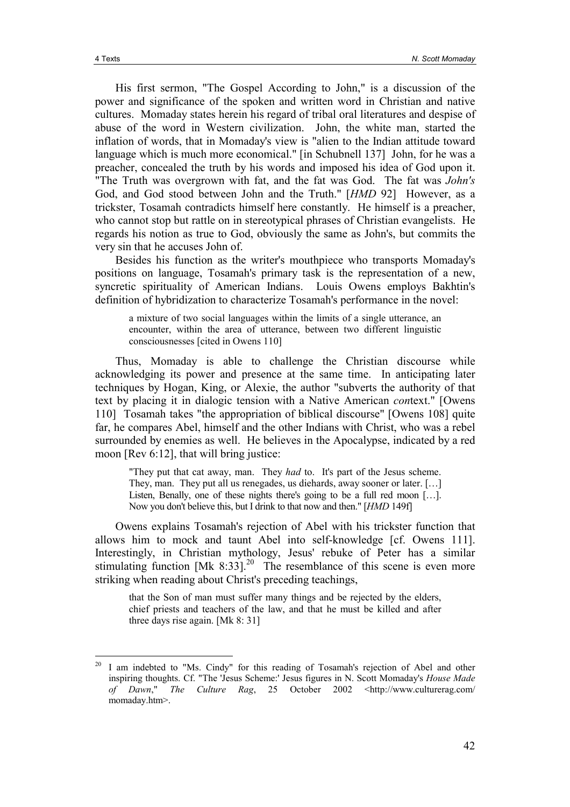His first sermon, "The Gospel According to John," is a discussion of the power and significance of the spoken and written word in Christian and native cultures. Momaday states herein his regard of tribal oral literatures and despise of abuse of the word in Western civilization. John, the white man, started the inflation of words, that in Momaday's view is "alien to the Indian attitude toward language which is much more economical." [in Schubnell 137] John, for he was a preacher, concealed the truth by his words and imposed his idea of God upon it. "The Truth was overgrown with fat, and the fat was God. The fat was *John's* God, and God stood between John and the Truth." [*HMD* 92] However, as a trickster, Tosamah contradicts himself here constantly. He himself is a preacher, who cannot stop but rattle on in stereotypical phrases of Christian evangelists. He regards his notion as true to God, obviously the same as John's, but commits the very sin that he accuses John of.

Besides his function as the writer's mouthpiece who transports Momaday's positions on language, Tosamah's primary task is the representation of a new, syncretic spirituality of American Indians. Louis Owens employs Bakhtin's definition of hybridization to characterize Tosamah's performance in the novel:

a mixture of two social languages within the limits of a single utterance, an encounter, within the area of utterance, between two different linguistic consciousnesses [cited in Owens 110]

Thus, Momaday is able to challenge the Christian discourse while acknowledging its power and presence at the same time. In anticipating later techniques by Hogan, King, or Alexie, the author "subverts the authority of that text by placing it in dialogic tension with a Native American *con*text." [Owens 110] Tosamah takes "the appropriation of biblical discourse" [Owens 108] quite far, he compares Abel, himself and the other Indians with Christ, who was a rebel surrounded by enemies as well. He believes in the Apocalypse, indicated by a red moon [Rev 6:12], that will bring justice:

"They put that cat away, man. They *had* to. It's part of the Jesus scheme. They, man. They put all us renegades, us diehards, away sooner or later.  $[\dots]$ Listen, Benally, one of these nights there's going to be a full red moon  $[\,\ldots\,]$ . Now you don't believe this, but I drink to that now and then." [*HMD* 149f]

Owens explains Tosamah's rejection of Abel with his trickster function that allows him to mock and taunt Abel into self-knowledge [cf. Owens 111]. Interestingly, in Christian mythology, Jesus' rebuke of Peter has a similar stimulating function  $[Mk \ 8:33]$ <sup>20</sup> The resemblance of this scene is even more striking when reading about Christ's preceding teachings,

that the Son of man must suffer many things and be rejected by the elders, chief priests and teachers of the law, and that he must be killed and after three days rise again. [Mk 8: 31]

I am indebted to "Ms. Cindy" for this reading of Tosamah's rejection of Abel and other inspiring thoughts. Cf. "The 'Jesus Scheme:' Jesus figures in N. Scott Momaday's *House Made of Dawn*," *The Culture Rag*, 25 October 2002 <http://www.culturerag.com/ momaday.htm>.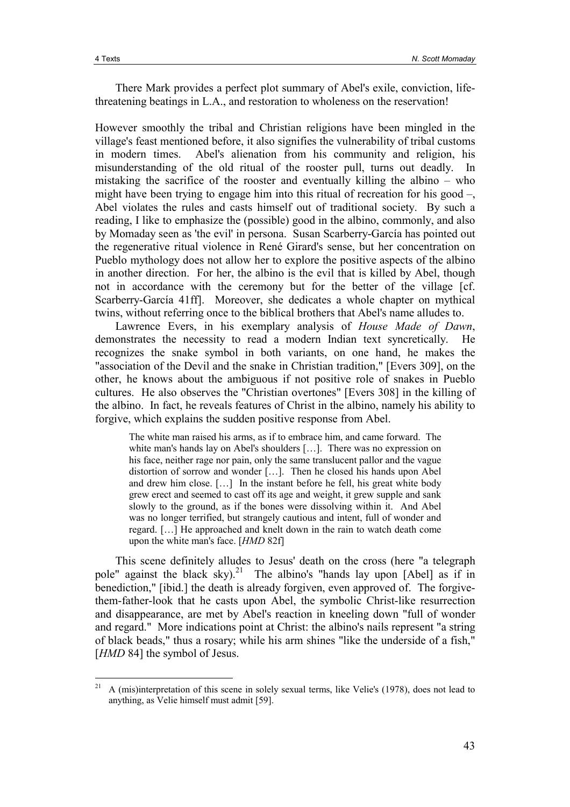There Mark provides a perfect plot summary of Abel's exile, conviction, lifethreatening beatings in L.A., and restoration to wholeness on the reservation!

However smoothly the tribal and Christian religions have been mingled in the village's feast mentioned before, it also signifies the vulnerability of tribal customs in modern times. Abel's alienation from his community and religion, his misunderstanding of the old ritual of the rooster pull, turns out deadly. In mistaking the sacrifice of the rooster and eventually killing the albino  $-$  who might have been trying to engage him into this ritual of recreation for his good  $\overline{-}$ , Abel violates the rules and casts himself out of traditional society. By such a reading, I like to emphasize the (possible) good in the albino, commonly, and also by Momaday seen as 'the evil' in persona. Susan Scarberry-García has pointed out the regenerative ritual violence in RenÈ Girard's sense, but her concentration on Pueblo mythology does not allow her to explore the positive aspects of the albino in another direction. For her, the albino is the evil that is killed by Abel, though not in accordance with the ceremony but for the better of the village [cf. Scarberry-García 41ff]. Moreover, she dedicates a whole chapter on mythical twins, without referring once to the biblical brothers that Abel's name alludes to.

Lawrence Evers, in his exemplary analysis of *House Made of Dawn*, demonstrates the necessity to read a modern Indian text syncretically. He recognizes the snake symbol in both variants, on one hand, he makes the "association of the Devil and the snake in Christian tradition," [Evers 309], on the other, he knows about the ambiguous if not positive role of snakes in Pueblo cultures. He also observes the "Christian overtones" [Evers 308] in the killing of the albino. In fact, he reveals features of Christ in the albino, namely his ability to forgive, which explains the sudden positive response from Abel.

The white man raised his arms, as if to embrace him, and came forward. The white man's hands lay on Abel's shoulders  $[\ldots]$ . There was no expression on his face, neither rage nor pain, only the same translucent pallor and the vague distortion of sorrow and wonder  $[\dots]$ . Then he closed his hands upon Abel and drew him close.  $[\dots]$  In the instant before he fell, his great white body grew erect and seemed to cast off its age and weight, it grew supple and sank slowly to the ground, as if the bones were dissolving within it. And Abel was no longer terrified, but strangely cautious and intent, full of wonder and regard. [...] He approached and knelt down in the rain to watch death come upon the white man's face. [*HMD* 82f]

This scene definitely alludes to Jesus' death on the cross (here "a telegraph pole" against the black sky).<sup>21</sup> The albino's "hands lay upon [Abel] as if in benediction," [ibid.] the death is already forgiven, even approved of. The forgivethem-father-look that he casts upon Abel, the symbolic Christ-like resurrection and disappearance, are met by Abel's reaction in kneeling down "full of wonder and regard." More indications point at Christ: the albino's nails represent "a string of black beads," thus a rosary; while his arm shines "like the underside of a fish," [*HMD* 84] the symbol of Jesus.

 $21$ 21 A (mis)interpretation of this scene in solely sexual terms, like Velie's (1978), does not lead to anything, as Velie himself must admit [59].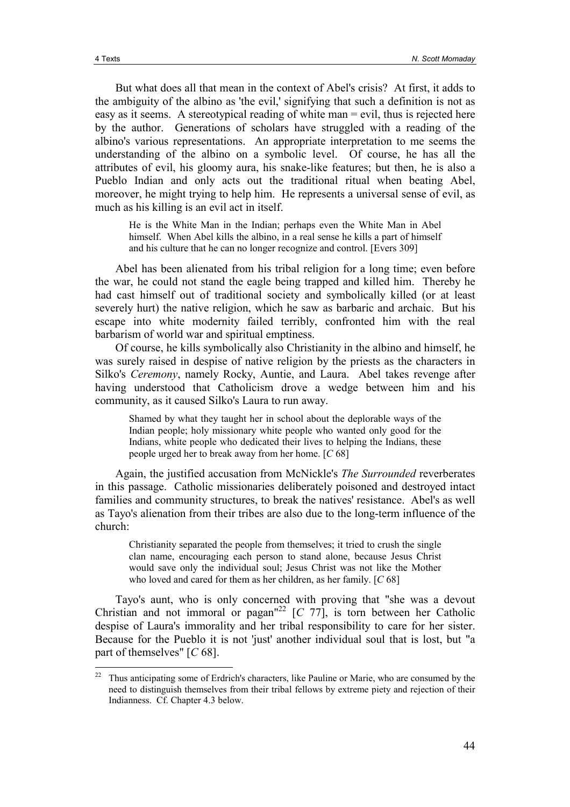But what does all that mean in the context of Abel's crisis? At first, it adds to the ambiguity of the albino as 'the evil,' signifying that such a definition is not as easy as it seems. A stereotypical reading of white man = evil, thus is rejected here by the author. Generations of scholars have struggled with a reading of the albino's various representations. An appropriate interpretation to me seems the understanding of the albino on a symbolic level. Of course, he has all the attributes of evil, his gloomy aura, his snake-like features; but then, he is also a Pueblo Indian and only acts out the traditional ritual when beating Abel, moreover, he might trying to help him. He represents a universal sense of evil, as much as his killing is an evil act in itself.

He is the White Man in the Indian; perhaps even the White Man in Abel himself. When Abel kills the albino, in a real sense he kills a part of himself and his culture that he can no longer recognize and control. [Evers 309]

Abel has been alienated from his tribal religion for a long time; even before the war, he could not stand the eagle being trapped and killed him. Thereby he had cast himself out of traditional society and symbolically killed (or at least severely hurt) the native religion, which he saw as barbaric and archaic. But his escape into white modernity failed terribly, confronted him with the real barbarism of world war and spiritual emptiness.

Of course, he kills symbolically also Christianity in the albino and himself, he was surely raised in despise of native religion by the priests as the characters in Silko's *Ceremony*, namely Rocky, Auntie, and Laura. Abel takes revenge after having understood that Catholicism drove a wedge between him and his community, as it caused Silko's Laura to run away.

Shamed by what they taught her in school about the deplorable ways of the Indian people; holy missionary white people who wanted only good for the Indians, white people who dedicated their lives to helping the Indians, these people urged her to break away from her home. [*C* 68]

Again, the justified accusation from McNickle's *The Surrounded* reverberates in this passage. Catholic missionaries deliberately poisoned and destroyed intact families and community structures, to break the natives' resistance. Abel's as well as Tayo's alienation from their tribes are also due to the long-term influence of the church:

Christianity separated the people from themselves; it tried to crush the single clan name, encouraging each person to stand alone, because Jesus Christ would save only the individual soul; Jesus Christ was not like the Mother who loved and cared for them as her children, as her family. [*C* 68]

Tayo's aunt, who is only concerned with proving that "she was a devout Christian and not immoral or pagan<sup>"22</sup>  $[C 77]$ , is torn between her Catholic despise of Laura's immorality and her tribal responsibility to care for her sister. Because for the Pueblo it is not 'just' another individual soul that is lost, but "a part of themselves" [*C* 68].

 $22$  Thus anticipating some of Erdrich's characters, like Pauline or Marie, who are consumed by the need to distinguish themselves from their tribal fellows by extreme piety and rejection of their Indianness. Cf. Chapter 4.3 below.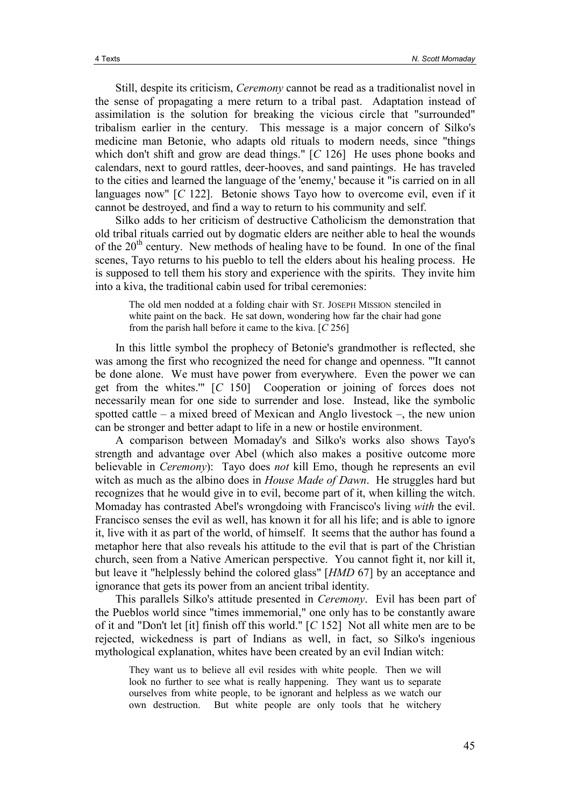Still, despite its criticism, *Ceremony* cannot be read as a traditionalist novel in the sense of propagating a mere return to a tribal past. Adaptation instead of assimilation is the solution for breaking the vicious circle that "surrounded" tribalism earlier in the century. This message is a major concern of Silko's medicine man Betonie, who adapts old rituals to modern needs, since "things which don't shift and grow are dead things." [*C* 126] He uses phone books and calendars, next to gourd rattles, deer-hooves, and sand paintings. He has traveled to the cities and learned the language of the 'enemy,' because it "is carried on in all languages now" [*C* 122]. Betonie shows Tayo how to overcome evil, even if it cannot be destroyed, and find a way to return to his community and self.

Silko adds to her criticism of destructive Catholicism the demonstration that old tribal rituals carried out by dogmatic elders are neither able to heal the wounds of the  $20<sup>th</sup>$  century. New methods of healing have to be found. In one of the final scenes, Tayo returns to his pueblo to tell the elders about his healing process. He is supposed to tell them his story and experience with the spirits. They invite him into a kiva, the traditional cabin used for tribal ceremonies:

The old men nodded at a folding chair with ST. JOSEPH MISSION stenciled in white paint on the back. He sat down, wondering how far the chair had gone from the parish hall before it came to the kiva. [*C* 256]

In this little symbol the prophecy of Betonie's grandmother is reflected, she was among the first who recognized the need for change and openness. "'It cannot be done alone. We must have power from everywhere. Even the power we can get from the whites.'" [*C* 150] Cooperation or joining of forces does not necessarily mean for one side to surrender and lose. Instead, like the symbolic spotted cattle  $-$  a mixed breed of Mexican and Anglo livestock  $-$ , the new union can be stronger and better adapt to life in a new or hostile environment.

A comparison between Momaday's and Silko's works also shows Tayo's strength and advantage over Abel (which also makes a positive outcome more believable in *Ceremony*): Tayo does *not* kill Emo, though he represents an evil witch as much as the albino does in *House Made of Dawn*. He struggles hard but recognizes that he would give in to evil, become part of it, when killing the witch. Momaday has contrasted Abel's wrongdoing with Francisco's living *with* the evil. Francisco senses the evil as well, has known it for all his life; and is able to ignore it, live with it as part of the world, of himself. It seems that the author has found a metaphor here that also reveals his attitude to the evil that is part of the Christian church, seen from a Native American perspective. You cannot fight it, nor kill it, but leave it "helplessly behind the colored glass" [*HMD* 67] by an acceptance and ignorance that gets its power from an ancient tribal identity.

This parallels Silko's attitude presented in *Ceremony*. Evil has been part of the Pueblos world since "times immemorial," one only has to be constantly aware of it and "Don't let [it] finish off this world." [*C* 152] Not all white men are to be rejected, wickedness is part of Indians as well, in fact, so Silko's ingenious mythological explanation, whites have been created by an evil Indian witch:

They want us to believe all evil resides with white people. Then we will look no further to see what is really happening. They want us to separate ourselves from white people, to be ignorant and helpless as we watch our own destruction. But white people are only tools that he witchery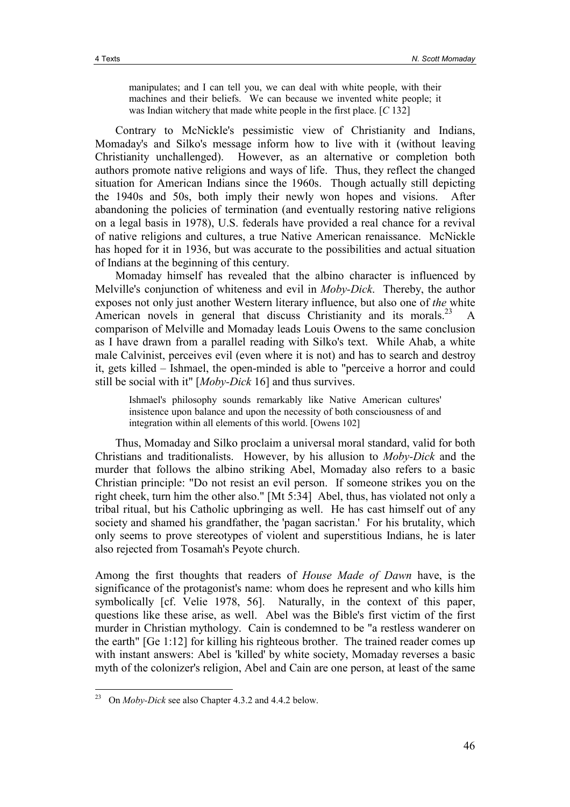manipulates; and I can tell you, we can deal with white people, with their machines and their beliefs. We can because we invented white people; it was Indian witchery that made white people in the first place. [*C* 132]

Contrary to McNickle's pessimistic view of Christianity and Indians, Momaday's and Silko's message inform how to live with it (without leaving Christianity unchallenged). However, as an alternative or completion both authors promote native religions and ways of life. Thus, they reflect the changed situation for American Indians since the 1960s. Though actually still depicting the 1940s and 50s, both imply their newly won hopes and visions. After abandoning the policies of termination (and eventually restoring native religions on a legal basis in 1978), U.S. federals have provided a real chance for a revival of native religions and cultures, a true Native American renaissance. McNickle has hoped for it in 1936, but was accurate to the possibilities and actual situation of Indians at the beginning of this century.

Momaday himself has revealed that the albino character is influenced by Melville's conjunction of whiteness and evil in *Moby-Dick*. Thereby, the author exposes not only just another Western literary influence, but also one of *the* white American novels in general that discuss Christianity and its morals. $^{23}$ comparison of Melville and Momaday leads Louis Owens to the same conclusion as I have drawn from a parallel reading with Silko's text. While Ahab, a white male Calvinist, perceives evil (even where it is not) and has to search and destroy it, gets killed – Ishmael, the open-minded is able to "perceive a horror and could still be social with it" [*Moby-Dick* 16] and thus survives.

Ishmael's philosophy sounds remarkably like Native American cultures' insistence upon balance and upon the necessity of both consciousness of and integration within all elements of this world. [Owens 102]

Thus, Momaday and Silko proclaim a universal moral standard, valid for both Christians and traditionalists. However, by his allusion to *Moby-Dick* and the murder that follows the albino striking Abel, Momaday also refers to a basic Christian principle: "Do not resist an evil person. If someone strikes you on the right cheek, turn him the other also." [Mt 5:34] Abel, thus, has violated not only a tribal ritual, but his Catholic upbringing as well. He has cast himself out of any society and shamed his grandfather, the 'pagan sacristan.' For his brutality, which only seems to prove stereotypes of violent and superstitious Indians, he is later also rejected from Tosamah's Peyote church.

Among the first thoughts that readers of *House Made of Dawn* have, is the significance of the protagonist's name: whom does he represent and who kills him symbolically [cf. Velie 1978, 56]. Naturally, in the context of this paper, questions like these arise, as well. Abel was the Bible's first victim of the first murder in Christian mythology. Cain is condemned to be "a restless wanderer on the earth" [Ge 1:12] for killing his righteous brother. The trained reader comes up with instant answers: Abel is 'killed' by white society, Momaday reverses a basic myth of the colonizer's religion, Abel and Cain are one person, at least of the same

 $\overline{a}$ 

<sup>23</sup> On *Moby-Dick* see also Chapter 4.3.2 and 4.4.2 below.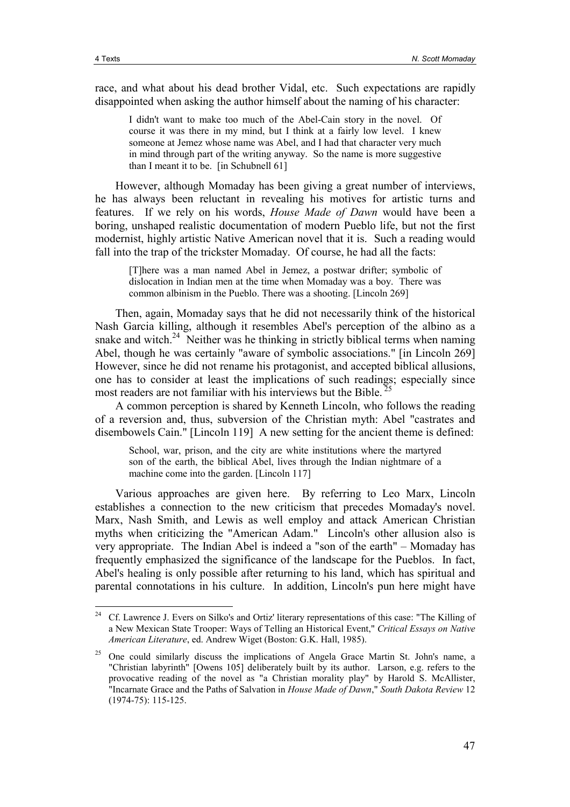race, and what about his dead brother Vidal, etc. Such expectations are rapidly disappointed when asking the author himself about the naming of his character:

I didn't want to make too much of the Abel-Cain story in the novel. Of course it was there in my mind, but I think at a fairly low level. I knew someone at Jemez whose name was Abel, and I had that character very much in mind through part of the writing anyway. So the name is more suggestive than I meant it to be. [in Schubnell 61]

However, although Momaday has been giving a great number of interviews, he has always been reluctant in revealing his motives for artistic turns and features. If we rely on his words, *House Made of Dawn* would have been a boring, unshaped realistic documentation of modern Pueblo life, but not the first modernist, highly artistic Native American novel that it is. Such a reading would fall into the trap of the trickster Momaday. Of course, he had all the facts:

[T]here was a man named Abel in Jemez, a postwar drifter; symbolic of dislocation in Indian men at the time when Momaday was a boy. There was common albinism in the Pueblo. There was a shooting. [Lincoln 269]

Then, again, Momaday says that he did not necessarily think of the historical Nash Garcia killing, although it resembles Abel's perception of the albino as a snake and witch. $24$  Neither was he thinking in strictly biblical terms when naming Abel, though he was certainly "aware of symbolic associations." [in Lincoln 269] However, since he did not rename his protagonist, and accepted biblical allusions, one has to consider at least the implications of such readings; especially since most readers are not familiar with his interviews but the Bible. 25

A common perception is shared by Kenneth Lincoln, who follows the reading of a reversion and, thus, subversion of the Christian myth: Abel "castrates and disembowels Cain." [Lincoln 119] A new setting for the ancient theme is defined:

School, war, prison, and the city are white institutions where the martyred son of the earth, the biblical Abel, lives through the Indian nightmare of a machine come into the garden. [Lincoln 117]

Various approaches are given here. By referring to Leo Marx, Lincoln establishes a connection to the new criticism that precedes Momaday's novel. Marx, Nash Smith, and Lewis as well employ and attack American Christian myths when criticizing the "American Adam." Lincoln's other allusion also is very appropriate. The Indian Abel is indeed a "son of the earth"  $-$  Momaday has frequently emphasized the significance of the landscape for the Pueblos. In fact, Abel's healing is only possible after returning to his land, which has spiritual and parental connotations in his culture. In addition, Lincoln's pun here might have

 $24\,$ 24 Cf. Lawrence J. Evers on Silko's and Ortiz' literary representations of this case: "The Killing of a New Mexican State Trooper: Ways of Telling an Historical Event," *Critical Essays on Native American Literature*, ed. Andrew Wiget (Boston: G.K. Hall, 1985).

<sup>&</sup>lt;sup>25</sup> One could similarly discuss the implications of Angela Grace Martin St. John's name, a "Christian labyrinth" [Owens 105] deliberately built by its author. Larson, e.g. refers to the provocative reading of the novel as "a Christian morality play" by Harold S. McAllister, "Incarnate Grace and the Paths of Salvation in *House Made of Dawn*," *South Dakota Review* 12 (1974-75): 115-125.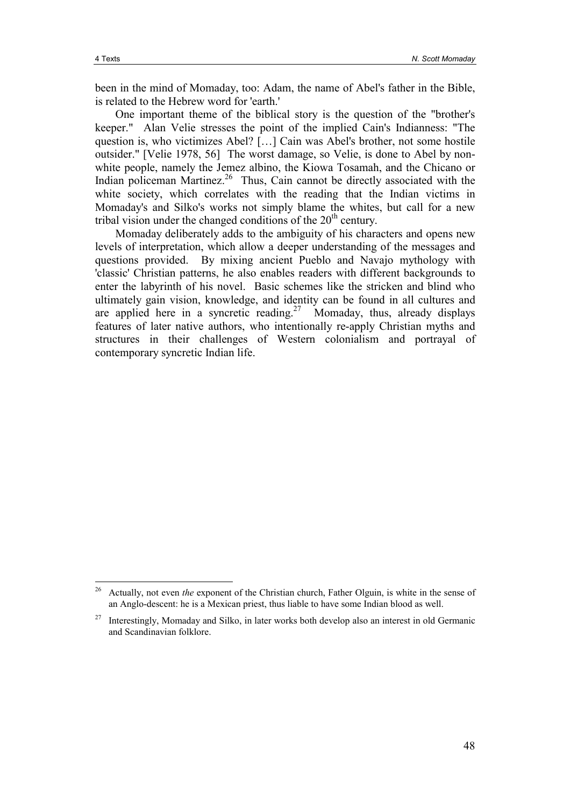been in the mind of Momaday, too: Adam, the name of Abel's father in the Bible, is related to the Hebrew word for 'earth.'

One important theme of the biblical story is the question of the "brother's keeper." Alan Velie stresses the point of the implied Cain's Indianness: "The question is, who victimizes Abel? [...] Cain was Abel's brother, not some hostile outsider." [Velie 1978, 56] The worst damage, so Velie, is done to Abel by nonwhite people, namely the Jemez albino, the Kiowa Tosamah, and the Chicano or Indian policeman Martinez.<sup>26</sup> Thus, Cain cannot be directly associated with the white society, which correlates with the reading that the Indian victims in Momaday's and Silko's works not simply blame the whites, but call for a new tribal vision under the changed conditions of the  $20<sup>th</sup>$  century.

Momaday deliberately adds to the ambiguity of his characters and opens new levels of interpretation, which allow a deeper understanding of the messages and questions provided. By mixing ancient Pueblo and Navajo mythology with 'classic' Christian patterns, he also enables readers with different backgrounds to enter the labyrinth of his novel. Basic schemes like the stricken and blind who ultimately gain vision, knowledge, and identity can be found in all cultures and are applied here in a syncretic reading.<sup>27</sup> Momaday, thus, already displays features of later native authors, who intentionally re-apply Christian myths and structures in their challenges of Western colonialism and portrayal of contemporary syncretic Indian life.

<sup>26</sup> Actually, not even *the* exponent of the Christian church, Father Olguin, is white in the sense of an Anglo-descent: he is a Mexican priest, thus liable to have some Indian blood as well.

<sup>&</sup>lt;sup>27</sup> Interestingly, Momaday and Silko, in later works both develop also an interest in old Germanic and Scandinavian folklore.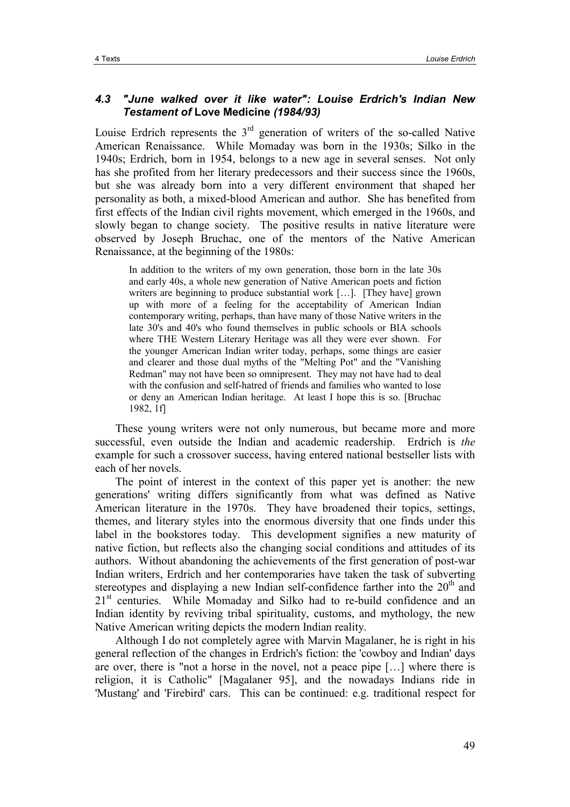## *4.3 "June walked over it like water": Louise Erdrich's Indian New Testament of* **Love Medicine** *(1984/93)*

Louise Erdrich represents the  $3<sup>rd</sup>$  generation of writers of the so-called Native American Renaissance. While Momaday was born in the 1930s; Silko in the 1940s; Erdrich, born in 1954, belongs to a new age in several senses. Not only has she profited from her literary predecessors and their success since the 1960s, but she was already born into a very different environment that shaped her personality as both, a mixed-blood American and author. She has benefited from first effects of the Indian civil rights movement, which emerged in the 1960s, and slowly began to change society. The positive results in native literature were observed by Joseph Bruchac, one of the mentors of the Native American Renaissance, at the beginning of the 1980s:

In addition to the writers of my own generation, those born in the late 30s and early 40s, a whole new generation of Native American poets and fiction writers are beginning to produce substantial work [...]. [They have] grown up with more of a feeling for the acceptability of American Indian contemporary writing, perhaps, than have many of those Native writers in the late 30's and 40's who found themselves in public schools or BIA schools where THE Western Literary Heritage was all they were ever shown. For the younger American Indian writer today, perhaps, some things are easier and clearer and those dual myths of the "Melting Pot" and the "Vanishing Redman" may not have been so omnipresent. They may not have had to deal with the confusion and self-hatred of friends and families who wanted to lose or deny an American Indian heritage. At least I hope this is so. [Bruchac 1982, 1f]

These young writers were not only numerous, but became more and more successful, even outside the Indian and academic readership. Erdrich is *the* example for such a crossover success, having entered national bestseller lists with each of her novels.

The point of interest in the context of this paper yet is another: the new generations' writing differs significantly from what was defined as Native American literature in the 1970s. They have broadened their topics, settings, themes, and literary styles into the enormous diversity that one finds under this label in the bookstores today. This development signifies a new maturity of native fiction, but reflects also the changing social conditions and attitudes of its authors. Without abandoning the achievements of the first generation of post-war Indian writers, Erdrich and her contemporaries have taken the task of subverting stereotypes and displaying a new Indian self-confidence farther into the  $20<sup>th</sup>$  and 21<sup>st</sup> centuries. While Momaday and Silko had to re-build confidence and an Indian identity by reviving tribal spirituality, customs, and mythology, the new Native American writing depicts the modern Indian reality.

Although I do not completely agree with Marvin Magalaner, he is right in his general reflection of the changes in Erdrich's fiction: the 'cowboy and Indian' days are over, there is "not a horse in the novel, not a peace pipe  $[\,\ldots\,]$  where there is religion, it is Catholic" [Magalaner 95], and the nowadays Indians ride in 'Mustang' and 'Firebird' cars. This can be continued: e.g. traditional respect for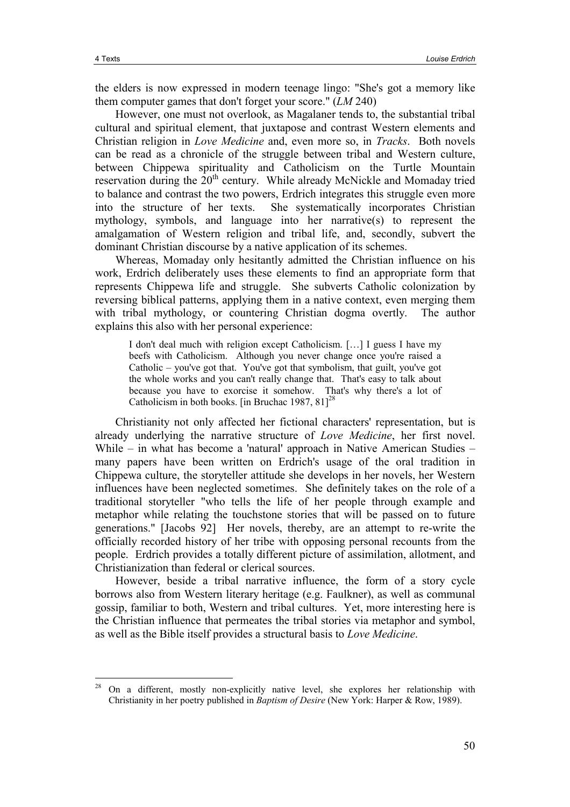the elders is now expressed in modern teenage lingo: "She's got a memory like them computer games that don't forget your score." (*LM* 240)

However, one must not overlook, as Magalaner tends to, the substantial tribal cultural and spiritual element, that juxtapose and contrast Western elements and Christian religion in *Love Medicine* and, even more so, in *Tracks*. Both novels can be read as a chronicle of the struggle between tribal and Western culture, between Chippewa spirituality and Catholicism on the Turtle Mountain reservation during the 20<sup>th</sup> century. While already McNickle and Momaday tried to balance and contrast the two powers, Erdrich integrates this struggle even more into the structure of her texts. She systematically incorporates Christian mythology, symbols, and language into her narrative(s) to represent the amalgamation of Western religion and tribal life, and, secondly, subvert the dominant Christian discourse by a native application of its schemes.

Whereas, Momaday only hesitantly admitted the Christian influence on his work, Erdrich deliberately uses these elements to find an appropriate form that represents Chippewa life and struggle. She subverts Catholic colonization by reversing biblical patterns, applying them in a native context, even merging them with tribal mythology, or countering Christian dogma overtly. The author explains this also with her personal experience:

I don't deal much with religion except Catholicism. [...] I guess I have my beefs with Catholicism. Although you never change once you're raised a Catholic – you've got that. You've got that symbolism, that guilt, you've got the whole works and you can't really change that. That's easy to talk about because you have to exorcise it somehow. That's why there's a lot of Catholicism in both books. [in Bruchac 1987,  $81$ ]<sup>28</sup>

Christianity not only affected her fictional characters' representation, but is already underlying the narrative structure of *Love Medicine*, her first novel. While  $-$  in what has become a 'natural' approach in Native American Studies  $$ many papers have been written on Erdrich's usage of the oral tradition in Chippewa culture, the storyteller attitude she develops in her novels, her Western influences have been neglected sometimes. She definitely takes on the role of a traditional storyteller "who tells the life of her people through example and metaphor while relating the touchstone stories that will be passed on to future generations." [Jacobs 92] Her novels, thereby, are an attempt to re-write the officially recorded history of her tribe with opposing personal recounts from the people. Erdrich provides a totally different picture of assimilation, allotment, and Christianization than federal or clerical sources.

However, beside a tribal narrative influence, the form of a story cycle borrows also from Western literary heritage (e.g. Faulkner), as well as communal gossip, familiar to both, Western and tribal cultures. Yet, more interesting here is the Christian influence that permeates the tribal stories via metaphor and symbol, as well as the Bible itself provides a structural basis to *Love Medicine*.

<sup>28</sup> On a different, mostly non-explicitly native level, she explores her relationship with Christianity in her poetry published in *Baptism of Desire* (New York: Harper & Row, 1989).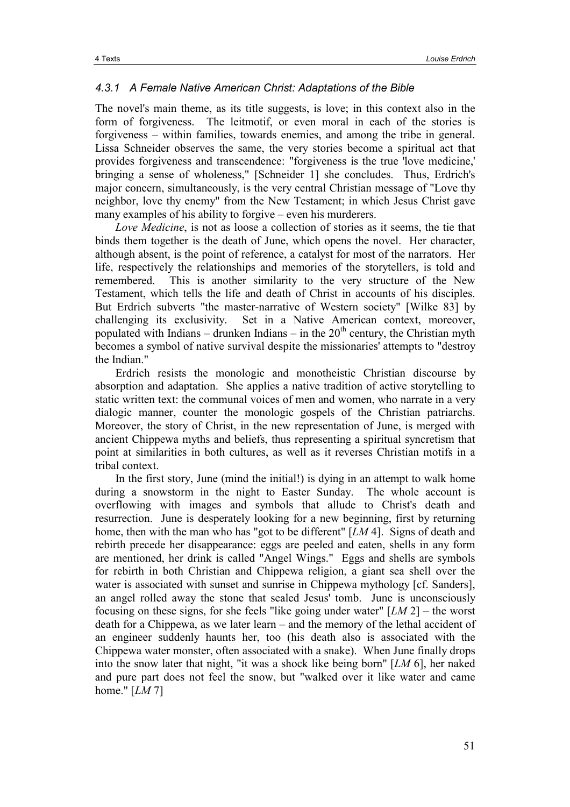### *4.3.1 A Female Native American Christ: Adaptations of the Bible*

The novel's main theme, as its title suggests, is love; in this context also in the form of forgiveness. The leitmotif, or even moral in each of the stories is forgiveness – within families, towards enemies, and among the tribe in general. Lissa Schneider observes the same, the very stories become a spiritual act that provides forgiveness and transcendence: "forgiveness is the true 'love medicine,' bringing a sense of wholeness," [Schneider 1] she concludes. Thus, Erdrich's major concern, simultaneously, is the very central Christian message of "Love thy neighbor, love thy enemy" from the New Testament; in which Jesus Christ gave many examples of his ability to forgive  $-\neq$  even his murderers.

*Love Medicine*, is not as loose a collection of stories as it seems, the tie that binds them together is the death of June, which opens the novel. Her character, although absent, is the point of reference, a catalyst for most of the narrators. Her life, respectively the relationships and memories of the storytellers, is told and remembered. This is another similarity to the very structure of the New Testament, which tells the life and death of Christ in accounts of his disciples. But Erdrich subverts "the master-narrative of Western society" [Wilke 83] by challenging its exclusivity. Set in a Native American context, moreover, populated with Indians – drunken Indians – in the  $20<sup>th</sup>$  century, the Christian myth becomes a symbol of native survival despite the missionaries' attempts to "destroy the Indian."

Erdrich resists the monologic and monotheistic Christian discourse by absorption and adaptation. She applies a native tradition of active storytelling to static written text: the communal voices of men and women, who narrate in a very dialogic manner, counter the monologic gospels of the Christian patriarchs. Moreover, the story of Christ, in the new representation of June, is merged with ancient Chippewa myths and beliefs, thus representing a spiritual syncretism that point at similarities in both cultures, as well as it reverses Christian motifs in a tribal context.

In the first story, June (mind the initial!) is dying in an attempt to walk home during a snowstorm in the night to Easter Sunday. The whole account is overflowing with images and symbols that allude to Christ's death and resurrection. June is desperately looking for a new beginning, first by returning home, then with the man who has "got to be different" [*LM* 4]. Signs of death and rebirth precede her disappearance: eggs are peeled and eaten, shells in any form are mentioned, her drink is called "Angel Wings." Eggs and shells are symbols for rebirth in both Christian and Chippewa religion, a giant sea shell over the water is associated with sunset and sunrise in Chippewa mythology [cf. Sanders], an angel rolled away the stone that sealed Jesus' tomb. June is unconsciously focusing on these signs, for she feels "like going under water"  $[LM 2]$  – the worst death for a Chippewa, as we later learn  $-$  and the memory of the lethal accident of an engineer suddenly haunts her, too (his death also is associated with the Chippewa water monster, often associated with a snake). When June finally drops into the snow later that night, "it was a shock like being born" [*LM* 6], her naked and pure part does not feel the snow, but "walked over it like water and came home." [*LM* 7]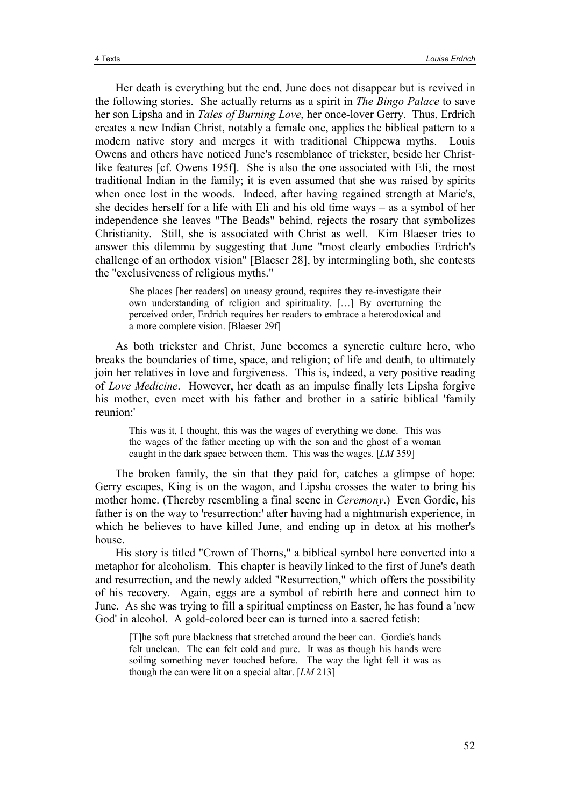Her death is everything but the end, June does not disappear but is revived in the following stories. She actually returns as a spirit in *The Bingo Palace* to save her son Lipsha and in *Tales of Burning Love*, her once-lover Gerry. Thus, Erdrich creates a new Indian Christ, notably a female one, applies the biblical pattern to a modern native story and merges it with traditional Chippewa myths. Louis Owens and others have noticed June's resemblance of trickster, beside her Christlike features [cf. Owens 195f]. She is also the one associated with Eli, the most traditional Indian in the family; it is even assumed that she was raised by spirits when once lost in the woods. Indeed, after having regained strength at Marie's, she decides herself for a life with Eli and his old time ways  $-$  as a symbol of her independence she leaves "The Beads" behind, rejects the rosary that symbolizes Christianity. Still, she is associated with Christ as well. Kim Blaeser tries to answer this dilemma by suggesting that June "most clearly embodies Erdrich's challenge of an orthodox vision" [Blaeser 28], by intermingling both, she contests the "exclusiveness of religious myths."

She places [her readers] on uneasy ground, requires they re-investigate their own understanding of religion and spirituality.  $[\dots]$  By overturning the perceived order, Erdrich requires her readers to embrace a heterodoxical and a more complete vision. [Blaeser 29f]

As both trickster and Christ, June becomes a syncretic culture hero, who breaks the boundaries of time, space, and religion; of life and death, to ultimately join her relatives in love and forgiveness. This is, indeed, a very positive reading of *Love Medicine*. However, her death as an impulse finally lets Lipsha forgive his mother, even meet with his father and brother in a satiric biblical 'family reunion:'

This was it, I thought, this was the wages of everything we done. This was the wages of the father meeting up with the son and the ghost of a woman caught in the dark space between them. This was the wages. [*LM* 359]

The broken family, the sin that they paid for, catches a glimpse of hope: Gerry escapes, King is on the wagon, and Lipsha crosses the water to bring his mother home. (Thereby resembling a final scene in *Ceremony*.) Even Gordie, his father is on the way to 'resurrection:' after having had a nightmarish experience, in which he believes to have killed June, and ending up in detox at his mother's house.

His story is titled "Crown of Thorns," a biblical symbol here converted into a metaphor for alcoholism. This chapter is heavily linked to the first of June's death and resurrection, and the newly added "Resurrection," which offers the possibility of his recovery. Again, eggs are a symbol of rebirth here and connect him to June. As she was trying to fill a spiritual emptiness on Easter, he has found a 'new God' in alcohol. A gold-colored beer can is turned into a sacred fetish:

[T]he soft pure blackness that stretched around the beer can. Gordie's hands felt unclean. The can felt cold and pure. It was as though his hands were soiling something never touched before. The way the light fell it was as though the can were lit on a special altar. [*LM* 213]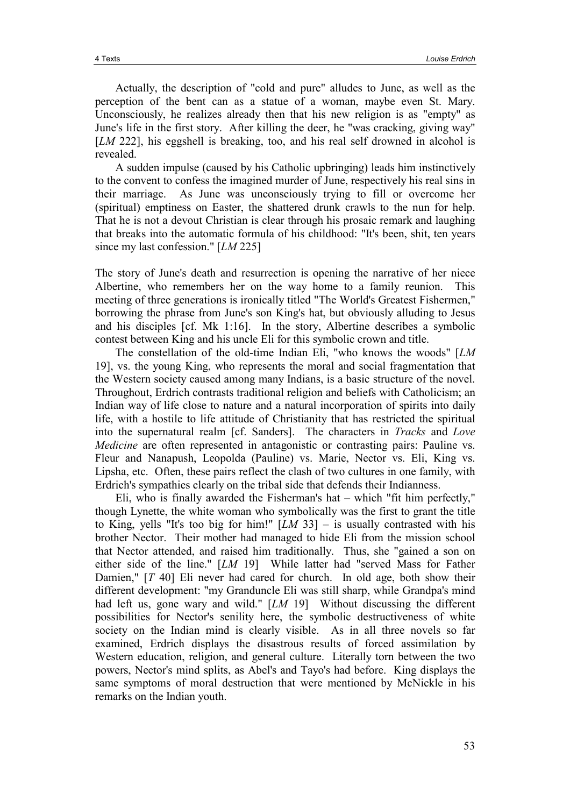Actually, the description of "cold and pure" alludes to June, as well as the perception of the bent can as a statue of a woman, maybe even St. Mary. Unconsciously, he realizes already then that his new religion is as "empty" as June's life in the first story. After killing the deer, he "was cracking, giving way" [*LM* 222], his eggshell is breaking, too, and his real self drowned in alcohol is revealed.

A sudden impulse (caused by his Catholic upbringing) leads him instinctively to the convent to confess the imagined murder of June, respectively his real sins in their marriage. As June was unconsciously trying to fill or overcome her (spiritual) emptiness on Easter, the shattered drunk crawls to the nun for help. That he is not a devout Christian is clear through his prosaic remark and laughing that breaks into the automatic formula of his childhood: "It's been, shit, ten years since my last confession." [*LM* 225]

The story of June's death and resurrection is opening the narrative of her niece Albertine, who remembers her on the way home to a family reunion. This meeting of three generations is ironically titled "The World's Greatest Fishermen," borrowing the phrase from June's son King's hat, but obviously alluding to Jesus and his disciples [cf. Mk 1:16]. In the story, Albertine describes a symbolic contest between King and his uncle Eli for this symbolic crown and title.

The constellation of the old-time Indian Eli, "who knows the woods" [*LM*  19], vs. the young King, who represents the moral and social fragmentation that the Western society caused among many Indians, is a basic structure of the novel. Throughout, Erdrich contrasts traditional religion and beliefs with Catholicism; an Indian way of life close to nature and a natural incorporation of spirits into daily life, with a hostile to life attitude of Christianity that has restricted the spiritual into the supernatural realm [cf. Sanders]. The characters in *Tracks* and *Love Medicine* are often represented in antagonistic or contrasting pairs: Pauline vs. Fleur and Nanapush, Leopolda (Pauline) vs. Marie, Nector vs. Eli, King vs. Lipsha, etc. Often, these pairs reflect the clash of two cultures in one family, with Erdrich's sympathies clearly on the tribal side that defends their Indianness.

Eli, who is finally awarded the Fisherman's hat  $-$  which "fit him perfectly," though Lynette, the white woman who symbolically was the first to grant the title to King, yells "It's too big for him!"  $[LM 33]$  – is usually contrasted with his brother Nector. Their mother had managed to hide Eli from the mission school that Nector attended, and raised him traditionally. Thus, she "gained a son on either side of the line." [*LM* 19] While latter had "served Mass for Father Damien," [*T* 40] Eli never had cared for church. In old age, both show their different development: "my Granduncle Eli was still sharp, while Grandpa's mind had left us, gone wary and wild." [*LM* 19] Without discussing the different possibilities for Nector's senility here, the symbolic destructiveness of white society on the Indian mind is clearly visible. As in all three novels so far examined, Erdrich displays the disastrous results of forced assimilation by Western education, religion, and general culture. Literally torn between the two powers, Nector's mind splits, as Abel's and Tayo's had before. King displays the same symptoms of moral destruction that were mentioned by McNickle in his remarks on the Indian youth.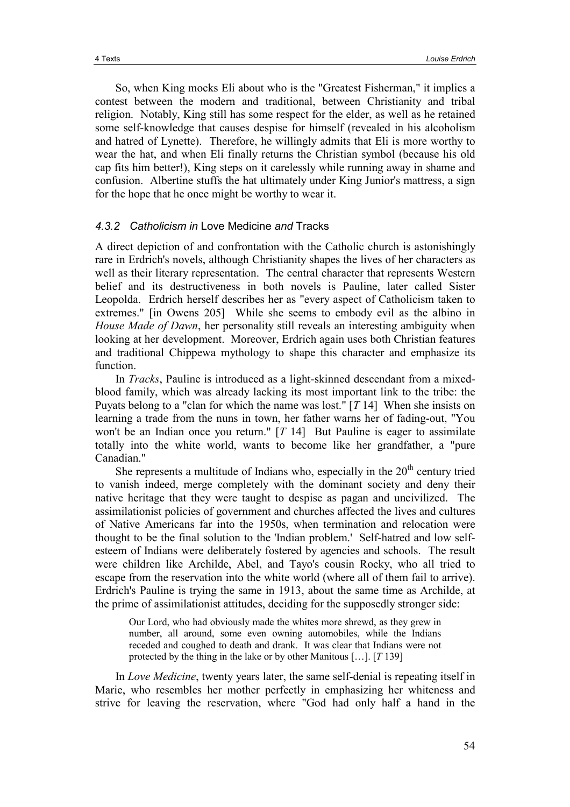So, when King mocks Eli about who is the "Greatest Fisherman," it implies a contest between the modern and traditional, between Christianity and tribal religion. Notably, King still has some respect for the elder, as well as he retained some self-knowledge that causes despise for himself (revealed in his alcoholism and hatred of Lynette). Therefore, he willingly admits that Eli is more worthy to wear the hat, and when Eli finally returns the Christian symbol (because his old cap fits him better!), King steps on it carelessly while running away in shame and confusion. Albertine stuffs the hat ultimately under King Junior's mattress, a sign for the hope that he once might be worthy to wear it.

### *4.3.2 Catholicism in* Love Medicine *and* Tracks

A direct depiction of and confrontation with the Catholic church is astonishingly rare in Erdrich's novels, although Christianity shapes the lives of her characters as well as their literary representation. The central character that represents Western belief and its destructiveness in both novels is Pauline, later called Sister Leopolda. Erdrich herself describes her as "every aspect of Catholicism taken to extremes." [in Owens 205] While she seems to embody evil as the albino in *House Made of Dawn*, her personality still reveals an interesting ambiguity when looking at her development. Moreover, Erdrich again uses both Christian features and traditional Chippewa mythology to shape this character and emphasize its function.

In *Tracks*, Pauline is introduced as a light-skinned descendant from a mixedblood family, which was already lacking its most important link to the tribe: the Puyats belong to a "clan for which the name was lost." [*T* 14] When she insists on learning a trade from the nuns in town, her father warns her of fading-out, "You won't be an Indian once you return." [*T* 14] But Pauline is eager to assimilate totally into the white world, wants to become like her grandfather, a "pure Canadian."

She represents a multitude of Indians who, especially in the  $20<sup>th</sup>$  century tried to vanish indeed, merge completely with the dominant society and deny their native heritage that they were taught to despise as pagan and uncivilized. The assimilationist policies of government and churches affected the lives and cultures of Native Americans far into the 1950s, when termination and relocation were thought to be the final solution to the 'Indian problem.' Self-hatred and low selfesteem of Indians were deliberately fostered by agencies and schools. The result were children like Archilde, Abel, and Tayo's cousin Rocky, who all tried to escape from the reservation into the white world (where all of them fail to arrive). Erdrich's Pauline is trying the same in 1913, about the same time as Archilde, at the prime of assimilationist attitudes, deciding for the supposedly stronger side:

Our Lord, who had obviously made the whites more shrewd, as they grew in number, all around, some even owning automobiles, while the Indians receded and coughed to death and drank. It was clear that Indians were not protected by the thing in the lake or by other Manitous  $[\dots]$ . [*T* 139]

In *Love Medicine*, twenty years later, the same self-denial is repeating itself in Marie, who resembles her mother perfectly in emphasizing her whiteness and strive for leaving the reservation, where "God had only half a hand in the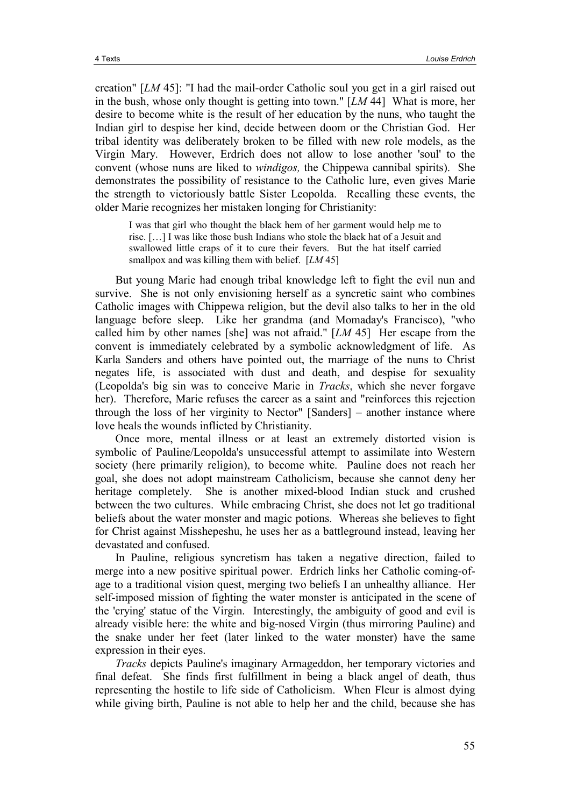creation" [*LM* 45]: "I had the mail-order Catholic soul you get in a girl raised out in the bush, whose only thought is getting into town." [*LM* 44] What is more, her desire to become white is the result of her education by the nuns, who taught the Indian girl to despise her kind, decide between doom or the Christian God. Her tribal identity was deliberately broken to be filled with new role models, as the Virgin Mary. However, Erdrich does not allow to lose another 'soul' to the convent (whose nuns are liked to *windigos,* the Chippewa cannibal spirits). She demonstrates the possibility of resistance to the Catholic lure, even gives Marie the strength to victoriously battle Sister Leopolda. Recalling these events, the older Marie recognizes her mistaken longing for Christianity:

I was that girl who thought the black hem of her garment would help me to rise. [...] I was like those bush Indians who stole the black hat of a Jesuit and swallowed little craps of it to cure their fevers. But the hat itself carried smallpox and was killing them with belief. [*LM* 45]

But young Marie had enough tribal knowledge left to fight the evil nun and survive. She is not only envisioning herself as a syncretic saint who combines Catholic images with Chippewa religion, but the devil also talks to her in the old language before sleep. Like her grandma (and Momaday's Francisco), "who called him by other names [she] was not afraid." [*LM* 45] Her escape from the convent is immediately celebrated by a symbolic acknowledgment of life. As Karla Sanders and others have pointed out, the marriage of the nuns to Christ negates life, is associated with dust and death, and despise for sexuality (Leopolda's big sin was to conceive Marie in *Tracks*, which she never forgave her). Therefore, Marie refuses the career as a saint and "reinforces this rejection through the loss of her virginity to Nector"  $[Sanders]$  – another instance where love heals the wounds inflicted by Christianity.

Once more, mental illness or at least an extremely distorted vision is symbolic of Pauline/Leopolda's unsuccessful attempt to assimilate into Western society (here primarily religion), to become white. Pauline does not reach her goal, she does not adopt mainstream Catholicism, because she cannot deny her heritage completely. She is another mixed-blood Indian stuck and crushed between the two cultures. While embracing Christ, she does not let go traditional beliefs about the water monster and magic potions. Whereas she believes to fight for Christ against Misshepeshu, he uses her as a battleground instead, leaving her devastated and confused.

In Pauline, religious syncretism has taken a negative direction, failed to merge into a new positive spiritual power. Erdrich links her Catholic coming-ofage to a traditional vision quest, merging two beliefs I an unhealthy alliance. Her self-imposed mission of fighting the water monster is anticipated in the scene of the 'crying' statue of the Virgin. Interestingly, the ambiguity of good and evil is already visible here: the white and big-nosed Virgin (thus mirroring Pauline) and the snake under her feet (later linked to the water monster) have the same expression in their eyes.

*Tracks* depicts Pauline's imaginary Armageddon, her temporary victories and final defeat. She finds first fulfillment in being a black angel of death, thus representing the hostile to life side of Catholicism. When Fleur is almost dying while giving birth, Pauline is not able to help her and the child, because she has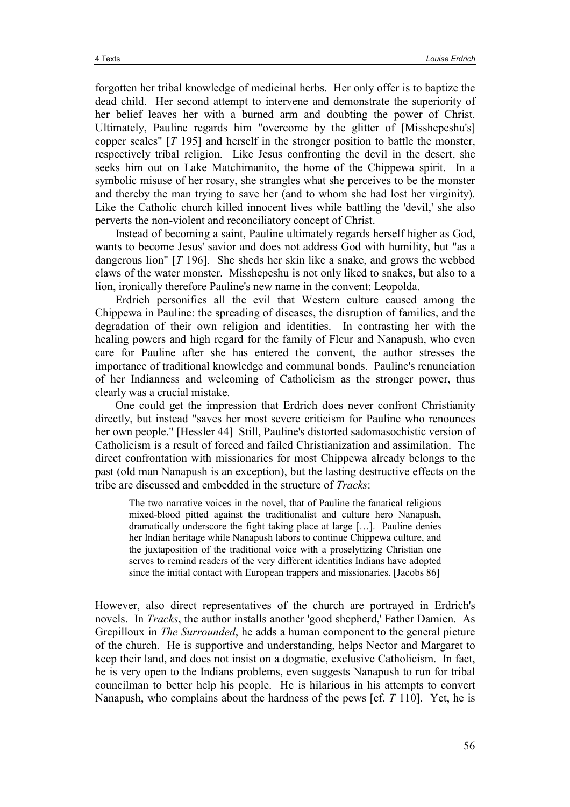forgotten her tribal knowledge of medicinal herbs. Her only offer is to baptize the dead child. Her second attempt to intervene and demonstrate the superiority of her belief leaves her with a burned arm and doubting the power of Christ. Ultimately, Pauline regards him "overcome by the glitter of [Misshepeshu's] copper scales" [*T* 195] and herself in the stronger position to battle the monster, respectively tribal religion. Like Jesus confronting the devil in the desert, she seeks him out on Lake Matchimanito, the home of the Chippewa spirit. In a symbolic misuse of her rosary, she strangles what she perceives to be the monster and thereby the man trying to save her (and to whom she had lost her virginity). Like the Catholic church killed innocent lives while battling the 'devil,' she also perverts the non-violent and reconciliatory concept of Christ.

Instead of becoming a saint, Pauline ultimately regards herself higher as God, wants to become Jesus' savior and does not address God with humility, but "as a dangerous lion" [*T* 196]. She sheds her skin like a snake, and grows the webbed claws of the water monster. Misshepeshu is not only liked to snakes, but also to a lion, ironically therefore Pauline's new name in the convent: Leopolda.

Erdrich personifies all the evil that Western culture caused among the Chippewa in Pauline: the spreading of diseases, the disruption of families, and the degradation of their own religion and identities. In contrasting her with the healing powers and high regard for the family of Fleur and Nanapush, who even care for Pauline after she has entered the convent, the author stresses the importance of traditional knowledge and communal bonds. Pauline's renunciation of her Indianness and welcoming of Catholicism as the stronger power, thus clearly was a crucial mistake.

One could get the impression that Erdrich does never confront Christianity directly, but instead "saves her most severe criticism for Pauline who renounces her own people." [Hessler 44] Still, Pauline's distorted sadomasochistic version of Catholicism is a result of forced and failed Christianization and assimilation. The direct confrontation with missionaries for most Chippewa already belongs to the past (old man Nanapush is an exception), but the lasting destructive effects on the tribe are discussed and embedded in the structure of *Tracks*:

The two narrative voices in the novel, that of Pauline the fanatical religious mixed-blood pitted against the traditionalist and culture hero Nanapush, dramatically underscore the fight taking place at large  $[\dots]$ . Pauline denies her Indian heritage while Nanapush labors to continue Chippewa culture, and the juxtaposition of the traditional voice with a proselytizing Christian one serves to remind readers of the very different identities Indians have adopted since the initial contact with European trappers and missionaries. [Jacobs 86]

However, also direct representatives of the church are portrayed in Erdrich's novels. In *Tracks*, the author installs another 'good shepherd,' Father Damien. As Grepilloux in *The Surrounded*, he adds a human component to the general picture of the church. He is supportive and understanding, helps Nector and Margaret to keep their land, and does not insist on a dogmatic, exclusive Catholicism. In fact, he is very open to the Indians problems, even suggests Nanapush to run for tribal councilman to better help his people. He is hilarious in his attempts to convert Nanapush, who complains about the hardness of the pews [cf. *T* 110]. Yet, he is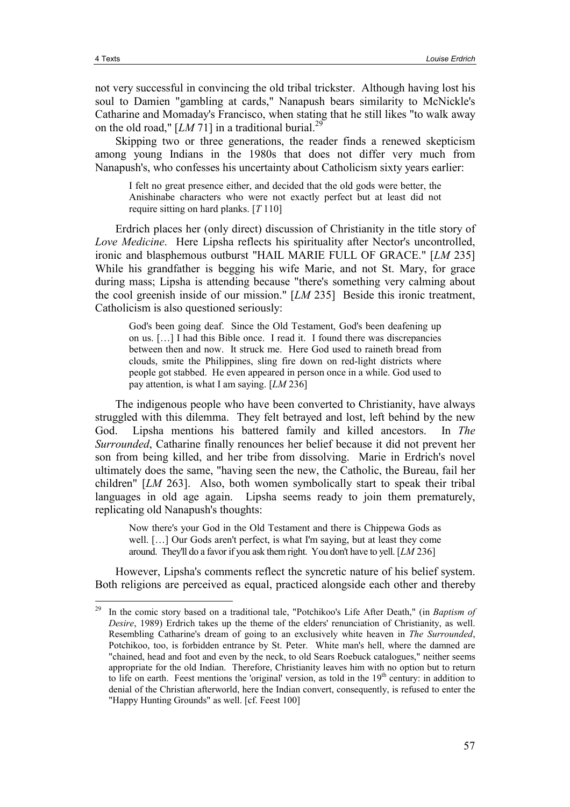not very successful in convincing the old tribal trickster. Although having lost his soul to Damien "gambling at cards," Nanapush bears similarity to McNickle's Catharine and Momaday's Francisco, when stating that he still likes "to walk away on the old road,"  $[LM 71]$  in a traditional burial.<sup>29</sup>

Skipping two or three generations, the reader finds a renewed skepticism among young Indians in the 1980s that does not differ very much from Nanapush's, who confesses his uncertainty about Catholicism sixty years earlier:

I felt no great presence either, and decided that the old gods were better, the Anishinabe characters who were not exactly perfect but at least did not require sitting on hard planks. [*T* 110]

Erdrich places her (only direct) discussion of Christianity in the title story of *Love Medicine*. Here Lipsha reflects his spirituality after Nector's uncontrolled, ironic and blasphemous outburst "HAIL MARIE FULL OF GRACE." [*LM* 235] While his grandfather is begging his wife Marie, and not St. Mary, for grace during mass; Lipsha is attending because "there's something very calming about the cool greenish inside of our mission." [*LM* 235] Beside this ironic treatment, Catholicism is also questioned seriously:

God's been going deaf. Since the Old Testament, God's been deafening up on us.  $[\dots]$  I had this Bible once. I read it. I found there was discrepancies between then and now. It struck me. Here God used to raineth bread from clouds, smite the Philippines, sling fire down on red-light districts where people got stabbed. He even appeared in person once in a while. God used to pay attention, is what I am saying. [*LM* 236]

The indigenous people who have been converted to Christianity, have always struggled with this dilemma. They felt betrayed and lost, left behind by the new God. Lipsha mentions his battered family and killed ancestors. In *The Surrounded*, Catharine finally renounces her belief because it did not prevent her son from being killed, and her tribe from dissolving. Marie in Erdrich's novel ultimately does the same, "having seen the new, the Catholic, the Bureau, fail her children" [*LM* 263]. Also, both women symbolically start to speak their tribal languages in old age again. Lipsha seems ready to join them prematurely, replicating old Nanapush's thoughts:

Now there's your God in the Old Testament and there is Chippewa Gods as well. [...] Our Gods aren't perfect, is what I'm saying, but at least they come around. They'll do a favor if you ask them right. You don't have to yell. [*LM* 236]

However, Lipsha's comments reflect the syncretic nature of his belief system. Both religions are perceived as equal, practiced alongside each other and thereby

<sup>29</sup> In the comic story based on a traditional tale, "Potchikoo's Life After Death," (in *Baptism of Desire*, 1989) Erdrich takes up the theme of the elders' renunciation of Christianity, as well. Resembling Catharine's dream of going to an exclusively white heaven in *The Surrounded*, Potchikoo, too, is forbidden entrance by St. Peter. White man's hell, where the damned are "chained, head and foot and even by the neck, to old Sears Roebuck catalogues," neither seems appropriate for the old Indian. Therefore, Christianity leaves him with no option but to return to life on earth. Feest mentions the 'original' version, as told in the 19<sup>th</sup> century: in addition to denial of the Christian afterworld, here the Indian convert, consequently, is refused to enter the "Happy Hunting Grounds" as well. [cf. Feest 100]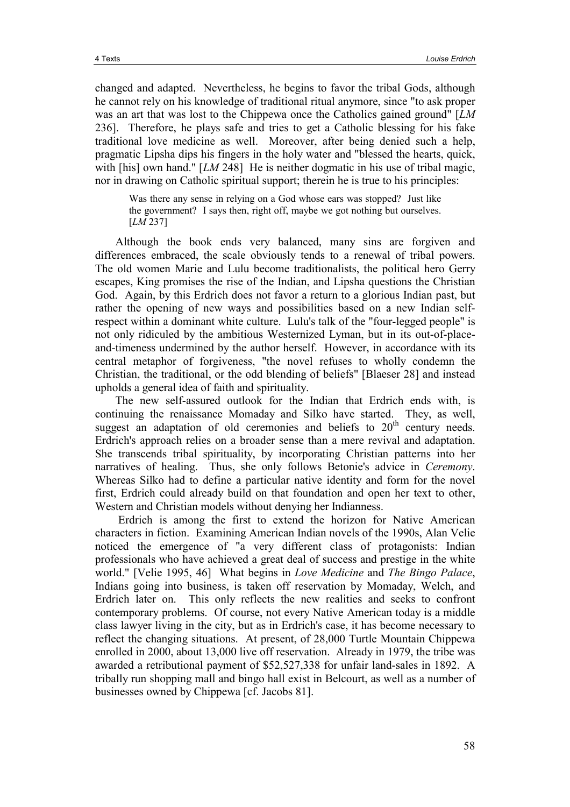changed and adapted. Nevertheless, he begins to favor the tribal Gods, although he cannot rely on his knowledge of traditional ritual anymore, since "to ask proper was an art that was lost to the Chippewa once the Catholics gained ground" [*LM*  236]. Therefore, he plays safe and tries to get a Catholic blessing for his fake traditional love medicine as well. Moreover, after being denied such a help, pragmatic Lipsha dips his fingers in the holy water and "blessed the hearts, quick, with [his] own hand." [*LM* 248] He is neither dogmatic in his use of tribal magic, nor in drawing on Catholic spiritual support; therein he is true to his principles:

Was there any sense in relying on a God whose ears was stopped? Just like the government? I says then, right off, maybe we got nothing but ourselves. [*LM* 237]

Although the book ends very balanced, many sins are forgiven and differences embraced, the scale obviously tends to a renewal of tribal powers. The old women Marie and Lulu become traditionalists, the political hero Gerry escapes, King promises the rise of the Indian, and Lipsha questions the Christian God. Again, by this Erdrich does not favor a return to a glorious Indian past, but rather the opening of new ways and possibilities based on a new Indian selfrespect within a dominant white culture. Lulu's talk of the "four-legged people" is not only ridiculed by the ambitious Westernized Lyman, but in its out-of-placeand-timeness undermined by the author herself. However, in accordance with its central metaphor of forgiveness, "the novel refuses to wholly condemn the Christian, the traditional, or the odd blending of beliefs" [Blaeser 28] and instead upholds a general idea of faith and spirituality.

The new self-assured outlook for the Indian that Erdrich ends with, is continuing the renaissance Momaday and Silko have started. They, as well, suggest an adaptation of old ceremonies and beliefs to  $20<sup>th</sup>$  century needs. Erdrich's approach relies on a broader sense than a mere revival and adaptation. She transcends tribal spirituality, by incorporating Christian patterns into her narratives of healing. Thus, she only follows Betonie's advice in *Ceremony*. Whereas Silko had to define a particular native identity and form for the novel first, Erdrich could already build on that foundation and open her text to other, Western and Christian models without denying her Indianness.

 Erdrich is among the first to extend the horizon for Native American characters in fiction. Examining American Indian novels of the 1990s, Alan Velie noticed the emergence of "a very different class of protagonists: Indian professionals who have achieved a great deal of success and prestige in the white world." [Velie 1995, 46] What begins in *Love Medicine* and *The Bingo Palace*, Indians going into business, is taken off reservation by Momaday, Welch, and Erdrich later on. This only reflects the new realities and seeks to confront contemporary problems. Of course, not every Native American today is a middle class lawyer living in the city, but as in Erdrich's case, it has become necessary to reflect the changing situations. At present, of 28,000 Turtle Mountain Chippewa enrolled in 2000, about 13,000 live off reservation. Already in 1979, the tribe was awarded a retributional payment of \$52,527,338 for unfair land-sales in 1892. A tribally run shopping mall and bingo hall exist in Belcourt, as well as a number of businesses owned by Chippewa [cf. Jacobs 81].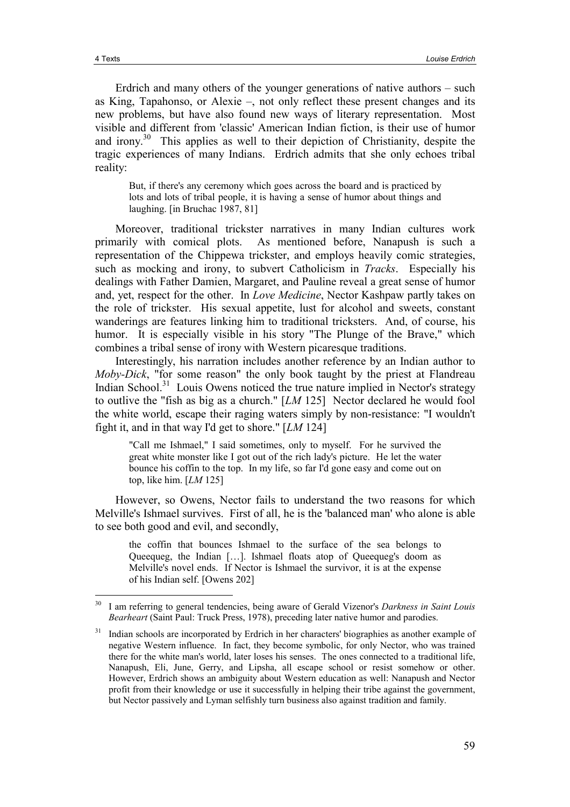Erdrich and many others of the younger generations of native authors  $-$  such as King, Tapahonso, or Alexie  $-$ , not only reflect these present changes and its new problems, but have also found new ways of literary representation. Most visible and different from 'classic' American Indian fiction, is their use of humor and irony.<sup>30</sup> This applies as well to their depiction of Christianity, despite the tragic experiences of many Indians. Erdrich admits that she only echoes tribal reality:

But, if there's any ceremony which goes across the board and is practiced by lots and lots of tribal people, it is having a sense of humor about things and laughing. [in Bruchac 1987, 81]

Moreover, traditional trickster narratives in many Indian cultures work primarily with comical plots. As mentioned before, Nanapush is such a representation of the Chippewa trickster, and employs heavily comic strategies, such as mocking and irony, to subvert Catholicism in *Tracks*. Especially his dealings with Father Damien, Margaret, and Pauline reveal a great sense of humor and, yet, respect for the other. In *Love Medicine*, Nector Kashpaw partly takes on the role of trickster. His sexual appetite, lust for alcohol and sweets, constant wanderings are features linking him to traditional tricksters. And, of course, his humor. It is especially visible in his story "The Plunge of the Brave," which combines a tribal sense of irony with Western picaresque traditions.

Interestingly, his narration includes another reference by an Indian author to *Moby-Dick*, "for some reason" the only book taught by the priest at Flandreau Indian School. $31$  Louis Owens noticed the true nature implied in Nector's strategy to outlive the "fish as big as a church." [*LM* 125] Nector declared he would fool the white world, escape their raging waters simply by non-resistance: "I wouldn't fight it, and in that way I'd get to shore." [*LM* 124]

"Call me Ishmael," I said sometimes, only to myself. For he survived the great white monster like I got out of the rich lady's picture. He let the water bounce his coffin to the top. In my life, so far I'd gone easy and come out on top, like him. [*LM* 125]

However, so Owens, Nector fails to understand the two reasons for which Melville's Ishmael survives. First of all, he is the 'balanced man' who alone is able to see both good and evil, and secondly,

the coffin that bounces Ishmael to the surface of the sea belongs to Queequeg, the Indian [...]. Ishmael floats atop of Queequeg's doom as Melville's novel ends. If Nector is Ishmael the survivor, it is at the expense of his Indian self. [Owens 202]

 $30$ 30 I am referring to general tendencies, being aware of Gerald Vizenor's *Darkness in Saint Louis Bearheart* (Saint Paul: Truck Press, 1978), preceding later native humor and parodies.

<sup>31</sup> Indian schools are incorporated by Erdrich in her characters' biographies as another example of negative Western influence. In fact, they become symbolic, for only Nector, who was trained there for the white man's world, later loses his senses. The ones connected to a traditional life, Nanapush, Eli, June, Gerry, and Lipsha, all escape school or resist somehow or other. However, Erdrich shows an ambiguity about Western education as well: Nanapush and Nector profit from their knowledge or use it successfully in helping their tribe against the government, but Nector passively and Lyman selfishly turn business also against tradition and family.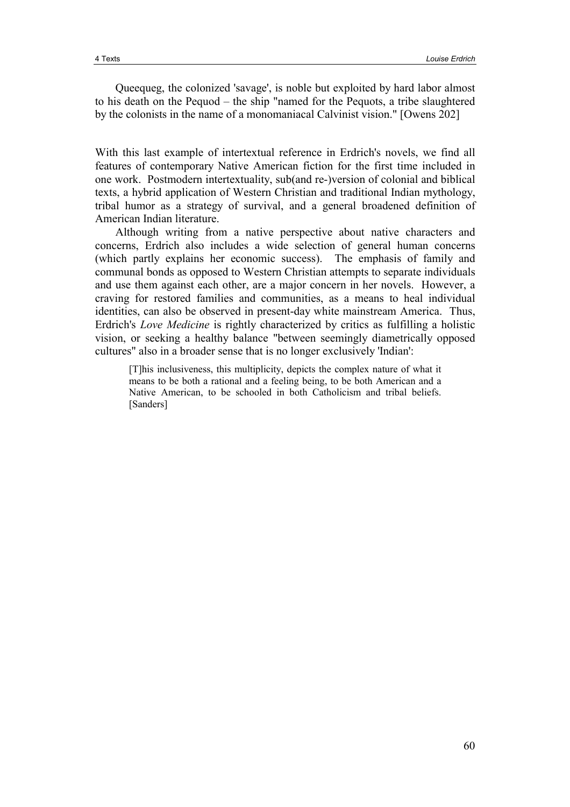Queequeg, the colonized 'savage', is noble but exploited by hard labor almost to his death on the Pequod  $-$  the ship "named for the Pequots, a tribe slaughtered by the colonists in the name of a monomaniacal Calvinist vision." [Owens 202]

With this last example of intertextual reference in Erdrich's novels, we find all features of contemporary Native American fiction for the first time included in one work. Postmodern intertextuality, sub(and re-)version of colonial and biblical texts, a hybrid application of Western Christian and traditional Indian mythology, tribal humor as a strategy of survival, and a general broadened definition of American Indian literature.

Although writing from a native perspective about native characters and concerns, Erdrich also includes a wide selection of general human concerns (which partly explains her economic success). The emphasis of family and communal bonds as opposed to Western Christian attempts to separate individuals and use them against each other, are a major concern in her novels. However, a craving for restored families and communities, as a means to heal individual identities, can also be observed in present-day white mainstream America. Thus, Erdrich's *Love Medicine* is rightly characterized by critics as fulfilling a holistic vision, or seeking a healthy balance "between seemingly diametrically opposed cultures" also in a broader sense that is no longer exclusively 'Indian':

[T]his inclusiveness, this multiplicity, depicts the complex nature of what it means to be both a rational and a feeling being, to be both American and a Native American, to be schooled in both Catholicism and tribal beliefs. [Sanders]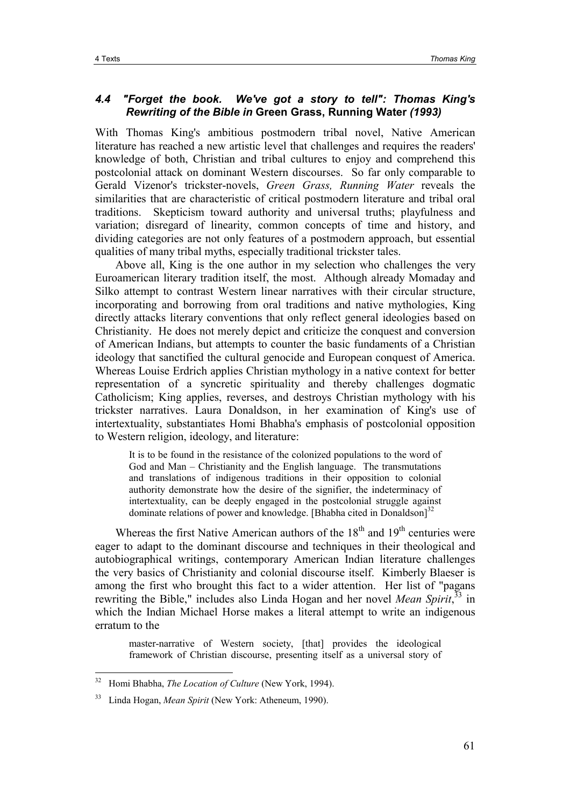#### 4 Texts *Thomas King*

## *4.4 "Forget the book. We've got a story to tell": Thomas King's Rewriting of the Bible in* **Green Grass, Running Water** *(1993)*

With Thomas King's ambitious postmodern tribal novel, Native American literature has reached a new artistic level that challenges and requires the readers' knowledge of both, Christian and tribal cultures to enjoy and comprehend this postcolonial attack on dominant Western discourses. So far only comparable to Gerald Vizenor's trickster-novels, *Green Grass, Running Water* reveals the similarities that are characteristic of critical postmodern literature and tribal oral traditions. Skepticism toward authority and universal truths; playfulness and variation; disregard of linearity, common concepts of time and history, and dividing categories are not only features of a postmodern approach, but essential qualities of many tribal myths, especially traditional trickster tales.

Above all, King is the one author in my selection who challenges the very Euroamerican literary tradition itself, the most. Although already Momaday and Silko attempt to contrast Western linear narratives with their circular structure, incorporating and borrowing from oral traditions and native mythologies, King directly attacks literary conventions that only reflect general ideologies based on Christianity. He does not merely depict and criticize the conquest and conversion of American Indians, but attempts to counter the basic fundaments of a Christian ideology that sanctified the cultural genocide and European conquest of America. Whereas Louise Erdrich applies Christian mythology in a native context for better representation of a syncretic spirituality and thereby challenges dogmatic Catholicism; King applies, reverses, and destroys Christian mythology with his trickster narratives. Laura Donaldson, in her examination of King's use of intertextuality, substantiates Homi Bhabha's emphasis of postcolonial opposition to Western religion, ideology, and literature:

It is to be found in the resistance of the colonized populations to the word of God and Man  $-$  Christianity and the English language. The transmutations and translations of indigenous traditions in their opposition to colonial authority demonstrate how the desire of the signifier, the indeterminacy of intertextuality, can be deeply engaged in the postcolonial struggle against dominate relations of power and knowledge. [Bhabha cited in Donaldson] $32$ 

Whereas the first Native American authors of the  $18<sup>th</sup>$  and  $19<sup>th</sup>$  centuries were eager to adapt to the dominant discourse and techniques in their theological and autobiographical writings, contemporary American Indian literature challenges the very basics of Christianity and colonial discourse itself. Kimberly Blaeser is among the first who brought this fact to a wider attention. Her list of "pagans rewriting the Bible," includes also Linda Hogan and her novel *Mean Spirit*,<sup>33</sup> in which the Indian Michael Horse makes a literal attempt to write an indigenous erratum to the

master-narrative of Western society, [that] provides the ideological framework of Christian discourse, presenting itself as a universal story of

 $32\,$ 32 Homi Bhabha, *The Location of Culture* (New York, 1994).

<sup>33</sup> Linda Hogan, *Mean Spirit* (New York: Atheneum, 1990).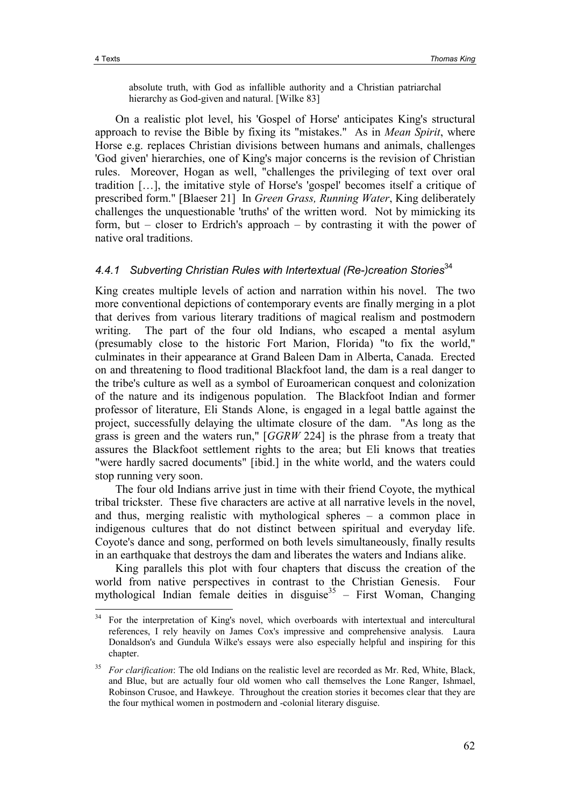absolute truth, with God as infallible authority and a Christian patriarchal hierarchy as God-given and natural. [Wilke 83]

On a realistic plot level, his 'Gospel of Horse' anticipates King's structural approach to revise the Bible by fixing its "mistakes." As in *Mean Spirit*, where Horse e.g. replaces Christian divisions between humans and animals, challenges 'God given' hierarchies, one of King's major concerns is the revision of Christian rules. Moreover, Hogan as well, "challenges the privileging of text over oral tradition [...], the imitative style of Horse's 'gospel' becomes itself a critique of prescribed form." [Blaeser 21] In *Green Grass, Running Water*, King deliberately challenges the unquestionable 'truths' of the written word. Not by mimicking its form, but  $-$  closer to Erdrich's approach  $-$  by contrasting it with the power of native oral traditions.

# 4.4.1 Subverting Christian Rules with Intertextual (Re-)creation Stories<sup>34</sup>

King creates multiple levels of action and narration within his novel. The two more conventional depictions of contemporary events are finally merging in a plot that derives from various literary traditions of magical realism and postmodern writing. The part of the four old Indians, who escaped a mental asylum (presumably close to the historic Fort Marion, Florida) "to fix the world," culminates in their appearance at Grand Baleen Dam in Alberta, Canada. Erected on and threatening to flood traditional Blackfoot land, the dam is a real danger to the tribe's culture as well as a symbol of Euroamerican conquest and colonization of the nature and its indigenous population. The Blackfoot Indian and former professor of literature, Eli Stands Alone, is engaged in a legal battle against the project, successfully delaying the ultimate closure of the dam. "As long as the grass is green and the waters run," [*GGRW* 224] is the phrase from a treaty that assures the Blackfoot settlement rights to the area; but Eli knows that treaties "were hardly sacred documents" [ibid.] in the white world, and the waters could stop running very soon.

The four old Indians arrive just in time with their friend Coyote, the mythical tribal trickster. These five characters are active at all narrative levels in the novel, and thus, merging realistic with mythological spheres  $-$  a common place in indigenous cultures that do not distinct between spiritual and everyday life. Coyote's dance and song, performed on both levels simultaneously, finally results in an earthquake that destroys the dam and liberates the waters and Indians alike.

King parallels this plot with four chapters that discuss the creation of the world from native perspectives in contrast to the Christian Genesis. Four mythological Indian female deities in disguise<sup>35</sup> – First Woman, Changing

 $34$ 34 For the interpretation of King's novel, which overboards with intertextual and intercultural references, I rely heavily on James Cox's impressive and comprehensive analysis. Laura Donaldson's and Gundula Wilke's essays were also especially helpful and inspiring for this chapter.

<sup>35</sup> *For clarification*: The old Indians on the realistic level are recorded as Mr. Red, White, Black, and Blue, but are actually four old women who call themselves the Lone Ranger, Ishmael, Robinson Crusoe, and Hawkeye. Throughout the creation stories it becomes clear that they are the four mythical women in postmodern and -colonial literary disguise.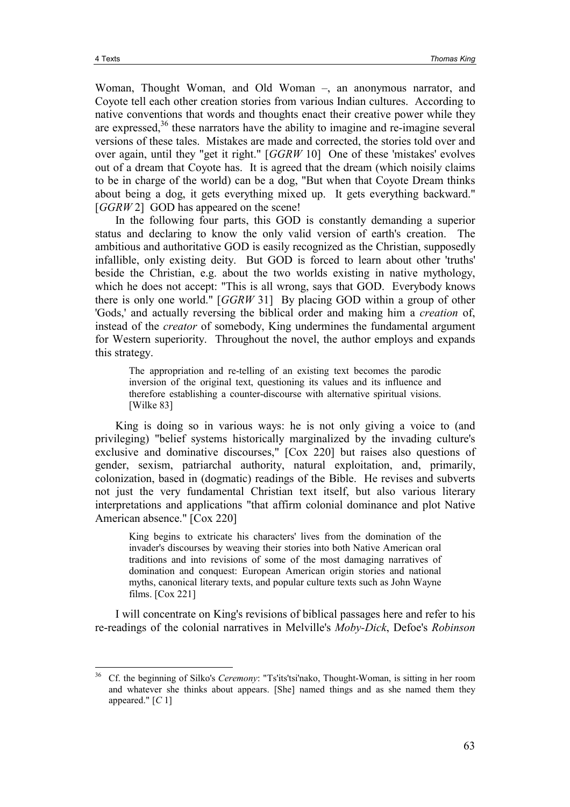Woman, Thought Woman, and Old Woman –, an anonymous narrator, and Coyote tell each other creation stories from various Indian cultures. According to native conventions that words and thoughts enact their creative power while they are expressed, $36$  these narrators have the ability to imagine and re-imagine several versions of these tales. Mistakes are made and corrected, the stories told over and over again, until they "get it right." [*GGRW* 10] One of these 'mistakes' evolves out of a dream that Coyote has. It is agreed that the dream (which noisily claims to be in charge of the world) can be a dog, "But when that Coyote Dream thinks about being a dog, it gets everything mixed up. It gets everything backward." [*GGRW* 2] GOD has appeared on the scene!

In the following four parts, this GOD is constantly demanding a superior status and declaring to know the only valid version of earth's creation. The ambitious and authoritative GOD is easily recognized as the Christian, supposedly infallible, only existing deity. But GOD is forced to learn about other 'truths' beside the Christian, e.g. about the two worlds existing in native mythology, which he does not accept: "This is all wrong, says that GOD. Everybody knows there is only one world." [*GGRW* 31] By placing GOD within a group of other 'Gods,' and actually reversing the biblical order and making him a *creation* of, instead of the *creator* of somebody, King undermines the fundamental argument for Western superiority. Throughout the novel, the author employs and expands this strategy.

The appropriation and re-telling of an existing text becomes the parodic inversion of the original text, questioning its values and its influence and therefore establishing a counter-discourse with alternative spiritual visions. [Wilke 83]

King is doing so in various ways: he is not only giving a voice to (and privileging) "belief systems historically marginalized by the invading culture's exclusive and dominative discourses," [Cox 220] but raises also questions of gender, sexism, patriarchal authority, natural exploitation, and, primarily, colonization, based in (dogmatic) readings of the Bible. He revises and subverts not just the very fundamental Christian text itself, but also various literary interpretations and applications "that affirm colonial dominance and plot Native American absence." [Cox 220]

King begins to extricate his characters' lives from the domination of the invader's discourses by weaving their stories into both Native American oral traditions and into revisions of some of the most damaging narratives of domination and conquest: European American origin stories and national myths, canonical literary texts, and popular culture texts such as John Wayne films. [Cox 221]

I will concentrate on King's revisions of biblical passages here and refer to his re-readings of the colonial narratives in Melville's *Moby-Dick*, Defoe's *Robinson* 

<sup>36</sup> Cf. the beginning of Silko's *Ceremony*: "Ts'its'tsi'nako, Thought-Woman, is sitting in her room and whatever she thinks about appears. [She] named things and as she named them they appeared." [*C* 1]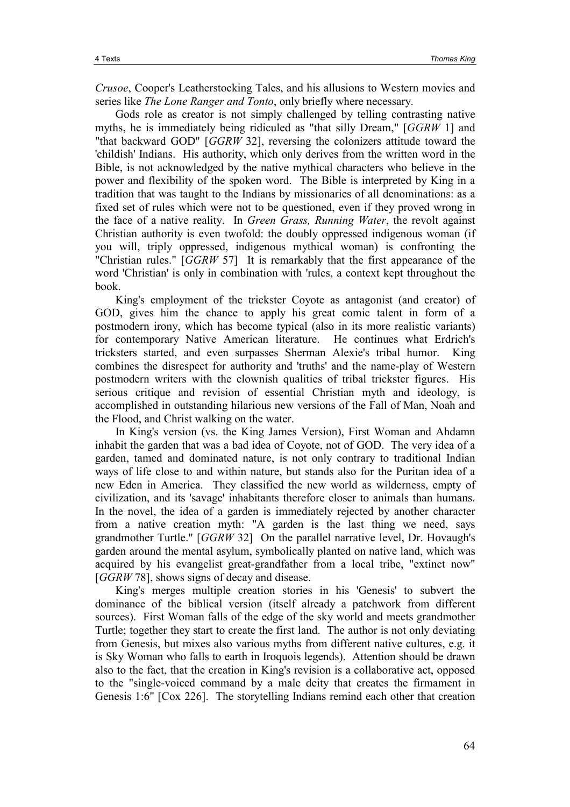*Crusoe*, Cooper's Leatherstocking Tales, and his allusions to Western movies and series like *The Lone Ranger and Tonto*, only briefly where necessary.

Gods role as creator is not simply challenged by telling contrasting native myths, he is immediately being ridiculed as "that silly Dream," [*GGRW* 1] and "that backward GOD" [*GGRW* 32], reversing the colonizers attitude toward the 'childish' Indians. His authority, which only derives from the written word in the Bible, is not acknowledged by the native mythical characters who believe in the power and flexibility of the spoken word. The Bible is interpreted by King in a tradition that was taught to the Indians by missionaries of all denominations: as a fixed set of rules which were not to be questioned, even if they proved wrong in the face of a native reality. In *Green Grass, Running Water*, the revolt against Christian authority is even twofold: the doubly oppressed indigenous woman (if you will, triply oppressed, indigenous mythical woman) is confronting the "Christian rules." [*GGRW* 57] It is remarkably that the first appearance of the word 'Christian' is only in combination with 'rules, a context kept throughout the book.

King's employment of the trickster Coyote as antagonist (and creator) of GOD, gives him the chance to apply his great comic talent in form of a postmodern irony, which has become typical (also in its more realistic variants) for contemporary Native American literature. He continues what Erdrich's tricksters started, and even surpasses Sherman Alexie's tribal humor. King combines the disrespect for authority and 'truths' and the name-play of Western postmodern writers with the clownish qualities of tribal trickster figures. His serious critique and revision of essential Christian myth and ideology, is accomplished in outstanding hilarious new versions of the Fall of Man, Noah and the Flood, and Christ walking on the water.

In King's version (vs. the King James Version), First Woman and Ahdamn inhabit the garden that was a bad idea of Coyote, not of GOD. The very idea of a garden, tamed and dominated nature, is not only contrary to traditional Indian ways of life close to and within nature, but stands also for the Puritan idea of a new Eden in America. They classified the new world as wilderness, empty of civilization, and its 'savage' inhabitants therefore closer to animals than humans. In the novel, the idea of a garden is immediately rejected by another character from a native creation myth: "A garden is the last thing we need, says grandmother Turtle." [*GGRW* 32] On the parallel narrative level, Dr. Hovaugh's garden around the mental asylum, symbolically planted on native land, which was acquired by his evangelist great-grandfather from a local tribe, "extinct now" [*GGRW* 78], shows signs of decay and disease.

King's merges multiple creation stories in his 'Genesis' to subvert the dominance of the biblical version (itself already a patchwork from different sources). First Woman falls of the edge of the sky world and meets grandmother Turtle; together they start to create the first land. The author is not only deviating from Genesis, but mixes also various myths from different native cultures, e.g. it is Sky Woman who falls to earth in Iroquois legends). Attention should be drawn also to the fact, that the creation in King's revision is a collaborative act, opposed to the "single-voiced command by a male deity that creates the firmament in Genesis 1:6" [Cox 226]. The storytelling Indians remind each other that creation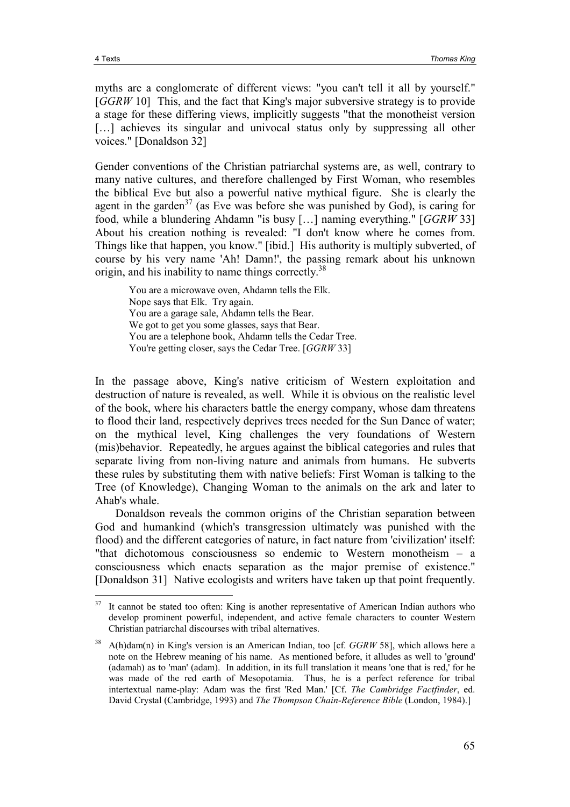myths are a conglomerate of different views: "you can't tell it all by yourself." [*GGRW* 10] This, and the fact that King's major subversive strategy is to provide a stage for these differing views, implicitly suggests "that the monotheist version [...] achieves its singular and univocal status only by suppressing all other voices." [Donaldson 32]

Gender conventions of the Christian patriarchal systems are, as well, contrary to many native cultures, and therefore challenged by First Woman, who resembles the biblical Eve but also a powerful native mythical figure. She is clearly the agent in the garden<sup>37</sup> (as Eve was before she was punished by God), is caring for food, while a blundering Ahdamn "is busy [...] naming everything." [*GGRW* 33] About his creation nothing is revealed: "I don't know where he comes from. Things like that happen, you know." [ibid.] His authority is multiply subverted, of course by his very name 'Ah! Damn!', the passing remark about his unknown origin, and his inability to name things correctly.<sup>38</sup>

You are a microwave oven, Ahdamn tells the Elk. Nope says that Elk. Try again. You are a garage sale, Ahdamn tells the Bear. We got to get you some glasses, says that Bear. You are a telephone book, Ahdamn tells the Cedar Tree. You're getting closer, says the Cedar Tree. [*GGRW* 33]

In the passage above, King's native criticism of Western exploitation and destruction of nature is revealed, as well. While it is obvious on the realistic level of the book, where his characters battle the energy company, whose dam threatens to flood their land, respectively deprives trees needed for the Sun Dance of water; on the mythical level, King challenges the very foundations of Western (mis)behavior. Repeatedly, he argues against the biblical categories and rules that separate living from non-living nature and animals from humans. He subverts these rules by substituting them with native beliefs: First Woman is talking to the Tree (of Knowledge), Changing Woman to the animals on the ark and later to Ahab's whale.

Donaldson reveals the common origins of the Christian separation between God and humankind (which's transgression ultimately was punished with the flood) and the different categories of nature, in fact nature from 'civilization' itself: "that dichotomous consciousness so endemic to Western monotheism  $-$  a consciousness which enacts separation as the major premise of existence." [Donaldson 31] Native ecologists and writers have taken up that point frequently.

 $37$  It cannot be stated too often: King is another representative of American Indian authors who develop prominent powerful, independent, and active female characters to counter Western Christian patriarchal discourses with tribal alternatives.

<sup>38</sup> A(h)dam(n) in King's version is an American Indian, too [cf. *GGRW* 58], which allows here a note on the Hebrew meaning of his name. As mentioned before, it alludes as well to 'ground' (adamah) as to 'man' (adam). In addition, in its full translation it means 'one that is red,' for he was made of the red earth of Mesopotamia. Thus, he is a perfect reference for tribal intertextual name-play: Adam was the first 'Red Man.' [Cf. *The Cambridge Factfinder*, ed. David Crystal (Cambridge, 1993) and *The Thompson Chain-Reference Bible* (London, 1984).]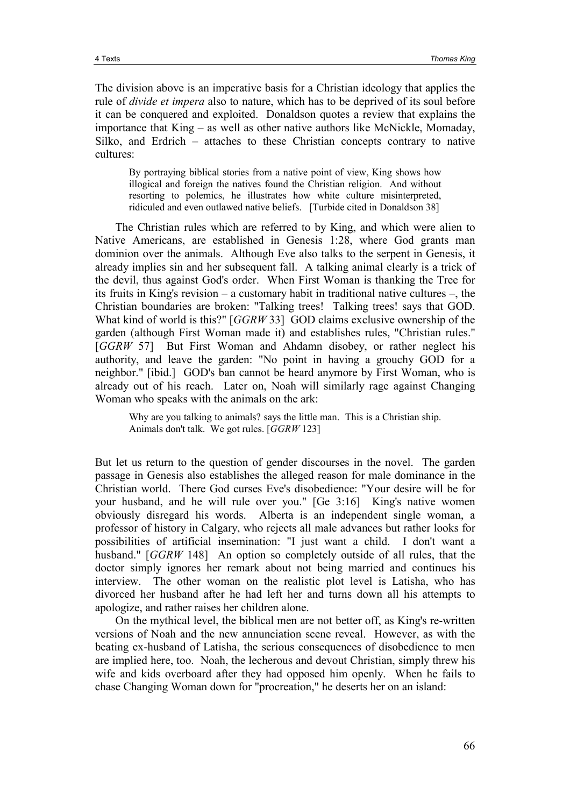The division above is an imperative basis for a Christian ideology that applies the rule of *divide et impera* also to nature, which has to be deprived of its soul before it can be conquered and exploited. Donaldson quotes a review that explains the importance that  $King - as$  well as other native authors like McNickle, Momaday, Silko, and Erdrich  $-$  attaches to these Christian concepts contrary to native cultures:

By portraying biblical stories from a native point of view, King shows how illogical and foreign the natives found the Christian religion. And without resorting to polemics, he illustrates how white culture misinterpreted, ridiculed and even outlawed native beliefs. [Turbide cited in Donaldson 38]

The Christian rules which are referred to by King, and which were alien to Native Americans, are established in Genesis 1:28, where God grants man dominion over the animals. Although Eve also talks to the serpent in Genesis, it already implies sin and her subsequent fall. A talking animal clearly is a trick of the devil, thus against God's order. When First Woman is thanking the Tree for its fruits in King's revision  $-\alpha$  customary habit in traditional native cultures  $-\alpha$ , the Christian boundaries are broken: "Talking trees! Talking trees! says that GOD. What kind of world is this?" [*GGRW* 33] GOD claims exclusive ownership of the garden (although First Woman made it) and establishes rules, "Christian rules." [*GGRW* 57] But First Woman and Ahdamn disobey, or rather neglect his authority, and leave the garden: "No point in having a grouchy GOD for a neighbor." [ibid.] GOD's ban cannot be heard anymore by First Woman, who is already out of his reach. Later on, Noah will similarly rage against Changing Woman who speaks with the animals on the ark:

Why are you talking to animals? says the little man. This is a Christian ship. Animals don't talk. We got rules. [*GGRW* 123]

But let us return to the question of gender discourses in the novel. The garden passage in Genesis also establishes the alleged reason for male dominance in the Christian world. There God curses Eve's disobedience: "Your desire will be for your husband, and he will rule over you." [Ge 3:16] King's native women obviously disregard his words. Alberta is an independent single woman, a professor of history in Calgary, who rejects all male advances but rather looks for possibilities of artificial insemination: "I just want a child. I don't want a husband." [*GGRW* 148] An option so completely outside of all rules, that the doctor simply ignores her remark about not being married and continues his interview. The other woman on the realistic plot level is Latisha, who has divorced her husband after he had left her and turns down all his attempts to apologize, and rather raises her children alone.

On the mythical level, the biblical men are not better off, as King's re-written versions of Noah and the new annunciation scene reveal. However, as with the beating ex-husband of Latisha, the serious consequences of disobedience to men are implied here, too. Noah, the lecherous and devout Christian, simply threw his wife and kids overboard after they had opposed him openly. When he fails to chase Changing Woman down for "procreation," he deserts her on an island: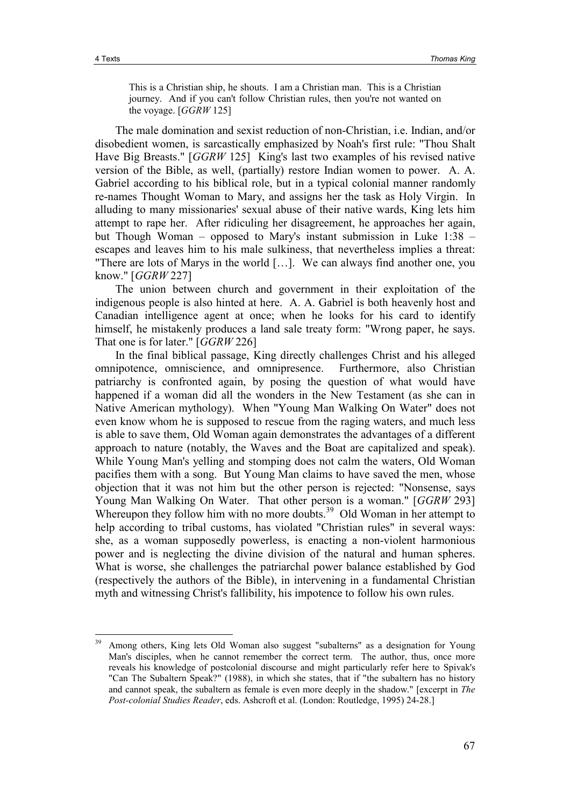This is a Christian ship, he shouts. I am a Christian man. This is a Christian journey. And if you can't follow Christian rules, then you're not wanted on the voyage. [*GGRW* 125]

The male domination and sexist reduction of non-Christian, i.e. Indian, and/or disobedient women, is sarcastically emphasized by Noah's first rule: "Thou Shalt Have Big Breasts." [*GGRW* 125] King's last two examples of his revised native version of the Bible, as well, (partially) restore Indian women to power. A. A. Gabriel according to his biblical role, but in a typical colonial manner randomly re-names Thought Woman to Mary, and assigns her the task as Holy Virgin. In alluding to many missionaries' sexual abuse of their native wards, King lets him attempt to rape her. After ridiculing her disagreement, he approaches her again, but Though Woman – opposed to Mary's instant submission in Luke  $1:38$  – escapes and leaves him to his male sulkiness, that nevertheless implies a threat: "There are lots of Marys in the world  $[\dots]$ . We can always find another one, you know." [*GGRW* 227]

The union between church and government in their exploitation of the indigenous people is also hinted at here. A. A. Gabriel is both heavenly host and Canadian intelligence agent at once; when he looks for his card to identify himself, he mistakenly produces a land sale treaty form: "Wrong paper, he says. That one is for later." [*GGRW* 226]

In the final biblical passage, King directly challenges Christ and his alleged omnipotence, omniscience, and omnipresence. Furthermore, also Christian patriarchy is confronted again, by posing the question of what would have happened if a woman did all the wonders in the New Testament (as she can in Native American mythology). When "Young Man Walking On Water" does not even know whom he is supposed to rescue from the raging waters, and much less is able to save them, Old Woman again demonstrates the advantages of a different approach to nature (notably, the Waves and the Boat are capitalized and speak). While Young Man's yelling and stomping does not calm the waters, Old Woman pacifies them with a song. But Young Man claims to have saved the men, whose objection that it was not him but the other person is rejected: "Nonsense, says Young Man Walking On Water. That other person is a woman." [*GGRW* 293] Whereupon they follow him with no more doubts.<sup>39</sup> Old Woman in her attempt to help according to tribal customs, has violated "Christian rules" in several ways: she, as a woman supposedly powerless, is enacting a non-violent harmonious power and is neglecting the divine division of the natural and human spheres. What is worse, she challenges the patriarchal power balance established by God (respectively the authors of the Bible), in intervening in a fundamental Christian myth and witnessing Christ's fallibility, his impotence to follow his own rules.

<sup>39</sup> Among others, King lets Old Woman also suggest "subalterns" as a designation for Young Man's disciples, when he cannot remember the correct term. The author, thus, once more reveals his knowledge of postcolonial discourse and might particularly refer here to Spivak's "Can The Subaltern Speak?" (1988), in which she states, that if "the subaltern has no history and cannot speak, the subaltern as female is even more deeply in the shadow." [excerpt in *The Post-colonial Studies Reader*, eds. Ashcroft et al. (London: Routledge, 1995) 24-28.]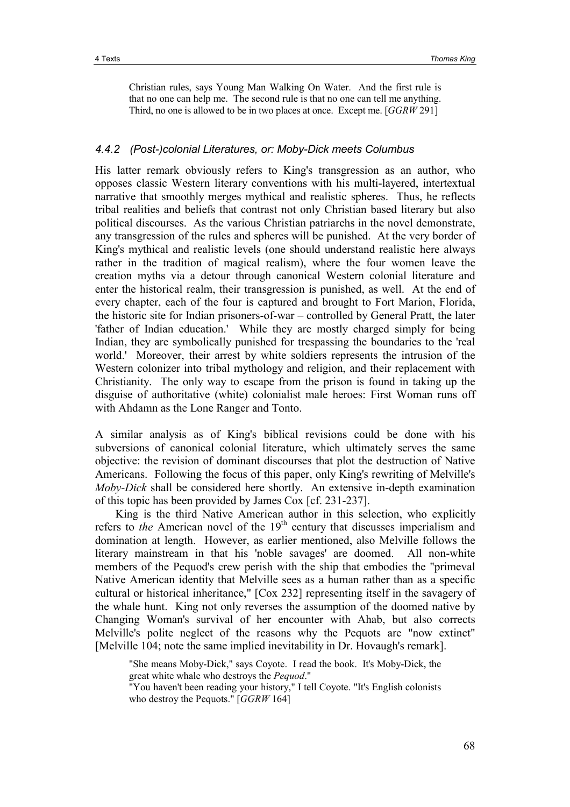Christian rules, says Young Man Walking On Water. And the first rule is that no one can help me. The second rule is that no one can tell me anything. Third, no one is allowed to be in two places at once. Except me. [*GGRW* 291]

### *4.4.2 (Post-)colonial Literatures, or: Moby-Dick meets Columbus*

His latter remark obviously refers to King's transgression as an author, who opposes classic Western literary conventions with his multi-layered, intertextual narrative that smoothly merges mythical and realistic spheres. Thus, he reflects tribal realities and beliefs that contrast not only Christian based literary but also political discourses. As the various Christian patriarchs in the novel demonstrate, any transgression of the rules and spheres will be punished. At the very border of King's mythical and realistic levels (one should understand realistic here always rather in the tradition of magical realism), where the four women leave the creation myths via a detour through canonical Western colonial literature and enter the historical realm, their transgression is punished, as well. At the end of every chapter, each of the four is captured and brought to Fort Marion, Florida, the historic site for Indian prisoners-of-war – controlled by General Pratt, the later 'father of Indian education.' While they are mostly charged simply for being Indian, they are symbolically punished for trespassing the boundaries to the 'real world.' Moreover, their arrest by white soldiers represents the intrusion of the Western colonizer into tribal mythology and religion, and their replacement with Christianity. The only way to escape from the prison is found in taking up the disguise of authoritative (white) colonialist male heroes: First Woman runs off with Ahdamn as the Lone Ranger and Tonto.

A similar analysis as of King's biblical revisions could be done with his subversions of canonical colonial literature, which ultimately serves the same objective: the revision of dominant discourses that plot the destruction of Native Americans. Following the focus of this paper, only King's rewriting of Melville's *Moby-Dick* shall be considered here shortly. An extensive in-depth examination of this topic has been provided by James Cox [cf. 231-237].

King is the third Native American author in this selection, who explicitly refers to *the* American novel of the 19<sup>th</sup> century that discusses imperialism and domination at length. However, as earlier mentioned, also Melville follows the literary mainstream in that his 'noble savages' are doomed. All non-white members of the Pequod's crew perish with the ship that embodies the "primeval Native American identity that Melville sees as a human rather than as a specific cultural or historical inheritance," [Cox 232] representing itself in the savagery of the whale hunt. King not only reverses the assumption of the doomed native by Changing Woman's survival of her encounter with Ahab, but also corrects Melville's polite neglect of the reasons why the Pequots are "now extinct" [Melville 104; note the same implied inevitability in Dr. Hovaugh's remark].

"She means Moby-Dick," says Coyote. I read the book. It's Moby-Dick, the great white whale who destroys the *Pequod*."

"You haven't been reading your history," I tell Coyote. "It's English colonists who destroy the Pequots." [*GGRW* 164]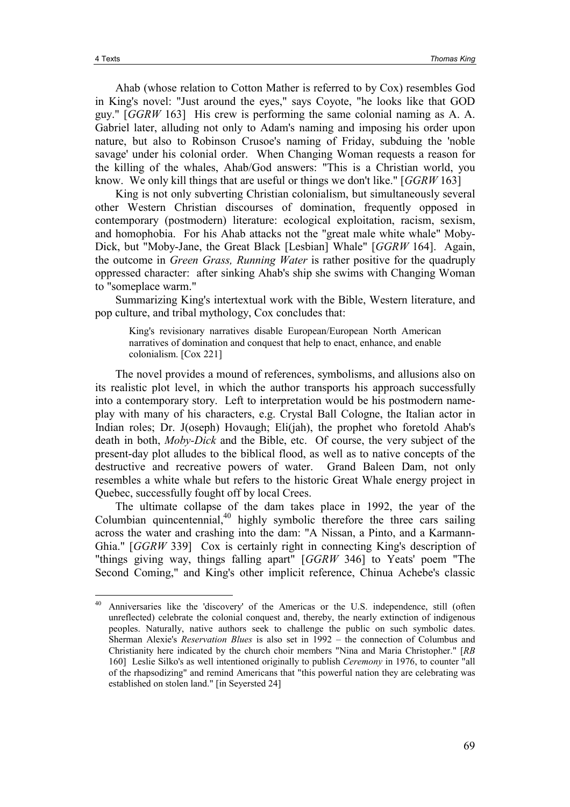Ahab (whose relation to Cotton Mather is referred to by Cox) resembles God in King's novel: "Just around the eyes," says Coyote, "he looks like that GOD guy." [*GGRW* 163] His crew is performing the same colonial naming as A. A. Gabriel later, alluding not only to Adam's naming and imposing his order upon nature, but also to Robinson Crusoe's naming of Friday, subduing the 'noble savage' under his colonial order. When Changing Woman requests a reason for the killing of the whales, Ahab/God answers: "This is a Christian world, you know. We only kill things that are useful or things we don't like." [*GGRW* 163]

King is not only subverting Christian colonialism, but simultaneously several other Western Christian discourses of domination, frequently opposed in contemporary (postmodern) literature: ecological exploitation, racism, sexism, and homophobia. For his Ahab attacks not the "great male white whale" Moby-Dick, but "Moby-Jane, the Great Black [Lesbian] Whale" [*GGRW* 164]. Again, the outcome in *Green Grass, Running Water* is rather positive for the quadruply oppressed character: after sinking Ahab's ship she swims with Changing Woman to "someplace warm."

Summarizing King's intertextual work with the Bible, Western literature, and pop culture, and tribal mythology, Cox concludes that:

King's revisionary narratives disable European/European North American narratives of domination and conquest that help to enact, enhance, and enable colonialism. [Cox 221]

The novel provides a mound of references, symbolisms, and allusions also on its realistic plot level, in which the author transports his approach successfully into a contemporary story. Left to interpretation would be his postmodern nameplay with many of his characters, e.g. Crystal Ball Cologne, the Italian actor in Indian roles; Dr. J(oseph) Hovaugh; Eli(jah), the prophet who foretold Ahab's death in both, *Moby-Dick* and the Bible, etc. Of course, the very subject of the present-day plot alludes to the biblical flood, as well as to native concepts of the destructive and recreative powers of water. Grand Baleen Dam, not only resembles a white whale but refers to the historic Great Whale energy project in Quebec, successfully fought off by local Crees.

The ultimate collapse of the dam takes place in 1992, the year of the Columbian quincentennial, $40$  highly symbolic therefore the three cars sailing across the water and crashing into the dam: "A Nissan, a Pinto, and a Karmann-Ghia." [*GGRW* 339] Cox is certainly right in connecting King's description of "things giving way, things falling apart" [*GGRW* 346] to Yeats' poem "The Second Coming," and King's other implicit reference, Chinua Achebe's classic

Anniversaries like the 'discovery' of the Americas or the U.S. independence, still (often unreflected) celebrate the colonial conquest and, thereby, the nearly extinction of indigenous peoples. Naturally, native authors seek to challenge the public on such symbolic dates. Sherman Alexie's *Reservation Blues* is also set in 1992 – the connection of Columbus and Christianity here indicated by the church choir members "Nina and Maria Christopher." [*RB* 160] Leslie Silko's as well intentioned originally to publish *Ceremony* in 1976, to counter "all of the rhapsodizing" and remind Americans that "this powerful nation they are celebrating was established on stolen land." [in Seyersted 24]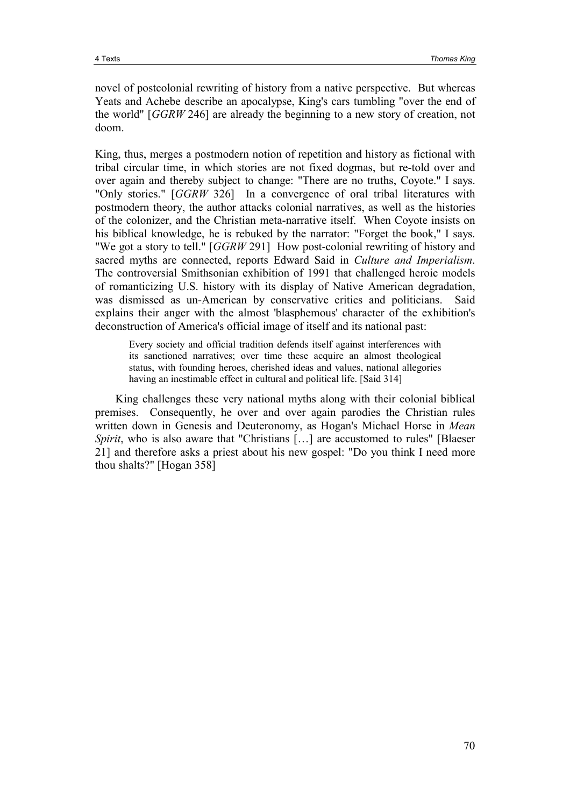novel of postcolonial rewriting of history from a native perspective. But whereas Yeats and Achebe describe an apocalypse, King's cars tumbling "over the end of the world" [*GGRW* 246] are already the beginning to a new story of creation, not doom.

King, thus, merges a postmodern notion of repetition and history as fictional with tribal circular time, in which stories are not fixed dogmas, but re-told over and over again and thereby subject to change: "There are no truths, Coyote." I says. "Only stories." [*GGRW* 326] In a convergence of oral tribal literatures with postmodern theory, the author attacks colonial narratives, as well as the histories of the colonizer, and the Christian meta-narrative itself. When Coyote insists on his biblical knowledge, he is rebuked by the narrator: "Forget the book," I says. "We got a story to tell." [*GGRW* 291] How post-colonial rewriting of history and sacred myths are connected, reports Edward Said in *Culture and Imperialism*. The controversial Smithsonian exhibition of 1991 that challenged heroic models of romanticizing U.S. history with its display of Native American degradation, was dismissed as un-American by conservative critics and politicians. Said explains their anger with the almost 'blasphemous' character of the exhibition's deconstruction of America's official image of itself and its national past:

Every society and official tradition defends itself against interferences with its sanctioned narratives; over time these acquire an almost theological status, with founding heroes, cherished ideas and values, national allegories having an inestimable effect in cultural and political life. [Said 314]

King challenges these very national myths along with their colonial biblical premises. Consequently, he over and over again parodies the Christian rules written down in Genesis and Deuteronomy, as Hogan's Michael Horse in *Mean Spirit*, who is also aware that "Christians [...] are accustomed to rules" [Blaeser 21] and therefore asks a priest about his new gospel: "Do you think I need more thou shalts?" [Hogan 358]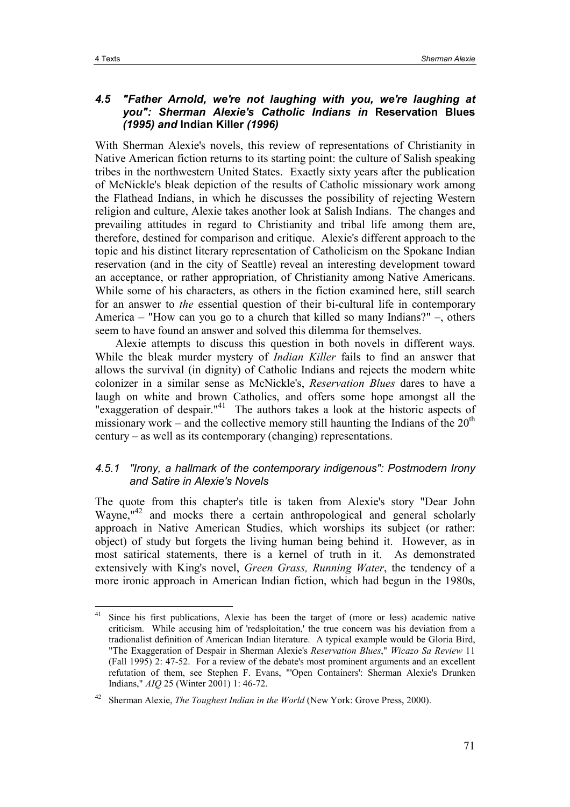# *4.5 "Father Arnold, we're not laughing with you, we're laughing at you": Sherman Alexie's Catholic Indians in* **Reservation Blues**  *(1995) and* **Indian Killer** *(1996)*

With Sherman Alexie's novels, this review of representations of Christianity in Native American fiction returns to its starting point: the culture of Salish speaking tribes in the northwestern United States. Exactly sixty years after the publication of McNickle's bleak depiction of the results of Catholic missionary work among the Flathead Indians, in which he discusses the possibility of rejecting Western religion and culture, Alexie takes another look at Salish Indians. The changes and prevailing attitudes in regard to Christianity and tribal life among them are, therefore, destined for comparison and critique. Alexie's different approach to the topic and his distinct literary representation of Catholicism on the Spokane Indian reservation (and in the city of Seattle) reveal an interesting development toward an acceptance, or rather appropriation, of Christianity among Native Americans. While some of his characters, as others in the fiction examined here, still search for an answer to *the* essential question of their bi-cultural life in contemporary America – "How can you go to a church that killed so many Indians?"  $-$ , others seem to have found an answer and solved this dilemma for themselves.

Alexie attempts to discuss this question in both novels in different ways. While the bleak murder mystery of *Indian Killer* fails to find an answer that allows the survival (in dignity) of Catholic Indians and rejects the modern white colonizer in a similar sense as McNickle's, *Reservation Blues* dares to have a laugh on white and brown Catholics, and offers some hope amongst all the "exaggeration of despair."<sup>41</sup> The authors takes a look at the historic aspects of missionary work – and the collective memory still haunting the Indians of the  $20<sup>th</sup>$  $century – as well as its contemporary (changing) representations.$ 

# *4.5.1 "Irony, a hallmark of the contemporary indigenous": Postmodern Irony and Satire in Alexie's Novels*

The quote from this chapter's title is taken from Alexie's story "Dear John Wayne,<sup>"42</sup> and mocks there a certain anthropological and general scholarly approach in Native American Studies, which worships its subject (or rather: object) of study but forgets the living human being behind it. However, as in most satirical statements, there is a kernel of truth in it. As demonstrated extensively with King's novel, *Green Grass, Running Water*, the tendency of a more ironic approach in American Indian fiction, which had begun in the 1980s,

 $41\,$ Since his first publications, Alexie has been the target of (more or less) academic native criticism. While accusing him of 'redsploitation,' the true concern was his deviation from a tradionalist definition of American Indian literature. A typical example would be Gloria Bird, "The Exaggeration of Despair in Sherman Alexie's *Reservation Blues*," *Wicazo Sa Review* 11 (Fall 1995) 2: 47-52. For a review of the debate's most prominent arguments and an excellent refutation of them, see Stephen F. Evans, "'Open Containers': Sherman Alexie's Drunken Indians," *AIQ* 25 (Winter 2001) 1: 46-72.

Sherman Alexie, *The Toughest Indian in the World* (New York: Grove Press, 2000).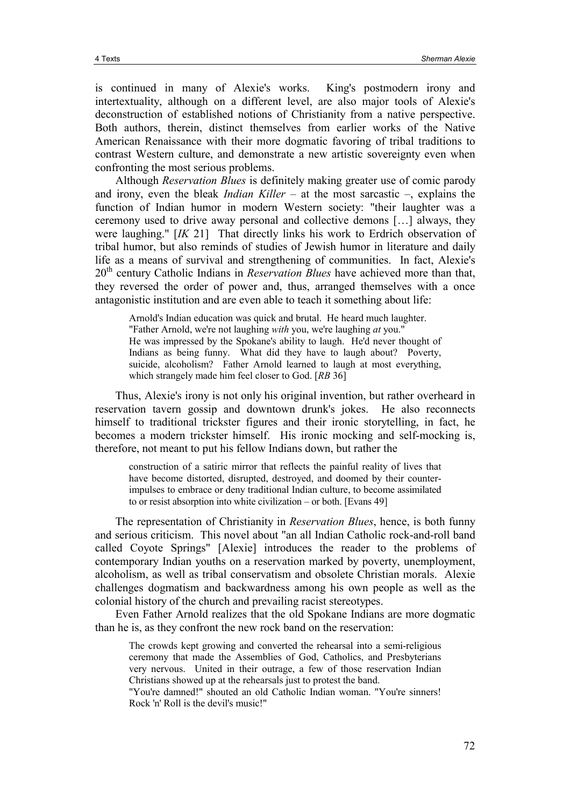is continued in many of Alexie's works. King's postmodern irony and intertextuality, although on a different level, are also major tools of Alexie's deconstruction of established notions of Christianity from a native perspective. Both authors, therein, distinct themselves from earlier works of the Native American Renaissance with their more dogmatic favoring of tribal traditions to contrast Western culture, and demonstrate a new artistic sovereignty even when confronting the most serious problems.

Although *Reservation Blues* is definitely making greater use of comic parody and irony, even the bleak *Indian Killer* – at the most sarcastic –, explains the function of Indian humor in modern Western society: "their laughter was a ceremony used to drive away personal and collective demons [...] always, they were laughing." [*IK* 21] That directly links his work to Erdrich observation of tribal humor, but also reminds of studies of Jewish humor in literature and daily life as a means of survival and strengthening of communities. In fact, Alexie's 20th century Catholic Indians in *Reservation Blues* have achieved more than that, they reversed the order of power and, thus, arranged themselves with a once antagonistic institution and are even able to teach it something about life:

Arnold's Indian education was quick and brutal. He heard much laughter. "Father Arnold, we're not laughing *with* you, we're laughing *at* you." He was impressed by the Spokane's ability to laugh. He'd never thought of Indians as being funny. What did they have to laugh about? Poverty, suicide, alcoholism? Father Arnold learned to laugh at most everything, which strangely made him feel closer to God. [*RB* 36]

Thus, Alexie's irony is not only his original invention, but rather overheard in reservation tavern gossip and downtown drunk's jokes. He also reconnects himself to traditional trickster figures and their ironic storytelling, in fact, he becomes a modern trickster himself. His ironic mocking and self-mocking is, therefore, not meant to put his fellow Indians down, but rather the

construction of a satiric mirror that reflects the painful reality of lives that have become distorted, disrupted, destroyed, and doomed by their counterimpulses to embrace or deny traditional Indian culture, to become assimilated to or resist absorption into white civilization  $-$  or both. [Evans 49]

The representation of Christianity in *Reservation Blues*, hence, is both funny and serious criticism. This novel about "an all Indian Catholic rock-and-roll band called Coyote Springs" [Alexie] introduces the reader to the problems of contemporary Indian youths on a reservation marked by poverty, unemployment, alcoholism, as well as tribal conservatism and obsolete Christian morals. Alexie challenges dogmatism and backwardness among his own people as well as the colonial history of the church and prevailing racist stereotypes.

Even Father Arnold realizes that the old Spokane Indians are more dogmatic than he is, as they confront the new rock band on the reservation:

The crowds kept growing and converted the rehearsal into a semi-religious ceremony that made the Assemblies of God, Catholics, and Presbyterians very nervous. United in their outrage, a few of those reservation Indian Christians showed up at the rehearsals just to protest the band.

"You're damned!" shouted an old Catholic Indian woman. "You're sinners! Rock 'n' Roll is the devil's music!"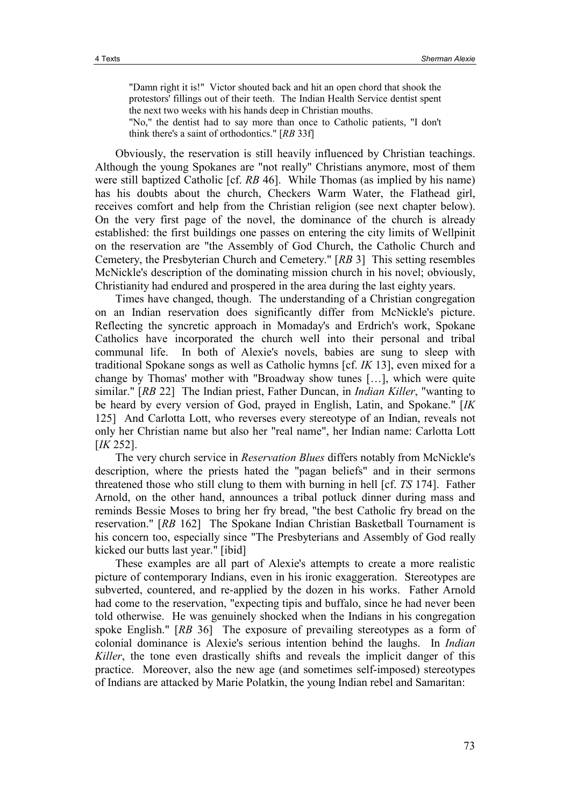"Damn right it is!" Victor shouted back and hit an open chord that shook the protestors' fillings out of their teeth. The Indian Health Service dentist spent the next two weeks with his hands deep in Christian mouths.

"No," the dentist had to say more than once to Catholic patients, "I don't think there's a saint of orthodontics." [*RB* 33f]

Obviously, the reservation is still heavily influenced by Christian teachings. Although the young Spokanes are "not really" Christians anymore, most of them were still baptized Catholic [cf. *RB* 46]. While Thomas (as implied by his name) has his doubts about the church, Checkers Warm Water, the Flathead girl, receives comfort and help from the Christian religion (see next chapter below). On the very first page of the novel, the dominance of the church is already established: the first buildings one passes on entering the city limits of Wellpinit on the reservation are "the Assembly of God Church, the Catholic Church and Cemetery, the Presbyterian Church and Cemetery." [*RB* 3] This setting resembles McNickle's description of the dominating mission church in his novel; obviously, Christianity had endured and prospered in the area during the last eighty years.

Times have changed, though. The understanding of a Christian congregation on an Indian reservation does significantly differ from McNickle's picture. Reflecting the syncretic approach in Momaday's and Erdrich's work, Spokane Catholics have incorporated the church well into their personal and tribal communal life. In both of Alexie's novels, babies are sung to sleep with traditional Spokane songs as well as Catholic hymns [cf. *IK* 13], even mixed for a change by Thomas' mother with "Broadway show tunes  $[\,\ldots\,]$ , which were quite similar." [*RB* 22] The Indian priest, Father Duncan, in *Indian Killer*, "wanting to be heard by every version of God, prayed in English, Latin, and Spokane." [*IK*  125] And Carlotta Lott, who reverses every stereotype of an Indian, reveals not only her Christian name but also her "real name", her Indian name: Carlotta Lott [*IK* 252].

The very church service in *Reservation Blues* differs notably from McNickle's description, where the priests hated the "pagan beliefs" and in their sermons threatened those who still clung to them with burning in hell [cf. *TS* 174]. Father Arnold, on the other hand, announces a tribal potluck dinner during mass and reminds Bessie Moses to bring her fry bread, "the best Catholic fry bread on the reservation." [*RB* 162] The Spokane Indian Christian Basketball Tournament is his concern too, especially since "The Presbyterians and Assembly of God really kicked our butts last year." [ibid]

These examples are all part of Alexie's attempts to create a more realistic picture of contemporary Indians, even in his ironic exaggeration. Stereotypes are subverted, countered, and re-applied by the dozen in his works. Father Arnold had come to the reservation, "expecting tipis and buffalo, since he had never been told otherwise. He was genuinely shocked when the Indians in his congregation spoke English." [*RB* 36] The exposure of prevailing stereotypes as a form of colonial dominance is Alexie's serious intention behind the laughs. In *Indian Killer*, the tone even drastically shifts and reveals the implicit danger of this practice. Moreover, also the new age (and sometimes self-imposed) stereotypes of Indians are attacked by Marie Polatkin, the young Indian rebel and Samaritan: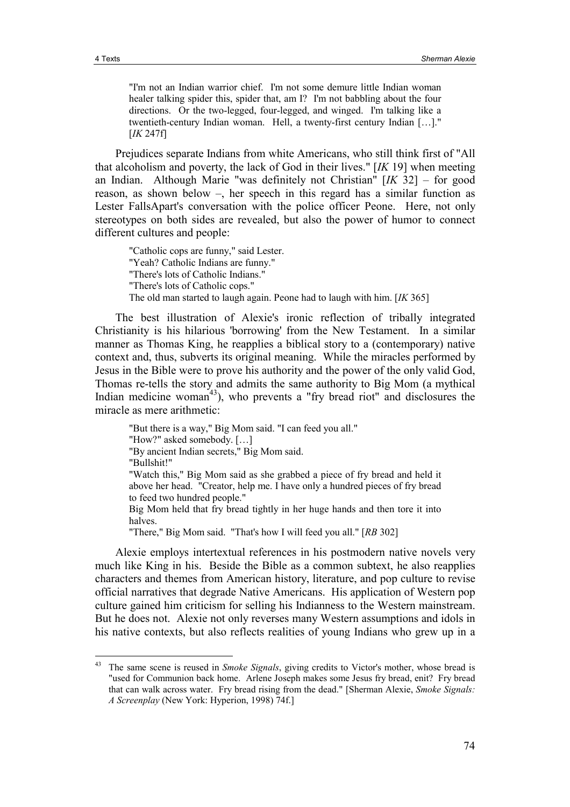$\overline{a}$ 

"I'm not an Indian warrior chief. I'm not some demure little Indian woman healer talking spider this, spider that, am I? I'm not babbling about the four directions. Or the two-legged, four-legged, and winged. I'm talking like a twentieth-century Indian woman. Hell, a twenty-first century Indian [...]." [*IK* 247f]

Prejudices separate Indians from white Americans, who still think first of "All that alcoholism and poverty, the lack of God in their lives." [*IK* 19] when meeting an Indian. Although Marie "was definitely not Christian"  $[IK 32]$  – for good reason, as shown below  $-$ , her speech in this regard has a similar function as Lester FallsApart's conversation with the police officer Peone. Here, not only stereotypes on both sides are revealed, but also the power of humor to connect different cultures and people:

"Catholic cops are funny," said Lester. "Yeah? Catholic Indians are funny." "There's lots of Catholic Indians." "There's lots of Catholic cops." The old man started to laugh again. Peone had to laugh with him. [*IK* 365]

The best illustration of Alexie's ironic reflection of tribally integrated Christianity is his hilarious 'borrowing' from the New Testament. In a similar manner as Thomas King, he reapplies a biblical story to a (contemporary) native context and, thus, subverts its original meaning. While the miracles performed by Jesus in the Bible were to prove his authority and the power of the only valid God, Thomas re-tells the story and admits the same authority to Big Mom (a mythical Indian medicine woman $43$ ), who prevents a "fry bread riot" and disclosures the miracle as mere arithmetic:

"But there is a way," Big Mom said. "I can feed you all." "How?" asked somebody. [...] "By ancient Indian secrets," Big Mom said. "Bullshit!" "Watch this," Big Mom said as she grabbed a piece of fry bread and held it above her head. "Creator, help me. I have only a hundred pieces of fry bread to feed two hundred people." Big Mom held that fry bread tightly in her huge hands and then tore it into halves. "There," Big Mom said. "That's how I will feed you all." [*RB* 302]

Alexie employs intertextual references in his postmodern native novels very much like King in his. Beside the Bible as a common subtext, he also reapplies characters and themes from American history, literature, and pop culture to revise official narratives that degrade Native Americans. His application of Western pop culture gained him criticism for selling his Indianness to the Western mainstream. But he does not. Alexie not only reverses many Western assumptions and idols in his native contexts, but also reflects realities of young Indians who grew up in a

<sup>43</sup> The same scene is reused in *Smoke Signals*, giving credits to Victor's mother, whose bread is "used for Communion back home. Arlene Joseph makes some Jesus fry bread, enit? Fry bread that can walk across water. Fry bread rising from the dead." [Sherman Alexie, *Smoke Signals: A Screenplay* (New York: Hyperion, 1998) 74f.]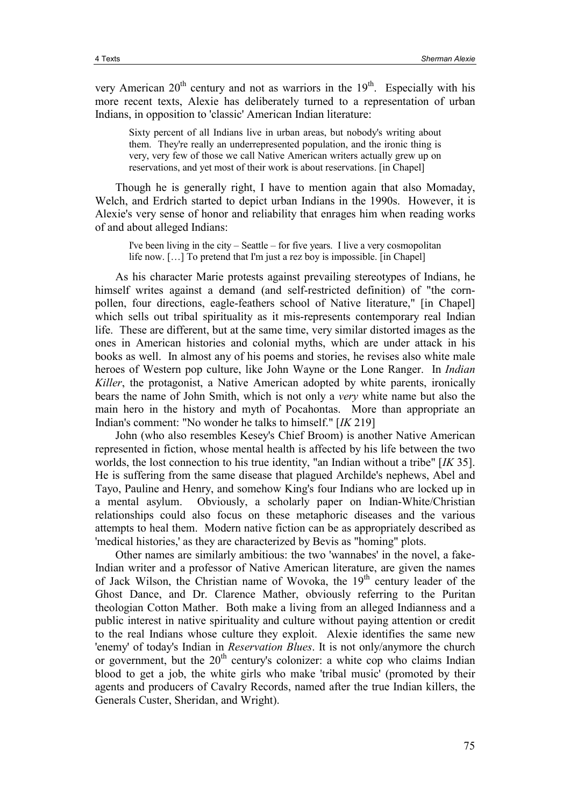very American  $20<sup>th</sup>$  century and not as warriors in the  $19<sup>th</sup>$ . Especially with his more recent texts, Alexie has deliberately turned to a representation of urban Indians, in opposition to 'classic' American Indian literature:

Sixty percent of all Indians live in urban areas, but nobody's writing about them. They're really an underrepresented population, and the ironic thing is very, very few of those we call Native American writers actually grew up on reservations, and yet most of their work is about reservations. [in Chapel]

Though he is generally right, I have to mention again that also Momaday, Welch, and Erdrich started to depict urban Indians in the 1990s. However, it is Alexie's very sense of honor and reliability that enrages him when reading works of and about alleged Indians:

I've been living in the city  $-$  Seattle  $-$  for five years. I live a very cosmopolitan life now. [...] To pretend that I'm just a rez boy is impossible. [in Chapel]

As his character Marie protests against prevailing stereotypes of Indians, he himself writes against a demand (and self-restricted definition) of "the cornpollen, four directions, eagle-feathers school of Native literature," [in Chapel] which sells out tribal spirituality as it mis-represents contemporary real Indian life. These are different, but at the same time, very similar distorted images as the ones in American histories and colonial myths, which are under attack in his books as well. In almost any of his poems and stories, he revises also white male heroes of Western pop culture, like John Wayne or the Lone Ranger. In *Indian Killer*, the protagonist, a Native American adopted by white parents, ironically bears the name of John Smith, which is not only a *very* white name but also the main hero in the history and myth of Pocahontas. More than appropriate an Indian's comment: "No wonder he talks to himself." [*IK* 219]

John (who also resembles Kesey's Chief Broom) is another Native American represented in fiction, whose mental health is affected by his life between the two worlds, the lost connection to his true identity, "an Indian without a tribe" [*IK* 35]. He is suffering from the same disease that plagued Archilde's nephews, Abel and Tayo, Pauline and Henry, and somehow King's four Indians who are locked up in a mental asylum. Obviously, a scholarly paper on Indian-White/Christian relationships could also focus on these metaphoric diseases and the various attempts to heal them. Modern native fiction can be as appropriately described as 'medical histories,' as they are characterized by Bevis as "homing" plots.

Other names are similarly ambitious: the two 'wannabes' in the novel, a fake-Indian writer and a professor of Native American literature, are given the names of Jack Wilson, the Christian name of Wovoka, the  $19<sup>th</sup>$  century leader of the Ghost Dance, and Dr. Clarence Mather, obviously referring to the Puritan theologian Cotton Mather. Both make a living from an alleged Indianness and a public interest in native spirituality and culture without paying attention or credit to the real Indians whose culture they exploit. Alexie identifies the same new 'enemy' of today's Indian in *Reservation Blues*. It is not only/anymore the church or government, but the  $20<sup>th</sup>$  century's colonizer: a white cop who claims Indian blood to get a job, the white girls who make 'tribal music' (promoted by their agents and producers of Cavalry Records, named after the true Indian killers, the Generals Custer, Sheridan, and Wright).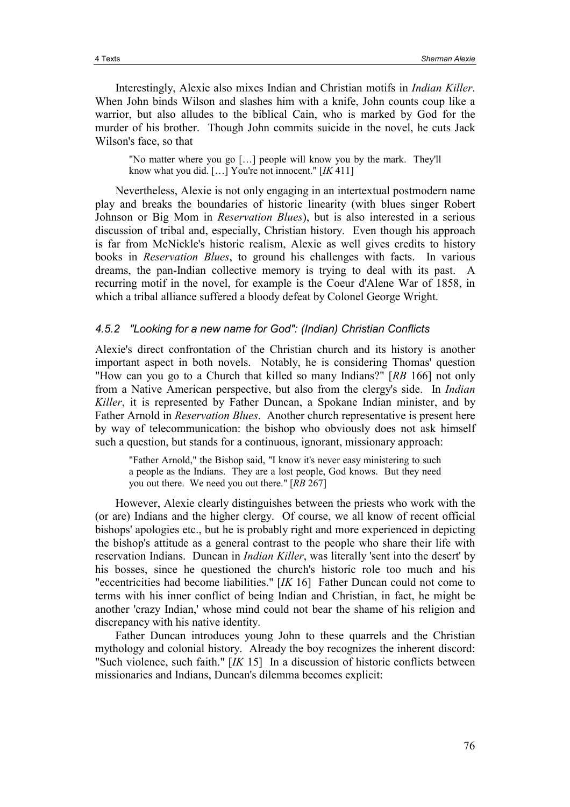Interestingly, Alexie also mixes Indian and Christian motifs in *Indian Killer*. When John binds Wilson and slashes him with a knife, John counts coup like a warrior, but also alludes to the biblical Cain, who is marked by God for the murder of his brother. Though John commits suicide in the novel, he cuts Jack Wilson's face, so that

"No matter where you go [...] people will know you by the mark. They'll know what you did. [...] You're not innocent." [*IK* 411]

Nevertheless, Alexie is not only engaging in an intertextual postmodern name play and breaks the boundaries of historic linearity (with blues singer Robert Johnson or Big Mom in *Reservation Blues*), but is also interested in a serious discussion of tribal and, especially, Christian history. Even though his approach is far from McNickle's historic realism, Alexie as well gives credits to history books in *Reservation Blues*, to ground his challenges with facts. In various dreams, the pan-Indian collective memory is trying to deal with its past. A recurring motif in the novel, for example is the Coeur d'Alene War of 1858, in which a tribal alliance suffered a bloody defeat by Colonel George Wright.

# *4.5.2 "Looking for a new name for God": (Indian) Christian Conflicts*

Alexie's direct confrontation of the Christian church and its history is another important aspect in both novels. Notably, he is considering Thomas' question "How can you go to a Church that killed so many Indians?" [*RB* 166] not only from a Native American perspective, but also from the clergy's side. In *Indian Killer*, it is represented by Father Duncan, a Spokane Indian minister, and by Father Arnold in *Reservation Blues*. Another church representative is present here by way of telecommunication: the bishop who obviously does not ask himself such a question, but stands for a continuous, ignorant, missionary approach:

"Father Arnold," the Bishop said, "I know it's never easy ministering to such a people as the Indians. They are a lost people, God knows. But they need you out there. We need you out there." [*RB* 267]

However, Alexie clearly distinguishes between the priests who work with the (or are) Indians and the higher clergy. Of course, we all know of recent official bishops' apologies etc., but he is probably right and more experienced in depicting the bishop's attitude as a general contrast to the people who share their life with reservation Indians. Duncan in *Indian Killer*, was literally 'sent into the desert' by his bosses, since he questioned the church's historic role too much and his "eccentricities had become liabilities." [*IK* 16] Father Duncan could not come to terms with his inner conflict of being Indian and Christian, in fact, he might be another 'crazy Indian,' whose mind could not bear the shame of his religion and discrepancy with his native identity.

Father Duncan introduces young John to these quarrels and the Christian mythology and colonial history. Already the boy recognizes the inherent discord: "Such violence, such faith." [*IK* 15] In a discussion of historic conflicts between missionaries and Indians, Duncan's dilemma becomes explicit: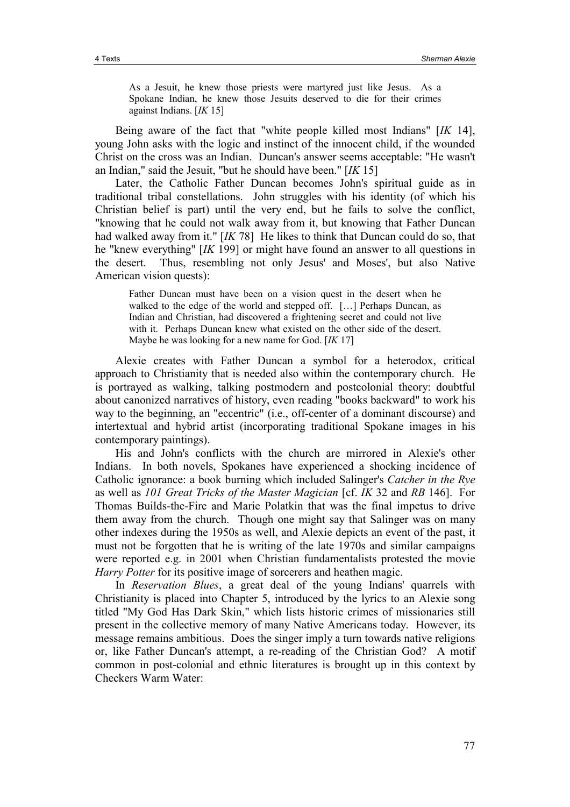As a Jesuit, he knew those priests were martyred just like Jesus. As a Spokane Indian, he knew those Jesuits deserved to die for their crimes against Indians. [*IK* 15]

Being aware of the fact that "white people killed most Indians" [*IK* 14], young John asks with the logic and instinct of the innocent child, if the wounded Christ on the cross was an Indian. Duncan's answer seems acceptable: "He wasn't an Indian," said the Jesuit, "but he should have been." [*IK* 15]

Later, the Catholic Father Duncan becomes John's spiritual guide as in traditional tribal constellations. John struggles with his identity (of which his Christian belief is part) until the very end, but he fails to solve the conflict, "knowing that he could not walk away from it, but knowing that Father Duncan had walked away from it." [*IK* 78] He likes to think that Duncan could do so, that he "knew everything" [*IK* 199] or might have found an answer to all questions in the desert. Thus, resembling not only Jesus' and Moses', but also Native American vision quests):

Father Duncan must have been on a vision quest in the desert when he walked to the edge of the world and stepped off. [...] Perhaps Duncan, as Indian and Christian, had discovered a frightening secret and could not live with it. Perhaps Duncan knew what existed on the other side of the desert. Maybe he was looking for a new name for God. [*IK* 17]

Alexie creates with Father Duncan a symbol for a heterodox, critical approach to Christianity that is needed also within the contemporary church. He is portrayed as walking, talking postmodern and postcolonial theory: doubtful about canonized narratives of history, even reading "books backward" to work his way to the beginning, an "eccentric" (i.e., off-center of a dominant discourse) and intertextual and hybrid artist (incorporating traditional Spokane images in his contemporary paintings).

His and John's conflicts with the church are mirrored in Alexie's other Indians. In both novels, Spokanes have experienced a shocking incidence of Catholic ignorance: a book burning which included Salinger's *Catcher in the Rye* as well as *101 Great Tricks of the Master Magician* [cf. *IK* 32 and *RB* 146]. For Thomas Builds-the-Fire and Marie Polatkin that was the final impetus to drive them away from the church. Though one might say that Salinger was on many other indexes during the 1950s as well, and Alexie depicts an event of the past, it must not be forgotten that he is writing of the late 1970s and similar campaigns were reported e.g. in 2001 when Christian fundamentalists protested the movie *Harry Potter* for its positive image of sorcerers and heathen magic.

In *Reservation Blues*, a great deal of the young Indians' quarrels with Christianity is placed into Chapter 5, introduced by the lyrics to an Alexie song titled "My God Has Dark Skin," which lists historic crimes of missionaries still present in the collective memory of many Native Americans today. However, its message remains ambitious. Does the singer imply a turn towards native religions or, like Father Duncan's attempt, a re-reading of the Christian God? A motif common in post-colonial and ethnic literatures is brought up in this context by Checkers Warm Water: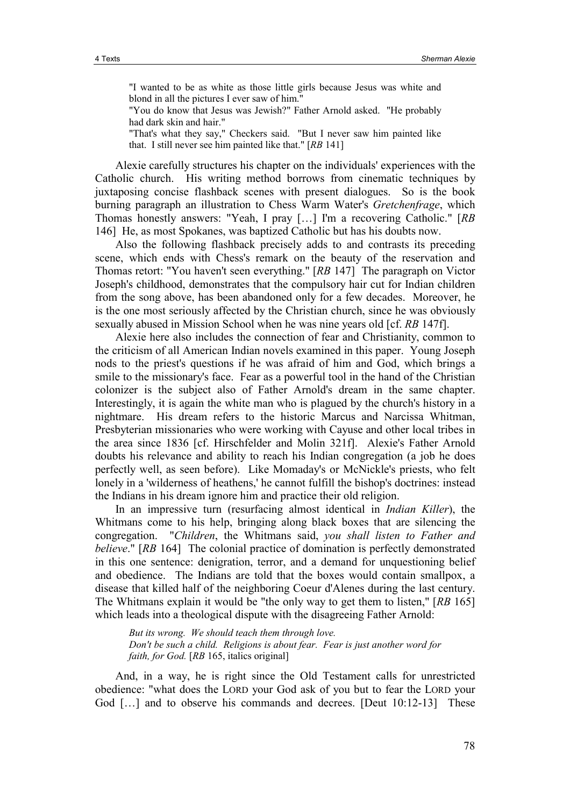"I wanted to be as white as those little girls because Jesus was white and blond in all the pictures I ever saw of him."

"You do know that Jesus was Jewish?" Father Arnold asked. "He probably had dark skin and hair."

"That's what they say," Checkers said. "But I never saw him painted like that. I still never see him painted like that." [*RB* 141]

Alexie carefully structures his chapter on the individuals' experiences with the Catholic church. His writing method borrows from cinematic techniques by juxtaposing concise flashback scenes with present dialogues. So is the book burning paragraph an illustration to Chess Warm Water's *Gretchenfrage*, which Thomas honestly answers: "Yeah, I pray [...] I'm a recovering Catholic." [RB 146] He, as most Spokanes, was baptized Catholic but has his doubts now.

Also the following flashback precisely adds to and contrasts its preceding scene, which ends with Chess's remark on the beauty of the reservation and Thomas retort: "You haven't seen everything." [*RB* 147] The paragraph on Victor Joseph's childhood, demonstrates that the compulsory hair cut for Indian children from the song above, has been abandoned only for a few decades. Moreover, he is the one most seriously affected by the Christian church, since he was obviously sexually abused in Mission School when he was nine years old [cf. *RB* 147f].

Alexie here also includes the connection of fear and Christianity, common to the criticism of all American Indian novels examined in this paper. Young Joseph nods to the priest's questions if he was afraid of him and God, which brings a smile to the missionary's face. Fear as a powerful tool in the hand of the Christian colonizer is the subject also of Father Arnold's dream in the same chapter. Interestingly, it is again the white man who is plagued by the church's history in a nightmare. His dream refers to the historic Marcus and Narcissa Whitman, Presbyterian missionaries who were working with Cayuse and other local tribes in the area since 1836 [cf. Hirschfelder and Molin 321f]. Alexie's Father Arnold doubts his relevance and ability to reach his Indian congregation (a job he does perfectly well, as seen before). Like Momaday's or McNickle's priests, who felt lonely in a 'wilderness of heathens,' he cannot fulfill the bishop's doctrines: instead the Indians in his dream ignore him and practice their old religion.

In an impressive turn (resurfacing almost identical in *Indian Killer*), the Whitmans come to his help, bringing along black boxes that are silencing the congregation. "*Children*, the Whitmans said, *you shall listen to Father and believe*." [*RB* 164] The colonial practice of domination is perfectly demonstrated in this one sentence: denigration, terror, and a demand for unquestioning belief and obedience. The Indians are told that the boxes would contain smallpox, a disease that killed half of the neighboring Coeur d'Alenes during the last century. The Whitmans explain it would be "the only way to get them to listen," [*RB* 165] which leads into a theological dispute with the disagreeing Father Arnold:

*But its wrong. We should teach them through love. Don't be such a child. Religions is about fear. Fear is just another word for faith, for God.* [*RB* 165, italics original]

And, in a way, he is right since the Old Testament calls for unrestricted obedience: "what does the LORD your God ask of you but to fear the LORD your God [...] and to observe his commands and decrees. [Deut 10:12-13] These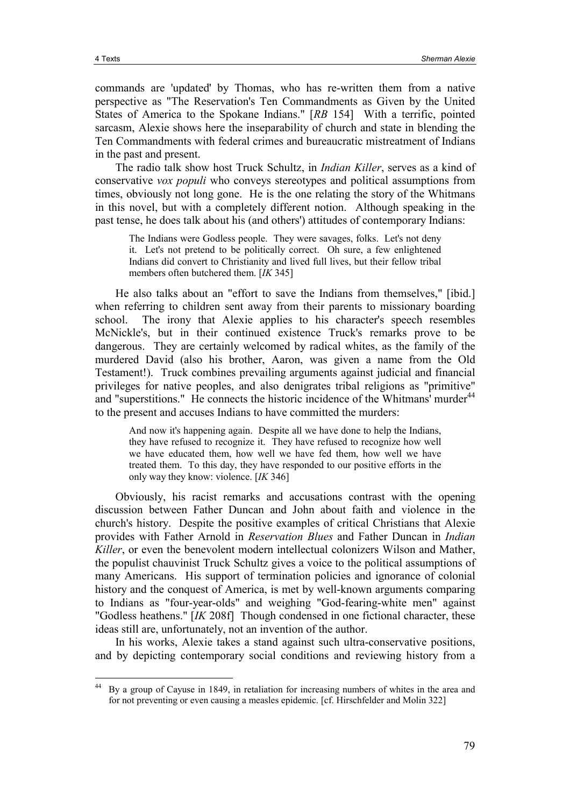$\overline{a}$ 

commands are 'updated' by Thomas, who has re-written them from a native perspective as "The Reservation's Ten Commandments as Given by the United States of America to the Spokane Indians." [*RB* 154] With a terrific, pointed sarcasm, Alexie shows here the inseparability of church and state in blending the Ten Commandments with federal crimes and bureaucratic mistreatment of Indians in the past and present.

The radio talk show host Truck Schultz, in *Indian Killer*, serves as a kind of conservative *vox populi* who conveys stereotypes and political assumptions from times, obviously not long gone. He is the one relating the story of the Whitmans in this novel, but with a completely different notion. Although speaking in the past tense, he does talk about his (and others') attitudes of contemporary Indians:

The Indians were Godless people. They were savages, folks. Let's not deny it. Let's not pretend to be politically correct. Oh sure, a few enlightened Indians did convert to Christianity and lived full lives, but their fellow tribal members often butchered them. [*IK* 345]

He also talks about an "effort to save the Indians from themselves," [ibid.] when referring to children sent away from their parents to missionary boarding school. The irony that Alexie applies to his character's speech resembles McNickle's, but in their continued existence Truck's remarks prove to be dangerous. They are certainly welcomed by radical whites, as the family of the murdered David (also his brother, Aaron, was given a name from the Old Testament!). Truck combines prevailing arguments against judicial and financial privileges for native peoples, and also denigrates tribal religions as "primitive" and "superstitions." He connects the historic incidence of the Whitmans' murder<sup>44</sup> to the present and accuses Indians to have committed the murders:

And now it's happening again. Despite all we have done to help the Indians, they have refused to recognize it. They have refused to recognize how well we have educated them, how well we have fed them, how well we have treated them. To this day, they have responded to our positive efforts in the only way they know: violence. [*IK* 346]

Obviously, his racist remarks and accusations contrast with the opening discussion between Father Duncan and John about faith and violence in the church's history. Despite the positive examples of critical Christians that Alexie provides with Father Arnold in *Reservation Blues* and Father Duncan in *Indian Killer*, or even the benevolent modern intellectual colonizers Wilson and Mather, the populist chauvinist Truck Schultz gives a voice to the political assumptions of many Americans. His support of termination policies and ignorance of colonial history and the conquest of America, is met by well-known arguments comparing to Indians as "four-year-olds" and weighing "God-fearing-white men" against "Godless heathens." [*IK* 208f] Though condensed in one fictional character, these ideas still are, unfortunately, not an invention of the author.

In his works, Alexie takes a stand against such ultra-conservative positions, and by depicting contemporary social conditions and reviewing history from a

By a group of Cayuse in 1849, in retaliation for increasing numbers of whites in the area and for not preventing or even causing a measles epidemic. [cf. Hirschfelder and Molin 322]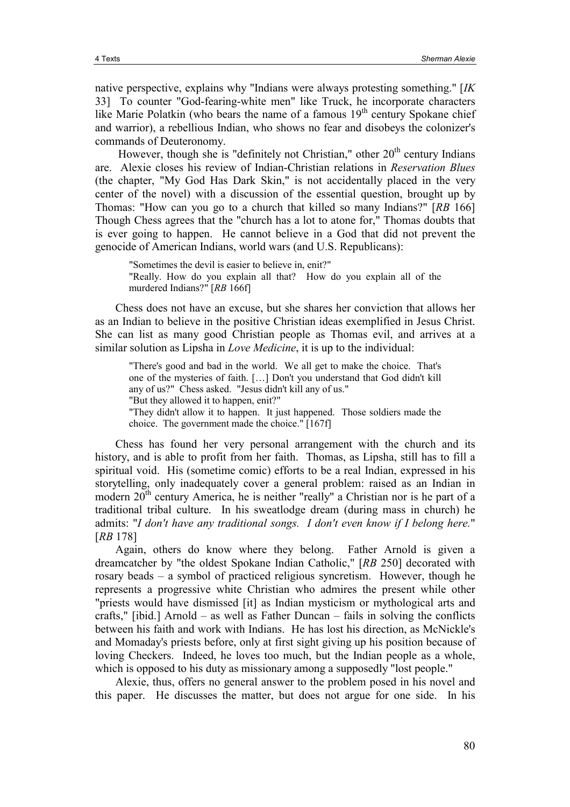native perspective, explains why "Indians were always protesting something." [*IK*  33] To counter "God-fearing-white men" like Truck, he incorporate characters like Marie Polatkin (who bears the name of a famous  $19<sup>th</sup>$  century Spokane chief and warrior), a rebellious Indian, who shows no fear and disobeys the colonizer's commands of Deuteronomy.

However, though she is "definitely not Christian," other  $20<sup>th</sup>$  century Indians are. Alexie closes his review of Indian-Christian relations in *Reservation Blues* (the chapter, "My God Has Dark Skin," is not accidentally placed in the very center of the novel) with a discussion of the essential question, brought up by Thomas: "How can you go to a church that killed so many Indians?" [*RB* 166] Though Chess agrees that the "church has a lot to atone for," Thomas doubts that is ever going to happen. He cannot believe in a God that did not prevent the genocide of American Indians, world wars (and U.S. Republicans):

"Sometimes the devil is easier to believe in, enit?" "Really. How do you explain all that? How do you explain all of the murdered Indians?" [*RB* 166f]

Chess does not have an excuse, but she shares her conviction that allows her as an Indian to believe in the positive Christian ideas exemplified in Jesus Christ. She can list as many good Christian people as Thomas evil, and arrives at a similar solution as Lipsha in *Love Medicine*, it is up to the individual:

"There's good and bad in the world. We all get to make the choice. That's one of the mysteries of faith. [...] Don't you understand that God didn't kill any of us?" Chess asked. "Jesus didn't kill any of us." "But they allowed it to happen, enit?" "They didn't allow it to happen. It just happened. Those soldiers made the choice. The government made the choice." [167f]

Chess has found her very personal arrangement with the church and its history, and is able to profit from her faith. Thomas, as Lipsha, still has to fill a spiritual void. His (sometime comic) efforts to be a real Indian, expressed in his storytelling, only inadequately cover a general problem: raised as an Indian in modern  $20<sup>th</sup>$  century America, he is neither "really" a Christian nor is he part of a traditional tribal culture. In his sweatlodge dream (during mass in church) he admits: "*I don't have any traditional songs. I don't even know if I belong here.*" [*RB* 178]

Again, others do know where they belong. Father Arnold is given a dreamcatcher by "the oldest Spokane Indian Catholic," [*RB* 250] decorated with rosary beads – a symbol of practiced religious syncretism. However, though he represents a progressive white Christian who admires the present while other "priests would have dismissed [it] as Indian mysticism or mythological arts and crafts,"  $\text{[ibid.]}$  Arnold – as well as Father Duncan – fails in solving the conflicts between his faith and work with Indians. He has lost his direction, as McNickle's and Momaday's priests before, only at first sight giving up his position because of loving Checkers. Indeed, he loves too much, but the Indian people as a whole, which is opposed to his duty as missionary among a supposedly "lost people."

Alexie, thus, offers no general answer to the problem posed in his novel and this paper. He discusses the matter, but does not argue for one side. In his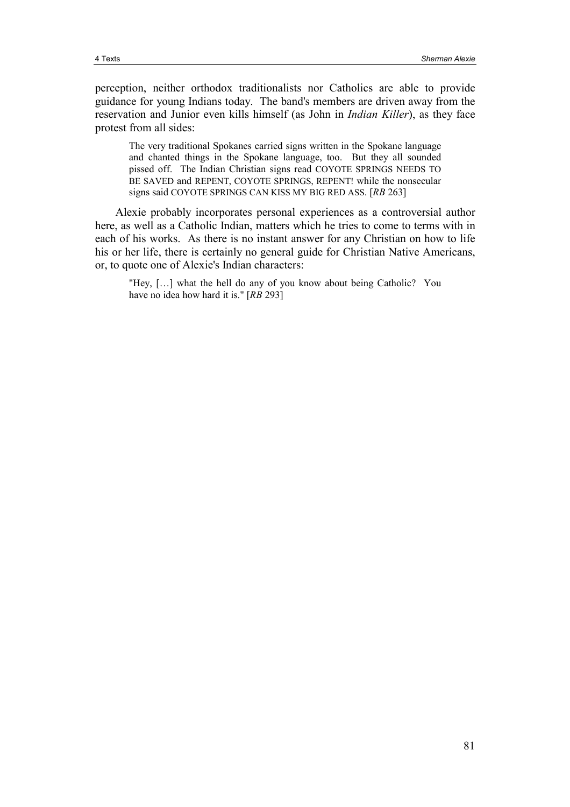perception, neither orthodox traditionalists nor Catholics are able to provide guidance for young Indians today. The band's members are driven away from the reservation and Junior even kills himself (as John in *Indian Killer*), as they face protest from all sides:

The very traditional Spokanes carried signs written in the Spokane language and chanted things in the Spokane language, too. But they all sounded pissed off. The Indian Christian signs read COYOTE SPRINGS NEEDS TO BE SAVED and REPENT, COYOTE SPRINGS, REPENT! while the nonsecular signs said COYOTE SPRINGS CAN KISS MY BIG RED ASS. [*RB* 263]

Alexie probably incorporates personal experiences as a controversial author here, as well as a Catholic Indian, matters which he tries to come to terms with in each of his works. As there is no instant answer for any Christian on how to life his or her life, there is certainly no general guide for Christian Native Americans, or, to quote one of Alexie's Indian characters:

"Hey, [...] what the hell do any of you know about being Catholic? You have no idea how hard it is." [*RB* 293]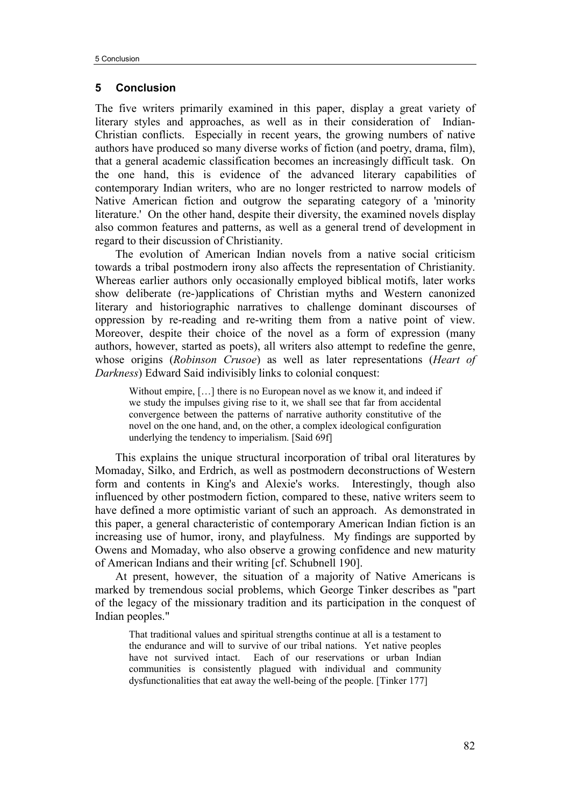# **5 Conclusion**

The five writers primarily examined in this paper, display a great variety of literary styles and approaches, as well as in their consideration of Indian-Christian conflicts. Especially in recent years, the growing numbers of native authors have produced so many diverse works of fiction (and poetry, drama, film), that a general academic classification becomes an increasingly difficult task. On the one hand, this is evidence of the advanced literary capabilities of contemporary Indian writers, who are no longer restricted to narrow models of Native American fiction and outgrow the separating category of a 'minority literature.' On the other hand, despite their diversity, the examined novels display also common features and patterns, as well as a general trend of development in regard to their discussion of Christianity.

The evolution of American Indian novels from a native social criticism towards a tribal postmodern irony also affects the representation of Christianity. Whereas earlier authors only occasionally employed biblical motifs, later works show deliberate (re-)applications of Christian myths and Western canonized literary and historiographic narratives to challenge dominant discourses of oppression by re-reading and re-writing them from a native point of view. Moreover, despite their choice of the novel as a form of expression (many authors, however, started as poets), all writers also attempt to redefine the genre, whose origins (*Robinson Crusoe*) as well as later representations (*Heart of Darkness*) Edward Said indivisibly links to colonial conquest:

Without empire, [...] there is no European novel as we know it, and indeed if we study the impulses giving rise to it, we shall see that far from accidental convergence between the patterns of narrative authority constitutive of the novel on the one hand, and, on the other, a complex ideological configuration underlying the tendency to imperialism. [Said 69f]

This explains the unique structural incorporation of tribal oral literatures by Momaday, Silko, and Erdrich, as well as postmodern deconstructions of Western form and contents in King's and Alexie's works. Interestingly, though also influenced by other postmodern fiction, compared to these, native writers seem to have defined a more optimistic variant of such an approach. As demonstrated in this paper, a general characteristic of contemporary American Indian fiction is an increasing use of humor, irony, and playfulness. My findings are supported by Owens and Momaday, who also observe a growing confidence and new maturity of American Indians and their writing [cf. Schubnell 190].

At present, however, the situation of a majority of Native Americans is marked by tremendous social problems, which George Tinker describes as "part of the legacy of the missionary tradition and its participation in the conquest of Indian peoples."

That traditional values and spiritual strengths continue at all is a testament to the endurance and will to survive of our tribal nations. Yet native peoples have not survived intact. Each of our reservations or urban Indian communities is consistently plagued with individual and community dysfunctionalities that eat away the well-being of the people. [Tinker 177]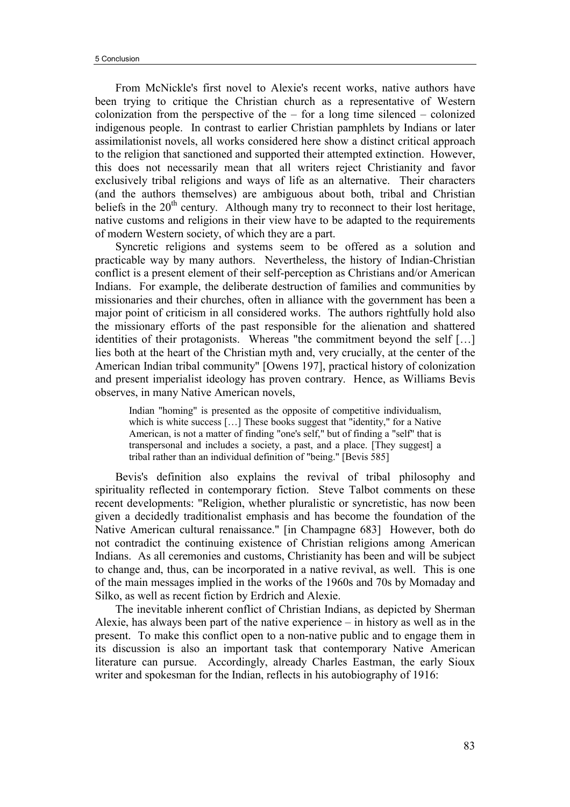From McNickle's first novel to Alexie's recent works, native authors have been trying to critique the Christian church as a representative of Western colonization from the perspective of the  $-$  for a long time silenced  $-$  colonized indigenous people. In contrast to earlier Christian pamphlets by Indians or later assimilationist novels, all works considered here show a distinct critical approach to the religion that sanctioned and supported their attempted extinction. However, this does not necessarily mean that all writers reject Christianity and favor exclusively tribal religions and ways of life as an alternative. Their characters (and the authors themselves) are ambiguous about both, tribal and Christian beliefs in the  $20<sup>th</sup>$  century. Although many try to reconnect to their lost heritage, native customs and religions in their view have to be adapted to the requirements of modern Western society, of which they are a part.

Syncretic religions and systems seem to be offered as a solution and practicable way by many authors. Nevertheless, the history of Indian-Christian conflict is a present element of their self-perception as Christians and/or American Indians. For example, the deliberate destruction of families and communities by missionaries and their churches, often in alliance with the government has been a major point of criticism in all considered works. The authors rightfully hold also the missionary efforts of the past responsible for the alienation and shattered identities of their protagonists. Whereas "the commitment beyond the self  $[\dots]$ lies both at the heart of the Christian myth and, very crucially, at the center of the American Indian tribal community" [Owens 197], practical history of colonization and present imperialist ideology has proven contrary. Hence, as Williams Bevis observes, in many Native American novels,

Indian "homing" is presented as the opposite of competitive individualism, which is white success  $[...]$  These books suggest that "identity," for a Native American, is not a matter of finding "one's self," but of finding a "self" that is transpersonal and includes a society, a past, and a place. [They suggest] a tribal rather than an individual definition of "being." [Bevis 585]

Bevis's definition also explains the revival of tribal philosophy and spirituality reflected in contemporary fiction. Steve Talbot comments on these recent developments: "Religion, whether pluralistic or syncretistic, has now been given a decidedly traditionalist emphasis and has become the foundation of the Native American cultural renaissance." [in Champagne 683] However, both do not contradict the continuing existence of Christian religions among American Indians. As all ceremonies and customs, Christianity has been and will be subject to change and, thus, can be incorporated in a native revival, as well. This is one of the main messages implied in the works of the 1960s and 70s by Momaday and Silko, as well as recent fiction by Erdrich and Alexie.

The inevitable inherent conflict of Christian Indians, as depicted by Sherman Alexie, has always been part of the native experience  $-\text{ in history}$  as well as in the present. To make this conflict open to a non-native public and to engage them in its discussion is also an important task that contemporary Native American literature can pursue. Accordingly, already Charles Eastman, the early Sioux writer and spokesman for the Indian, reflects in his autobiography of 1916: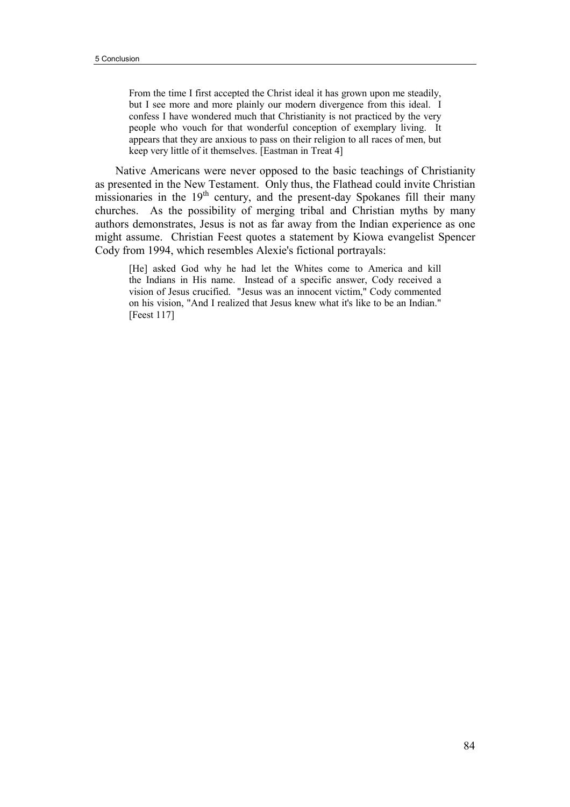From the time I first accepted the Christ ideal it has grown upon me steadily, but I see more and more plainly our modern divergence from this ideal. I confess I have wondered much that Christianity is not practiced by the very people who vouch for that wonderful conception of exemplary living. It appears that they are anxious to pass on their religion to all races of men, but keep very little of it themselves. [Eastman in Treat 4]

Native Americans were never opposed to the basic teachings of Christianity as presented in the New Testament. Only thus, the Flathead could invite Christian missionaries in the  $19<sup>th</sup>$  century, and the present-day Spokanes fill their many churches. As the possibility of merging tribal and Christian myths by many authors demonstrates, Jesus is not as far away from the Indian experience as one might assume. Christian Feest quotes a statement by Kiowa evangelist Spencer Cody from 1994, which resembles Alexie's fictional portrayals:

[He] asked God why he had let the Whites come to America and kill the Indians in His name. Instead of a specific answer, Cody received a vision of Jesus crucified. "Jesus was an innocent victim," Cody commented on his vision, "And I realized that Jesus knew what it's like to be an Indian." [Feest 117]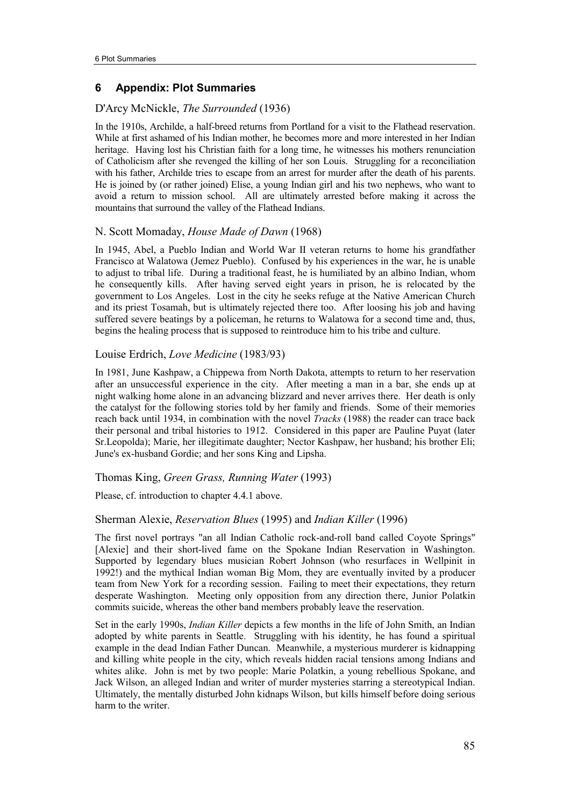# **6 Appendix: Plot Summaries**

# D'Arcy McNickle, *The Surrounded* (1936)

In the 1910s, Archilde, a half-breed returns from Portland for a visit to the Flathead reservation. While at first ashamed of his Indian mother, he becomes more and more interested in her Indian heritage. Having lost his Christian faith for a long time, he witnesses his mothers renunciation of Catholicism after she revenged the killing of her son Louis. Struggling for a reconciliation with his father, Archilde tries to escape from an arrest for murder after the death of his parents. He is joined by (or rather joined) Elise, a young Indian girl and his two nephews, who want to avoid a return to mission school. All are ultimately arrested before making it across the mountains that surround the valley of the Flathead Indians.

# N. Scott Momaday, *House Made of Dawn* (1968)

In 1945, Abel, a Pueblo Indian and World War II veteran returns to home his grandfather Francisco at Walatowa (Jemez Pueblo). Confused by his experiences in the war, he is unable to adjust to tribal life. During a traditional feast, he is humiliated by an albino Indian, whom he consequently kills. After having served eight years in prison, he is relocated by the government to Los Angeles. Lost in the city he seeks refuge at the Native American Church and its priest Tosamah, but is ultimately rejected there too. After loosing his job and having suffered severe beatings by a policeman, he returns to Walatowa for a second time and, thus, begins the healing process that is supposed to reintroduce him to his tribe and culture.

# Louise Erdrich, *Love Medicine* (1983/93)

In 1981, June Kashpaw, a Chippewa from North Dakota, attempts to return to her reservation after an unsuccessful experience in the city. After meeting a man in a bar, she ends up at night walking home alone in an advancing blizzard and never arrives there. Her death is only the catalyst for the following stories told by her family and friends. Some of their memories reach back until 1934, in combination with the novel *Tracks* (1988) the reader can trace back their personal and tribal histories to 1912. Considered in this paper are Pauline Puyat (later Sr.Leopolda); Marie, her illegitimate daughter; Nector Kashpaw, her husband; his brother Eli; June's ex-husband Gordie; and her sons King and Lipsha.

### Thomas King, *Green Grass, Running Water* (1993)

Please, cf. introduction to chapter 4.4.1 above.

### Sherman Alexie, *Reservation Blues* (1995) and *Indian Killer* (1996)

The first novel portrays "an all Indian Catholic rock-and-roll band called Coyote Springs" [Alexie] and their short-lived fame on the Spokane Indian Reservation in Washington. Supported by legendary blues musician Robert Johnson (who resurfaces in Wellpinit in 1992!) and the mythical Indian woman Big Mom, they are eventually invited by a producer team from New York for a recording session. Failing to meet their expectations, they return desperate Washington. Meeting only opposition from any direction there, Junior Polatkin commits suicide, whereas the other band members probably leave the reservation.

Set in the early 1990s, *Indian Killer* depicts a few months in the life of John Smith, an Indian adopted by white parents in Seattle. Struggling with his identity, he has found a spiritual example in the dead Indian Father Duncan. Meanwhile, a mysterious murderer is kidnapping and killing white people in the city, which reveals hidden racial tensions among Indians and whites alike. John is met by two people: Marie Polatkin, a young rebellious Spokane, and Jack Wilson, an alleged Indian and writer of murder mysteries starring a stereotypical Indian. Ultimately, the mentally disturbed John kidnaps Wilson, but kills himself before doing serious harm to the writer.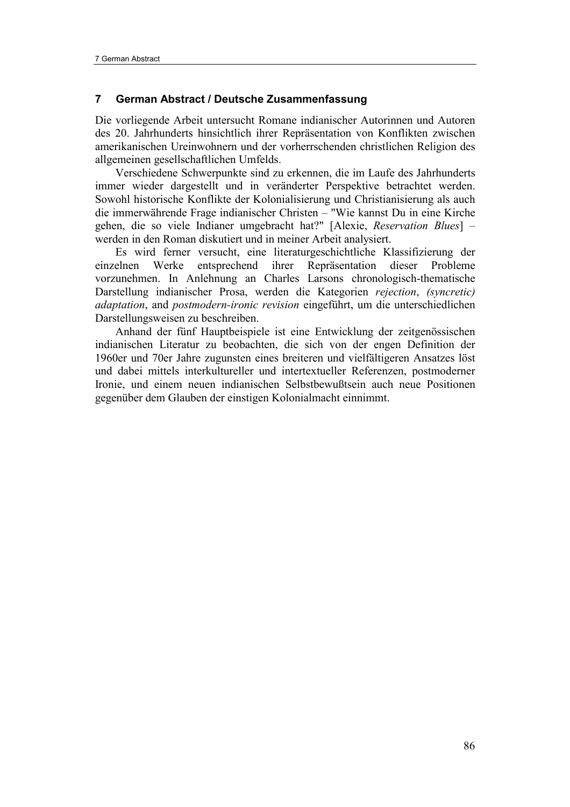# **7 German Abstract / Deutsche Zusammenfassung**

Die vorliegende Arbeit untersucht Romane indianischer Autorinnen und Autoren des 20. Jahrhunderts hinsichtlich ihrer Repräsentation von Konflikten zwischen amerikanischen Ureinwohnern und der vorherrschenden christlichen Religion des allgemeinen gesellschaftlichen Umfelds.

Verschiedene Schwerpunkte sind zu erkennen, die im Laufe des Jahrhunderts immer wieder dargestellt und in veränderter Perspektive betrachtet werden. Sowohl historische Konflikte der Kolonialisierung und Christianisierung als auch die immerwährende Frage indianischer Christen – "Wie kannst Du in eine Kirche gehen, die so viele Indianer umgebracht hat?" [Alexie, *Reservation Blues*] werden in den Roman diskutiert und in meiner Arbeit analysiert.

Es wird ferner versucht, eine literaturgeschichtliche Klassifizierung der einzelnen Werke entsprechend ihrer Repr‰sentation dieser Probleme vorzunehmen. In Anlehnung an Charles Larsons chronologisch-thematische Darstellung indianischer Prosa, werden die Kategorien *rejection*, *(syncretic) adaptation*, and *postmodern-ironic revision* eingeführt, um die unterschiedlichen Darstellungsweisen zu beschreiben.

Anhand der fünf Hauptbeispiele ist eine Entwicklung der zeitgenössischen indianischen Literatur zu beobachten, die sich von der engen Definition der 1960er und 70er Jahre zugunsten eines breiteren und vielfältigeren Ansatzes löst und dabei mittels interkultureller und intertextueller Referenzen, postmoderner Ironie, und einem neuen indianischen Selbstbewufltsein auch neue Positionen gegenüber dem Glauben der einstigen Kolonialmacht einnimmt.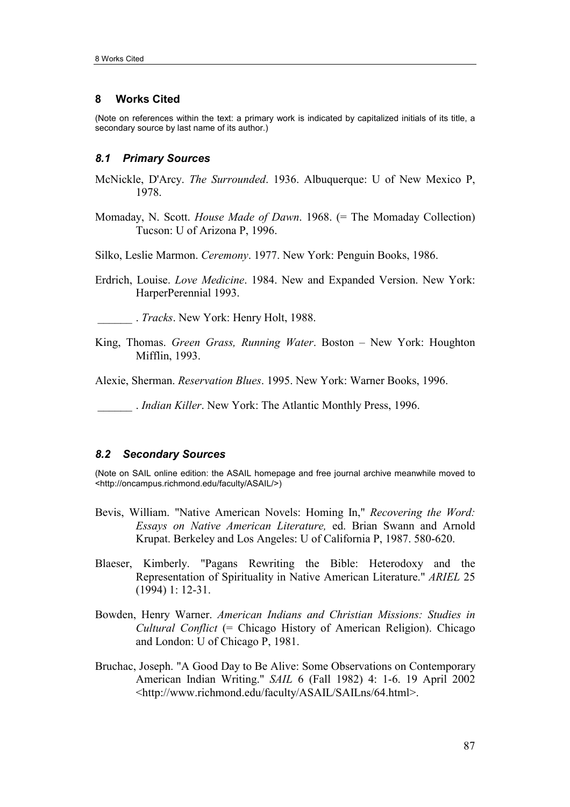### **8 Works Cited**

(Note on references within the text: a primary work is indicated by capitalized initials of its title, a secondary source by last name of its author.)

#### *8.1 Primary Sources*

- McNickle, D'Arcy. *The Surrounded*. 1936. Albuquerque: U of New Mexico P, 1978.
- Momaday, N. Scott. *House Made of Dawn*. 1968. (= The Momaday Collection) Tucson: U of Arizona P, 1996.
- Silko, Leslie Marmon. *Ceremony*. 1977. New York: Penguin Books, 1986.
- Erdrich, Louise. *Love Medicine*. 1984. New and Expanded Version. New York: HarperPerennial 1993.

\_\_\_\_\_\_ . *Tracks*. New York: Henry Holt, 1988.

King, Thomas. *Green Grass, Running Water*. Boston – New York: Houghton Mifflin, 1993.

Alexie, Sherman. *Reservation Blues*. 1995. New York: Warner Books, 1996.

\_\_\_\_\_\_ . *Indian Killer*. New York: The Atlantic Monthly Press, 1996.

#### *8.2 Secondary Sources*

(Note on SAIL online edition: the ASAIL homepage and free journal archive meanwhile moved to [<http://oncampus.richmond.edu/faculty/ASAIL/>](http://oncampus.richmond.edu/faculty/ASAIL/))

- Bevis, William. "Native American Novels: Homing In," *Recovering the Word: Essays on Native American Literature,* ed. Brian Swann and Arnold Krupat. Berkeley and Los Angeles: U of California P, 1987. 580-620.
- Blaeser, Kimberly. "Pagans Rewriting the Bible: Heterodoxy and the Representation of Spirituality in Native American Literature." *ARIEL* 25 (1994) 1: 12-31.
- Bowden, Henry Warner. *American Indians and Christian Missions: Studies in Cultural Conflict* (= Chicago History of American Religion). Chicago and London: U of Chicago P, 1981.
- Bruchac, Joseph. "A Good Day to Be Alive: Some Observations on Contemporary American Indian Writing." *SAIL* 6 (Fall 1982) 4: 1-6. 19 April 2002 <[http://www.richmond.edu/faculty/ASAIL/SAILns/64.html>](http://www.richmond.edu/faculty/ASAIL/SAILns/64.html).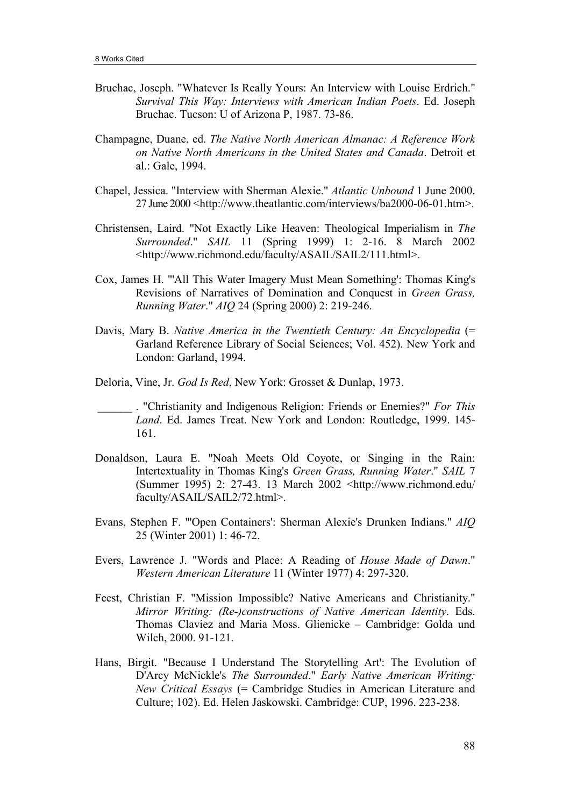- Bruchac, Joseph. "Whatever Is Really Yours: An Interview with Louise Erdrich." *Survival This Way: Interviews with American Indian Poets*. Ed. Joseph Bruchac. Tucson: U of Arizona P, 1987. 73-86.
- Champagne, Duane, ed. *The Native North American Almanac: A Reference Work on Native North Americans in the United States and Canada*. Detroit et al.: Gale, 1994.
- Chapel, Jessica. "Interview with Sherman Alexie." *Atlantic Unbound* 1 June 2000. 27 June 2000 <[http://www.theatlantic.com/interviews/ba2000-06-01.htm>](http://www.theatlantic.com/interviews/ba2000-06-01.htm).
- Christensen, Laird. "Not Exactly Like Heaven: Theological Imperialism in *The Surrounded*." *SAIL* 11 (Spring 1999) 1: 2-16. 8 March 2002 <[http://www.richmond.edu/faculty/ASAIL/SAIL2/111.html>](http://www.richmond.edu/faculty/ASAIL/SAIL2/111.html).
- Cox, James H. "'All This Water Imagery Must Mean Something': Thomas King's Revisions of Narratives of Domination and Conquest in *Green Grass, Running Water*." *AIQ* 24 (Spring 2000) 2: 219-246.
- Davis, Mary B. *Native America in the Twentieth Century: An Encyclopedia* (= Garland Reference Library of Social Sciences; Vol. 452). New York and London: Garland, 1994.
- Deloria, Vine, Jr. *God Is Red*, New York: Grosset & Dunlap, 1973.
	- \_\_\_\_\_\_ . "Christianity and Indigenous Religion: Friends or Enemies?" *For This Land*. Ed. James Treat. New York and London: Routledge, 1999. 145- 161.
- Donaldson, Laura E. "Noah Meets Old Coyote, or Singing in the Rain: Intertextuality in Thomas King's *Green Grass, Running Water*." *SAIL* 7 (Summer 1995) 2: 27-43. 13 March 2002 <[http://www.richmond.edu/](http://www.richmond.edu/faculty/ASAIL/SAIL2/72.html)  [faculty/ASAIL/SAIL2/72.html>](http://www.richmond.edu/faculty/ASAIL/SAIL2/72.html).
- Evans, Stephen F. "'Open Containers': Sherman Alexie's Drunken Indians." *AIQ* 25 (Winter 2001) 1: 46-72.
- Evers, Lawrence J. "Words and Place: A Reading of *House Made of Dawn*." *Western American Literature* 11 (Winter 1977) 4: 297-320.
- Feest, Christian F. "Mission Impossible? Native Americans and Christianity." *Mirror Writing: (Re-)constructions of Native American Identity*. Eds. Thomas Claviez and Maria Moss. Glienicke – Cambridge: Golda und Wilch, 2000. 91-121.
- Hans, Birgit. "Because I Understand The Storytelling Art': The Evolution of D'Arcy McNickle's *The Surrounded*." *Early Native American Writing: New Critical Essays* (= Cambridge Studies in American Literature and Culture; 102). Ed. Helen Jaskowski. Cambridge: CUP, 1996. 223-238.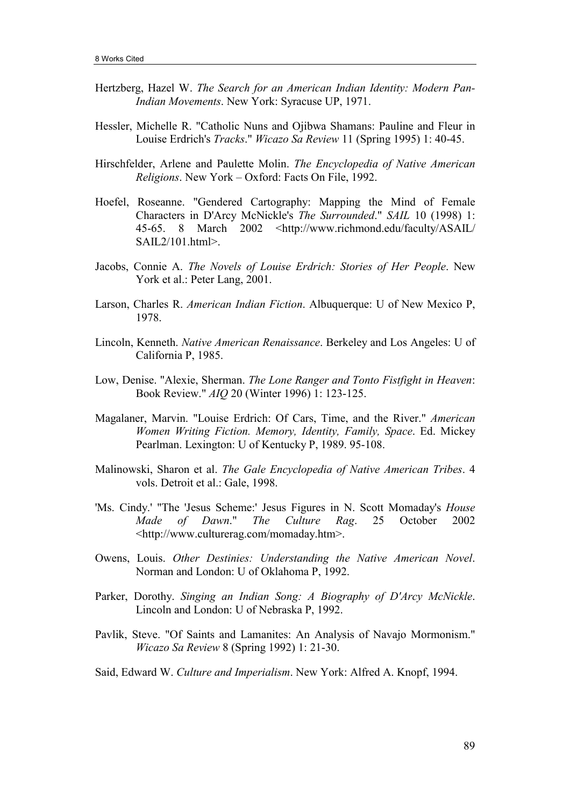- Hertzberg, Hazel W. *The Search for an American Indian Identity: Modern Pan-Indian Movements*. New York: Syracuse UP, 1971.
- Hessler, Michelle R. "Catholic Nuns and Ojibwa Shamans: Pauline and Fleur in Louise Erdrich's *Tracks*." *Wicazo Sa Review* 11 (Spring 1995) 1: 40-45.
- Hirschfelder, Arlene and Paulette Molin. *The Encyclopedia of Native American Religions*. New York – Oxford: Facts On File, 1992.
- Hoefel, Roseanne. "Gendered Cartography: Mapping the Mind of Female Characters in D'Arcy McNickle's *The Surrounded*." *SAIL* 10 (1998) 1: 45-65. 8 March 2002 [<http://www.richmond.edu/faculty/ASAIL/](http://www.richmond.edu/faculty/ASAIL/SAIL2/101.html)  [SAIL2/101.html>](http://www.richmond.edu/faculty/ASAIL/SAIL2/101.html).
- Jacobs, Connie A. *The Novels of Louise Erdrich: Stories of Her People*. New York et al.: Peter Lang, 2001.
- Larson, Charles R. *American Indian Fiction*. Albuquerque: U of New Mexico P, 1978.
- Lincoln, Kenneth. *Native American Renaissance*. Berkeley and Los Angeles: U of California P, 1985.
- Low, Denise. "Alexie, Sherman. *The Lone Ranger and Tonto Fistfight in Heaven*: Book Review." *AIQ* 20 (Winter 1996) 1: 123-125.
- Magalaner, Marvin. "Louise Erdrich: Of Cars, Time, and the River." *American Women Writing Fiction. Memory, Identity, Family, Space*. Ed. Mickey Pearlman. Lexington: U of Kentucky P, 1989. 95-108.
- Malinowski, Sharon et al. *The Gale Encyclopedia of Native American Tribes*. 4 vols. Detroit et al.: Gale, 1998.
- 'Ms. Cindy.' "The 'Jesus Scheme:' Jesus Figures in N. Scott Momaday's *House Made of Dawn*." *The Culture Rag*. 25 October 2002 <[http://www.culturerag.com/momaday.htm>](http://www.culturerag.com/momaday.htm).
- Owens, Louis. *Other Destinies: Understanding the Native American Novel*. Norman and London: U of Oklahoma P, 1992.
- Parker, Dorothy. *Singing an Indian Song: A Biography of D'Arcy McNickle*. Lincoln and London: U of Nebraska P, 1992.
- Pavlik, Steve. "Of Saints and Lamanites: An Analysis of Navajo Mormonism." *Wicazo Sa Review* 8 (Spring 1992) 1: 21-30.
- Said, Edward W. *Culture and Imperialism*. New York: Alfred A. Knopf, 1994.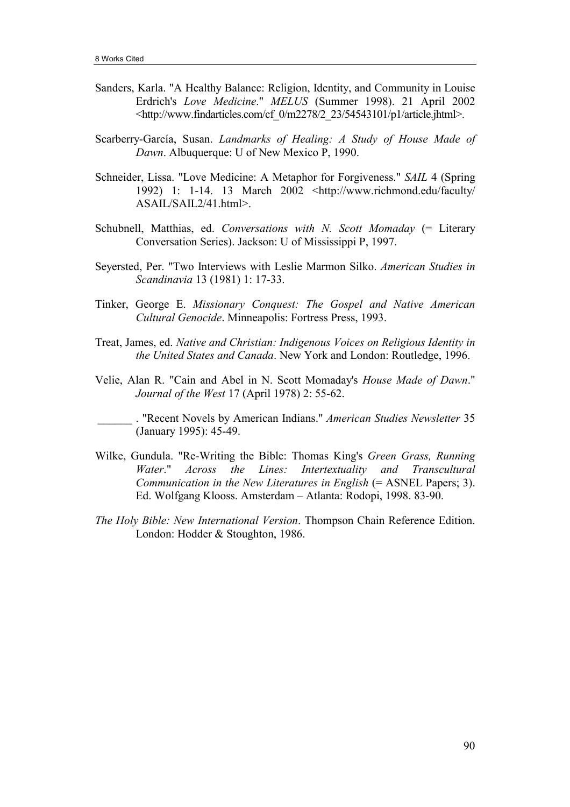- Sanders, Karla. "A Healthy Balance: Religion, Identity, and Community in Louise Erdrich's *Love Medicine*." *MELUS* (Summer 1998). 21 April 2002 <[http://www.findarticles.com/cf\\_0/m2278/2\\_23/54543101/p1/article.jhtml>](http://www.findarticles.com/cf_0/m2278/2_23/54543101/p1/article.jhtml).
- Scarberry-García, Susan. *Landmarks of Healing: A Study of House Made of Dawn*. Albuquerque: U of New Mexico P, 1990.
- Schneider, Lissa. "Love Medicine: A Metaphor for Forgiveness." *SAIL* 4 (Spring 1992) 1: 1-14. 13 March 2002 [<http://www.richmond.edu/faculty/](http://www.richmond.edu/faculty/ASAIL/SAIL2/41.html)  [ASAIL/SAIL2/41.html>](http://www.richmond.edu/faculty/ASAIL/SAIL2/41.html).
- Schubnell, Matthias, ed. *Conversations with N. Scott Momaday* (= Literary Conversation Series). Jackson: U of Mississippi P, 1997.
- Seyersted, Per. "Two Interviews with Leslie Marmon Silko. *American Studies in Scandinavia* 13 (1981) 1: 17-33.
- Tinker, George E. *Missionary Conquest: The Gospel and Native American Cultural Genocide*. Minneapolis: Fortress Press, 1993.
- Treat, James, ed. *Native and Christian: Indigenous Voices on Religious Identity in the United States and Canada*. New York and London: Routledge, 1996.
- Velie, Alan R. "Cain and Abel in N. Scott Momaday's *House Made of Dawn*." *Journal of the West* 17 (April 1978) 2: 55-62.

\_\_\_\_\_\_ . "Recent Novels by American Indians." *American Studies Newsletter* 35 (January 1995): 45-49.

- Wilke, Gundula. "Re-Writing the Bible: Thomas King's *Green Grass, Running Water*." *Across the Lines: Intertextuality and Transcultural Communication in the New Literatures in English* (= ASNEL Papers; 3). Ed. Wolfgang Klooss. Amsterdam – Atlanta: Rodopi, 1998. 83-90.
- *The Holy Bible: New International Version*. Thompson Chain Reference Edition. London: Hodder & Stoughton, 1986.